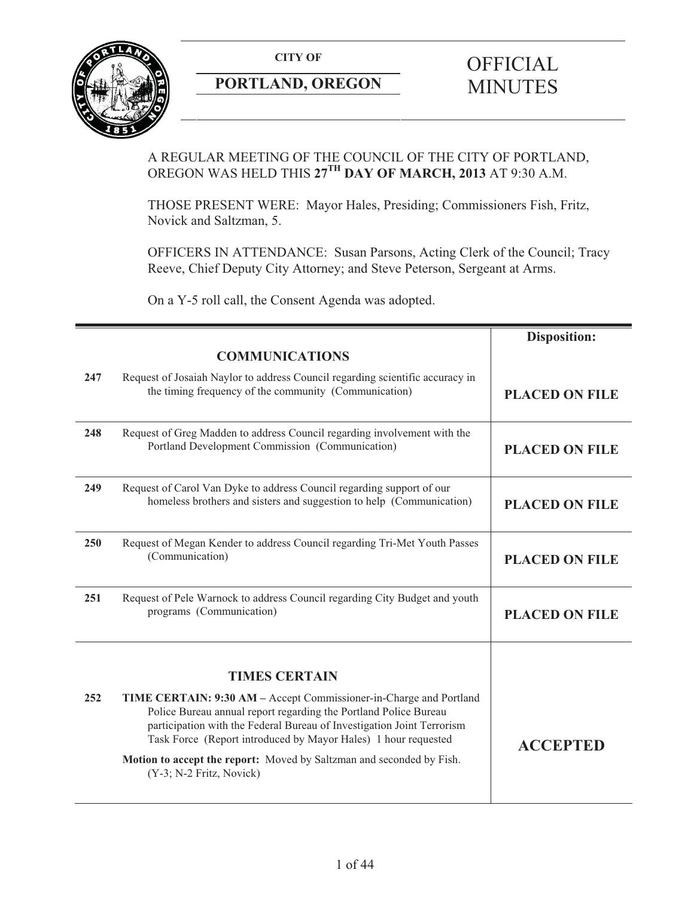**CITY OF** 



# **PORTLAND, OREGON**

# **OFFICIAL** MINUTES

# A REGULAR MEETING OF THE COUNCIL OF THE CITY OF PORTLAND, OREGON WAS HELD THIS **27TH DAY OF MARCH, 2013** AT 9:30 A.M.

THOSE PRESENT WERE: Mayor Hales, Presiding; Commissioners Fish, Fritz, Novick and Saltzman, 5.

OFFICERS IN ATTENDANCE: Susan Parsons, Acting Clerk of the Council; Tracy Reeve, Chief Deputy City Attorney; and Steve Peterson, Sergeant at Arms.

On a Y-5 roll call, the Consent Agenda was adopted.

|     |                                                                                                                                                                                                                                                                                                                                                                                        | <b>Disposition:</b>   |
|-----|----------------------------------------------------------------------------------------------------------------------------------------------------------------------------------------------------------------------------------------------------------------------------------------------------------------------------------------------------------------------------------------|-----------------------|
|     | <b>COMMUNICATIONS</b>                                                                                                                                                                                                                                                                                                                                                                  |                       |
| 247 | Request of Josaiah Naylor to address Council regarding scientific accuracy in<br>the timing frequency of the community (Communication)                                                                                                                                                                                                                                                 | <b>PLACED ON FILE</b> |
| 248 | Request of Greg Madden to address Council regarding involvement with the<br>Portland Development Commission (Communication)                                                                                                                                                                                                                                                            | <b>PLACED ON FILE</b> |
| 249 | Request of Carol Van Dyke to address Council regarding support of our<br>homeless brothers and sisters and suggestion to help (Communication)                                                                                                                                                                                                                                          | <b>PLACED ON FILE</b> |
| 250 | Request of Megan Kender to address Council regarding Tri-Met Youth Passes<br>(Communication)                                                                                                                                                                                                                                                                                           | <b>PLACED ON FILE</b> |
| 251 | Request of Pele Warnock to address Council regarding City Budget and youth<br>programs (Communication)                                                                                                                                                                                                                                                                                 | <b>PLACED ON FILE</b> |
|     |                                                                                                                                                                                                                                                                                                                                                                                        |                       |
|     | <b>TIMES CERTAIN</b>                                                                                                                                                                                                                                                                                                                                                                   |                       |
| 252 | TIME CERTAIN: 9:30 AM - Accept Commissioner-in-Charge and Portland<br>Police Bureau annual report regarding the Portland Police Bureau<br>participation with the Federal Bureau of Investigation Joint Terrorism<br>Task Force (Report introduced by Mayor Hales) 1 hour requested<br>Motion to accept the report: Moved by Saltzman and seconded by Fish.<br>(Y-3; N-2 Fritz, Novick) | <b>ACCEPTED</b>       |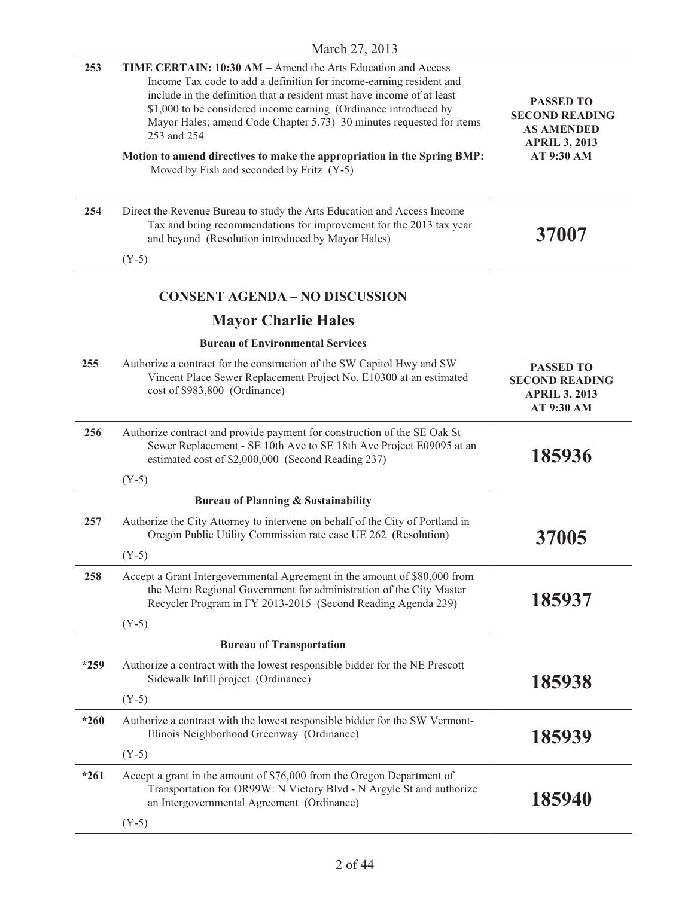| 253    | TIME CERTAIN: 10:30 AM - Amend the Arts Education and Access<br>Income Tax code to add a definition for income-earning resident and<br>include in the definition that a resident must have income of at least<br>\$1,000 to be considered income earning (Ordinance introduced by<br>Mayor Hales; amend Code Chapter 5.73) 30 minutes requested for items<br>253 and 254<br>Motion to amend directives to make the appropriation in the Spring BMP:<br>Moved by Fish and seconded by Fritz (Y-5) | <b>PASSED TO</b><br><b>SECOND READING</b><br><b>AS AMENDED</b><br><b>APRIL 3, 2013</b><br>AT 9:30 AM |
|--------|--------------------------------------------------------------------------------------------------------------------------------------------------------------------------------------------------------------------------------------------------------------------------------------------------------------------------------------------------------------------------------------------------------------------------------------------------------------------------------------------------|------------------------------------------------------------------------------------------------------|
| 254    | Direct the Revenue Bureau to study the Arts Education and Access Income<br>Tax and bring recommendations for improvement for the 2013 tax year<br>and beyond (Resolution introduced by Mayor Hales)                                                                                                                                                                                                                                                                                              | 37007                                                                                                |
|        | $(Y-5)$                                                                                                                                                                                                                                                                                                                                                                                                                                                                                          |                                                                                                      |
|        | <b>CONSENT AGENDA - NO DISCUSSION</b>                                                                                                                                                                                                                                                                                                                                                                                                                                                            |                                                                                                      |
|        | <b>Mayor Charlie Hales</b>                                                                                                                                                                                                                                                                                                                                                                                                                                                                       |                                                                                                      |
|        | <b>Bureau of Environmental Services</b>                                                                                                                                                                                                                                                                                                                                                                                                                                                          |                                                                                                      |
| 255    | Authorize a contract for the construction of the SW Capitol Hwy and SW<br>Vincent Place Sewer Replacement Project No. E10300 at an estimated<br>cost of \$983,800 (Ordinance)                                                                                                                                                                                                                                                                                                                    | <b>PASSED TO</b><br><b>SECOND READING</b><br><b>APRIL 3, 2013</b><br>AT 9:30 AM                      |
| 256    | Authorize contract and provide payment for construction of the SE Oak St<br>Sewer Replacement - SE 10th Ave to SE 18th Ave Project E09095 at an<br>estimated cost of \$2,000,000 (Second Reading 237)                                                                                                                                                                                                                                                                                            | 185936                                                                                               |
|        | $(Y-5)$                                                                                                                                                                                                                                                                                                                                                                                                                                                                                          |                                                                                                      |
|        | <b>Bureau of Planning &amp; Sustainability</b>                                                                                                                                                                                                                                                                                                                                                                                                                                                   |                                                                                                      |
| 257    | Authorize the City Attorney to intervene on behalf of the City of Portland in<br>Oregon Public Utility Commission rate case UE 262 (Resolution)                                                                                                                                                                                                                                                                                                                                                  | 37005                                                                                                |
|        | $(Y-5)$                                                                                                                                                                                                                                                                                                                                                                                                                                                                                          |                                                                                                      |
| 258    | Accept a Grant Intergovernmental Agreement in the amount of \$80,000 from<br>the Metro Regional Government for administration of the City Master<br>Recycler Program in FY 2013-2015 (Second Reading Agenda 239)                                                                                                                                                                                                                                                                                 | 185937                                                                                               |
|        | $(Y-5)$                                                                                                                                                                                                                                                                                                                                                                                                                                                                                          |                                                                                                      |
|        | <b>Bureau of Transportation</b>                                                                                                                                                                                                                                                                                                                                                                                                                                                                  |                                                                                                      |
| $*259$ | Authorize a contract with the lowest responsible bidder for the NE Prescott<br>Sidewalk Infill project (Ordinance)                                                                                                                                                                                                                                                                                                                                                                               | 185938                                                                                               |
|        | $(Y-5)$                                                                                                                                                                                                                                                                                                                                                                                                                                                                                          |                                                                                                      |
| $*260$ | Authorize a contract with the lowest responsible bidder for the SW Vermont-<br>Illinois Neighborhood Greenway (Ordinance)                                                                                                                                                                                                                                                                                                                                                                        | 185939                                                                                               |
|        | $(Y-5)$                                                                                                                                                                                                                                                                                                                                                                                                                                                                                          |                                                                                                      |
| $*261$ | Accept a grant in the amount of \$76,000 from the Oregon Department of<br>Transportation for OR99W: N Victory Blvd - N Argyle St and authorize<br>an Intergovernmental Agreement (Ordinance)                                                                                                                                                                                                                                                                                                     | 185940                                                                                               |
|        | $(Y-5)$                                                                                                                                                                                                                                                                                                                                                                                                                                                                                          |                                                                                                      |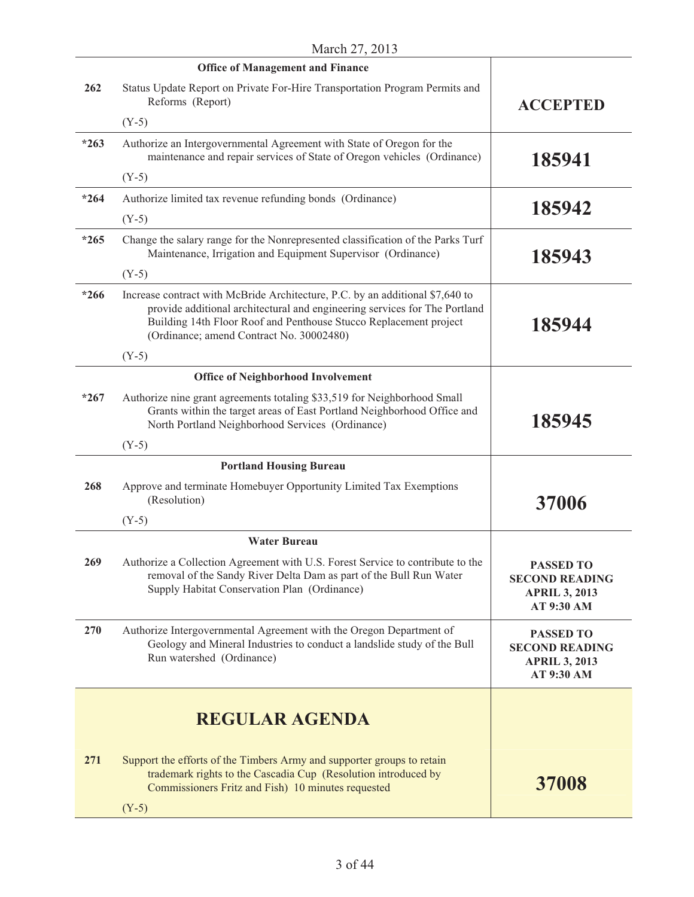|        | <b>Office of Management and Finance</b>                                                                                                                                                                                                                                      |                                                                                 |
|--------|------------------------------------------------------------------------------------------------------------------------------------------------------------------------------------------------------------------------------------------------------------------------------|---------------------------------------------------------------------------------|
| 262    | Status Update Report on Private For-Hire Transportation Program Permits and<br>Reforms (Report)                                                                                                                                                                              | <b>ACCEPTED</b>                                                                 |
|        | $(Y-5)$                                                                                                                                                                                                                                                                      |                                                                                 |
| $*263$ | Authorize an Intergovernmental Agreement with State of Oregon for the<br>maintenance and repair services of State of Oregon vehicles (Ordinance)                                                                                                                             | 185941                                                                          |
|        | $(Y-5)$                                                                                                                                                                                                                                                                      |                                                                                 |
| $*264$ | Authorize limited tax revenue refunding bonds (Ordinance)                                                                                                                                                                                                                    |                                                                                 |
|        | $(Y-5)$                                                                                                                                                                                                                                                                      | 185942                                                                          |
| $*265$ | Change the salary range for the Nonrepresented classification of the Parks Turf<br>Maintenance, Irrigation and Equipment Supervisor (Ordinance)                                                                                                                              | 185943                                                                          |
|        | $(Y-5)$                                                                                                                                                                                                                                                                      |                                                                                 |
| $*266$ | Increase contract with McBride Architecture, P.C. by an additional \$7,640 to<br>provide additional architectural and engineering services for The Portland<br>Building 14th Floor Roof and Penthouse Stucco Replacement project<br>(Ordinance; amend Contract No. 30002480) | 185944                                                                          |
|        | $(Y-5)$                                                                                                                                                                                                                                                                      |                                                                                 |
|        | <b>Office of Neighborhood Involvement</b>                                                                                                                                                                                                                                    |                                                                                 |
| $*267$ | Authorize nine grant agreements totaling \$33,519 for Neighborhood Small<br>Grants within the target areas of East Portland Neighborhood Office and<br>North Portland Neighborhood Services (Ordinance)                                                                      | 185945                                                                          |
|        | $(Y-5)$                                                                                                                                                                                                                                                                      |                                                                                 |
|        | <b>Portland Housing Bureau</b>                                                                                                                                                                                                                                               |                                                                                 |
| 268    | Approve and terminate Homebuyer Opportunity Limited Tax Exemptions<br>(Resolution)                                                                                                                                                                                           | 37006                                                                           |
|        | $(Y-5)$                                                                                                                                                                                                                                                                      |                                                                                 |
|        | <b>Water Bureau</b>                                                                                                                                                                                                                                                          |                                                                                 |
| 269    | Authorize a Collection Agreement with U.S. Forest Service to contribute to the<br>removal of the Sandy River Delta Dam as part of the Bull Run Water<br>Supply Habitat Conservation Plan (Ordinance)                                                                         | <b>PASSED TO</b><br><b>SECOND READING</b><br><b>APRIL 3, 2013</b><br>AT 9:30 AM |
| 270    | Authorize Intergovernmental Agreement with the Oregon Department of<br>Geology and Mineral Industries to conduct a landslide study of the Bull<br>Run watershed (Ordinance)                                                                                                  | <b>PASSED TO</b><br><b>SECOND READING</b><br><b>APRIL 3, 2013</b><br>AT 9:30 AM |
|        | <b>REGULAR AGENDA</b>                                                                                                                                                                                                                                                        |                                                                                 |
| 271    | Support the efforts of the Timbers Army and supporter groups to retain<br>trademark rights to the Cascadia Cup (Resolution introduced by<br>Commissioners Fritz and Fish) 10 minutes requested<br>$(Y-5)$                                                                    | 37008                                                                           |
|        |                                                                                                                                                                                                                                                                              |                                                                                 |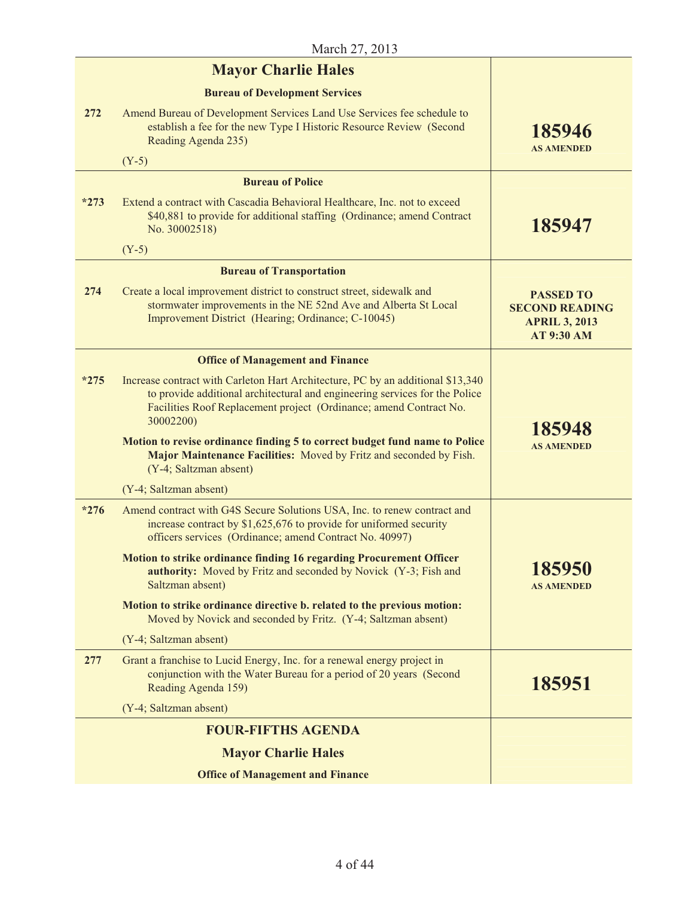|        | <b>Mayor Charlie Hales</b>                                                                                                                                                                                                                        |                                                                                        |
|--------|---------------------------------------------------------------------------------------------------------------------------------------------------------------------------------------------------------------------------------------------------|----------------------------------------------------------------------------------------|
|        | <b>Bureau of Development Services</b>                                                                                                                                                                                                             |                                                                                        |
| 272    | Amend Bureau of Development Services Land Use Services fee schedule to<br>establish a fee for the new Type I Historic Resource Review (Second<br>Reading Agenda 235)                                                                              | 185946<br><b>AS AMENDED</b>                                                            |
|        | $(Y-5)$                                                                                                                                                                                                                                           |                                                                                        |
|        | <b>Bureau of Police</b>                                                                                                                                                                                                                           |                                                                                        |
| $*273$ | Extend a contract with Cascadia Behavioral Healthcare, Inc. not to exceed<br>\$40,881 to provide for additional staffing (Ordinance; amend Contract<br>No. 30002518)                                                                              | 185947                                                                                 |
|        | $(Y-5)$                                                                                                                                                                                                                                           |                                                                                        |
|        | <b>Bureau of Transportation</b>                                                                                                                                                                                                                   |                                                                                        |
| 274    | Create a local improvement district to construct street, sidewalk and<br>stormwater improvements in the NE 52nd Ave and Alberta St Local<br>Improvement District (Hearing; Ordinance; C-10045)                                                    | <b>PASSED TO</b><br><b>SECOND READING</b><br><b>APRIL 3, 2013</b><br><b>AT 9:30 AM</b> |
|        | <b>Office of Management and Finance</b>                                                                                                                                                                                                           |                                                                                        |
| $*275$ | Increase contract with Carleton Hart Architecture, PC by an additional \$13,340<br>to provide additional architectural and engineering services for the Police<br>Facilities Roof Replacement project (Ordinance; amend Contract No.<br>30002200) | 185948                                                                                 |
|        | Motion to revise ordinance finding 5 to correct budget fund name to Police<br>Major Maintenance Facilities: Moved by Fritz and seconded by Fish.<br>(Y-4; Saltzman absent)                                                                        | <b>AS AMENDED</b>                                                                      |
|        | (Y-4; Saltzman absent)                                                                                                                                                                                                                            |                                                                                        |
| $*276$ | Amend contract with G4S Secure Solutions USA, Inc. to renew contract and<br>increase contract by \$1,625,676 to provide for uniformed security<br>officers services (Ordinance; amend Contract No. 40997)                                         |                                                                                        |
|        | Motion to strike ordinance finding 16 regarding Procurement Officer<br><b>authority:</b> Moved by Fritz and seconded by Novick (Y-3; Fish and<br>Saltzman absent)                                                                                 | 185950<br><b>AS AMENDED</b>                                                            |
|        | Motion to strike ordinance directive b. related to the previous motion:<br>Moved by Novick and seconded by Fritz. (Y-4; Saltzman absent)                                                                                                          |                                                                                        |
|        | (Y-4; Saltzman absent)                                                                                                                                                                                                                            |                                                                                        |
| 277    | Grant a franchise to Lucid Energy, Inc. for a renewal energy project in<br>conjunction with the Water Bureau for a period of 20 years (Second<br>Reading Agenda 159)                                                                              | 185951                                                                                 |
|        | (Y-4; Saltzman absent)                                                                                                                                                                                                                            |                                                                                        |
|        | <b>FOUR-FIFTHS AGENDA</b>                                                                                                                                                                                                                         |                                                                                        |
|        | <b>Mayor Charlie Hales</b>                                                                                                                                                                                                                        |                                                                                        |
|        | <b>Office of Management and Finance</b>                                                                                                                                                                                                           |                                                                                        |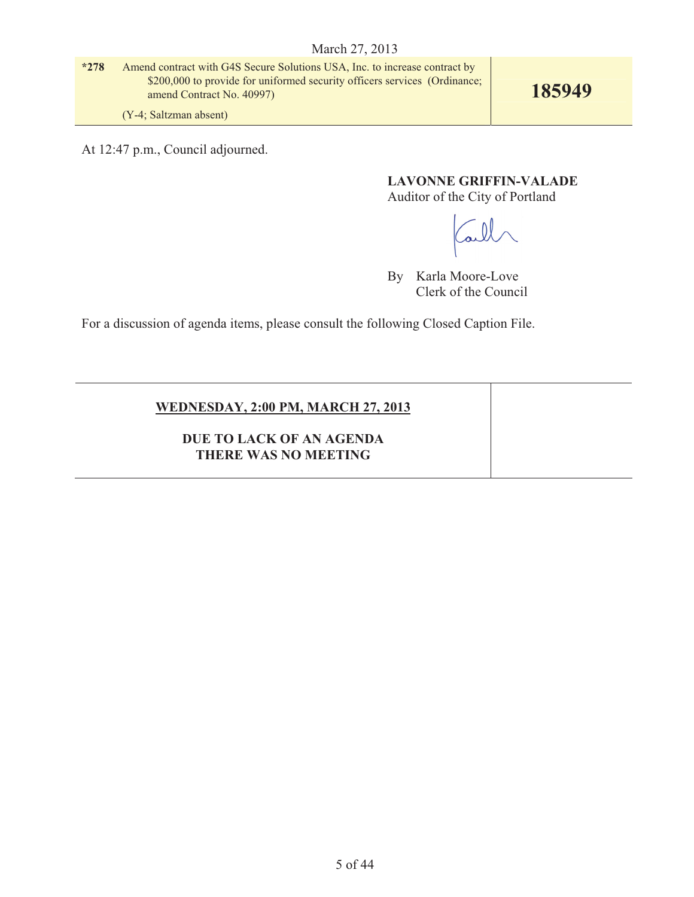**\*278** Amend contract with G4S Secure Solutions USA, Inc. to increase contract by \$200,000 to provide for uniformed security officers services (Ordinance; amend Contract No. 40997)

(Y-4; Saltzman absent)

At 12:47 p.m., Council adjourned.

**185949**

**LAVONNE GRIFFIN-VALADE** 

Auditor of the City of Portland

all

By Karla Moore-Love Clerk of the Council

For a discussion of agenda items, please consult the following Closed Caption File.

**WEDNESDAY, 2:00 PM, MARCH 27, 2013**

**DUE TO LACK OF AN AGENDA THERE WAS NO MEETING**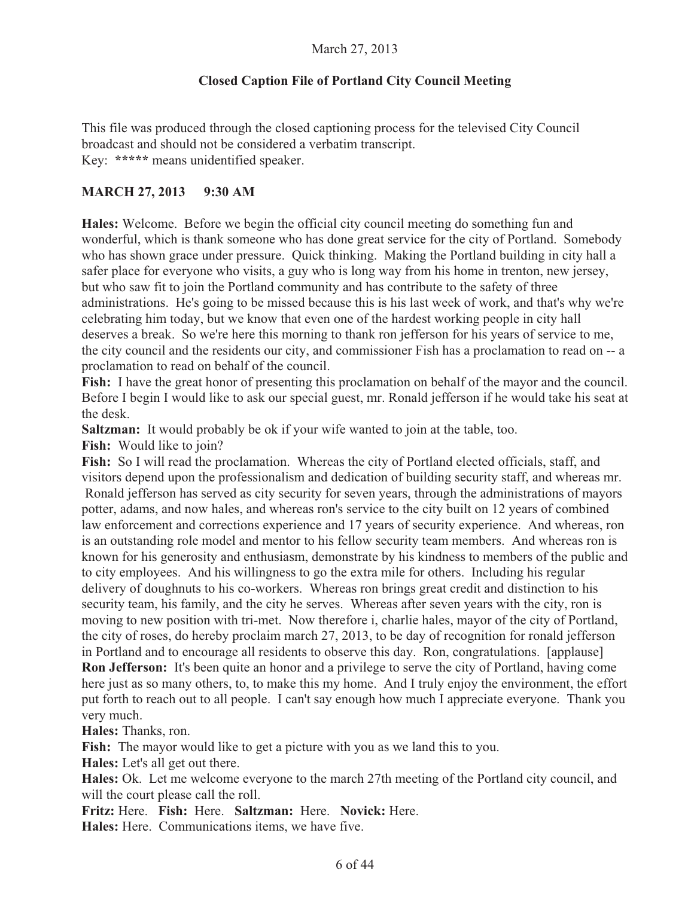# **Closed Caption File of Portland City Council Meeting**

This file was produced through the closed captioning process for the televised City Council broadcast and should not be considered a verbatim transcript. Key: **\*\*\*\*\*** means unidentified speaker.

## **MARCH 27, 2013 9:30 AM**

**Hales:** Welcome. Before we begin the official city council meeting do something fun and wonderful, which is thank someone who has done great service for the city of Portland. Somebody who has shown grace under pressure. Quick thinking. Making the Portland building in city hall a safer place for everyone who visits, a guy who is long way from his home in trenton, new jersey, but who saw fit to join the Portland community and has contribute to the safety of three administrations. He's going to be missed because this is his last week of work, and that's why we're celebrating him today, but we know that even one of the hardest working people in city hall deserves a break. So we're here this morning to thank ron jefferson for his years of service to me, the city council and the residents our city, and commissioner Fish has a proclamation to read on -- a proclamation to read on behalf of the council.

**Fish:** I have the great honor of presenting this proclamation on behalf of the mayor and the council. Before I begin I would like to ask our special guest, mr. Ronald jefferson if he would take his seat at the desk.

**Saltzman:** It would probably be ok if your wife wanted to join at the table, too.

**Fish:** Would like to join?

**Fish:** So I will read the proclamation. Whereas the city of Portland elected officials, staff, and visitors depend upon the professionalism and dedication of building security staff, and whereas mr. Ronald jefferson has served as city security for seven years, through the administrations of mayors potter, adams, and now hales, and whereas ron's service to the city built on 12 years of combined law enforcement and corrections experience and 17 years of security experience. And whereas, ron is an outstanding role model and mentor to his fellow security team members. And whereas ron is known for his generosity and enthusiasm, demonstrate by his kindness to members of the public and to city employees. And his willingness to go the extra mile for others. Including his regular delivery of doughnuts to his co-workers. Whereas ron brings great credit and distinction to his security team, his family, and the city he serves. Whereas after seven years with the city, ron is moving to new position with tri-met. Now therefore i, charlie hales, mayor of the city of Portland, the city of roses, do hereby proclaim march 27, 2013, to be day of recognition for ronald jefferson in Portland and to encourage all residents to observe this day. Ron, congratulations. [applause] **Ron Jefferson:** It's been quite an honor and a privilege to serve the city of Portland, having come here just as so many others, to, to make this my home. And I truly enjoy the environment, the effort put forth to reach out to all people. I can't say enough how much I appreciate everyone. Thank you very much.

**Hales:** Thanks, ron.

**Fish:** The mayor would like to get a picture with you as we land this to you.

**Hales:** Let's all get out there.

**Hales:** Ok. Let me welcome everyone to the march 27th meeting of the Portland city council, and will the court please call the roll.

**Fritz:** Here. **Fish:** Here. **Saltzman:** Here. **Novick:** Here.

**Hales:** Here. Communications items, we have five.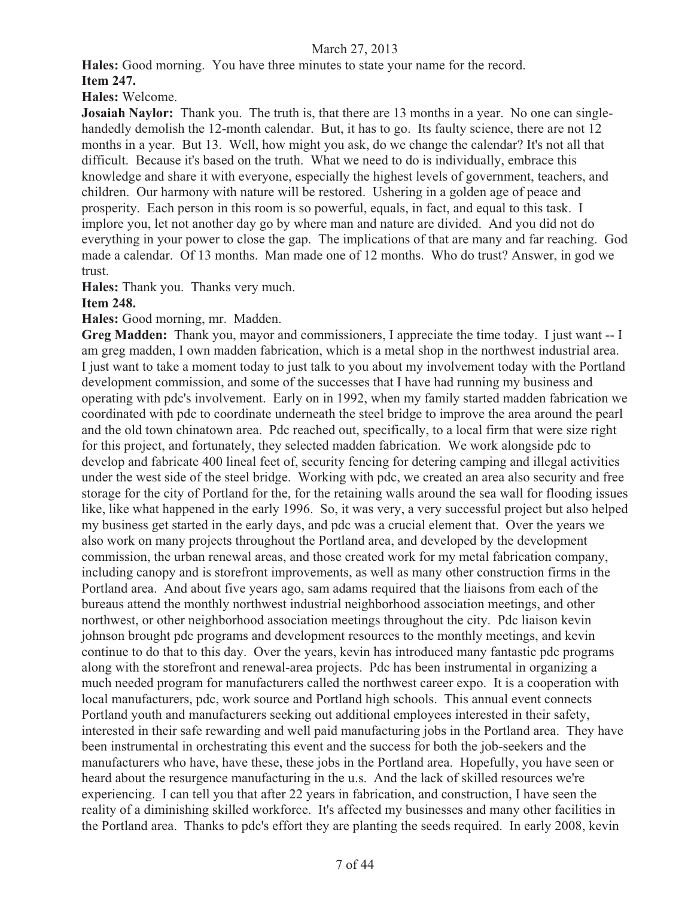**Hales:** Good morning. You have three minutes to state your name for the record.

## **Item 247.**

**Hales:** Welcome.

**Josaiah Naylor:** Thank you. The truth is, that there are 13 months in a year. No one can singlehandedly demolish the 12-month calendar. But, it has to go. Its faulty science, there are not 12 months in a year. But 13. Well, how might you ask, do we change the calendar? It's not all that difficult. Because it's based on the truth. What we need to do is individually, embrace this knowledge and share it with everyone, especially the highest levels of government, teachers, and children. Our harmony with nature will be restored. Ushering in a golden age of peace and prosperity. Each person in this room is so powerful, equals, in fact, and equal to this task. I implore you, let not another day go by where man and nature are divided. And you did not do everything in your power to close the gap. The implications of that are many and far reaching. God made a calendar. Of 13 months. Man made one of 12 months. Who do trust? Answer, in god we trust.

**Hales:** Thank you. Thanks very much.

## **Item 248.**

**Hales:** Good morning, mr. Madden.

**Greg Madden:** Thank you, mayor and commissioners, I appreciate the time today. I just want -- I am greg madden, I own madden fabrication, which is a metal shop in the northwest industrial area. I just want to take a moment today to just talk to you about my involvement today with the Portland development commission, and some of the successes that I have had running my business and operating with pdc's involvement. Early on in 1992, when my family started madden fabrication we coordinated with pdc to coordinate underneath the steel bridge to improve the area around the pearl and the old town chinatown area. Pdc reached out, specifically, to a local firm that were size right for this project, and fortunately, they selected madden fabrication. We work alongside pdc to develop and fabricate 400 lineal feet of, security fencing for detering camping and illegal activities under the west side of the steel bridge. Working with pdc, we created an area also security and free storage for the city of Portland for the, for the retaining walls around the sea wall for flooding issues like, like what happened in the early 1996. So, it was very, a very successful project but also helped my business get started in the early days, and pdc was a crucial element that. Over the years we also work on many projects throughout the Portland area, and developed by the development commission, the urban renewal areas, and those created work for my metal fabrication company, including canopy and is storefront improvements, as well as many other construction firms in the Portland area. And about five years ago, sam adams required that the liaisons from each of the bureaus attend the monthly northwest industrial neighborhood association meetings, and other northwest, or other neighborhood association meetings throughout the city. Pdc liaison kevin johnson brought pdc programs and development resources to the monthly meetings, and kevin continue to do that to this day. Over the years, kevin has introduced many fantastic pdc programs along with the storefront and renewal-area projects. Pdc has been instrumental in organizing a much needed program for manufacturers called the northwest career expo. It is a cooperation with local manufacturers, pdc, work source and Portland high schools. This annual event connects Portland youth and manufacturers seeking out additional employees interested in their safety, interested in their safe rewarding and well paid manufacturing jobs in the Portland area. They have been instrumental in orchestrating this event and the success for both the job-seekers and the manufacturers who have, have these, these jobs in the Portland area. Hopefully, you have seen or heard about the resurgence manufacturing in the u.s. And the lack of skilled resources we're experiencing. I can tell you that after 22 years in fabrication, and construction, I have seen the reality of a diminishing skilled workforce. It's affected my businesses and many other facilities in the Portland area. Thanks to pdc's effort they are planting the seeds required. In early 2008, kevin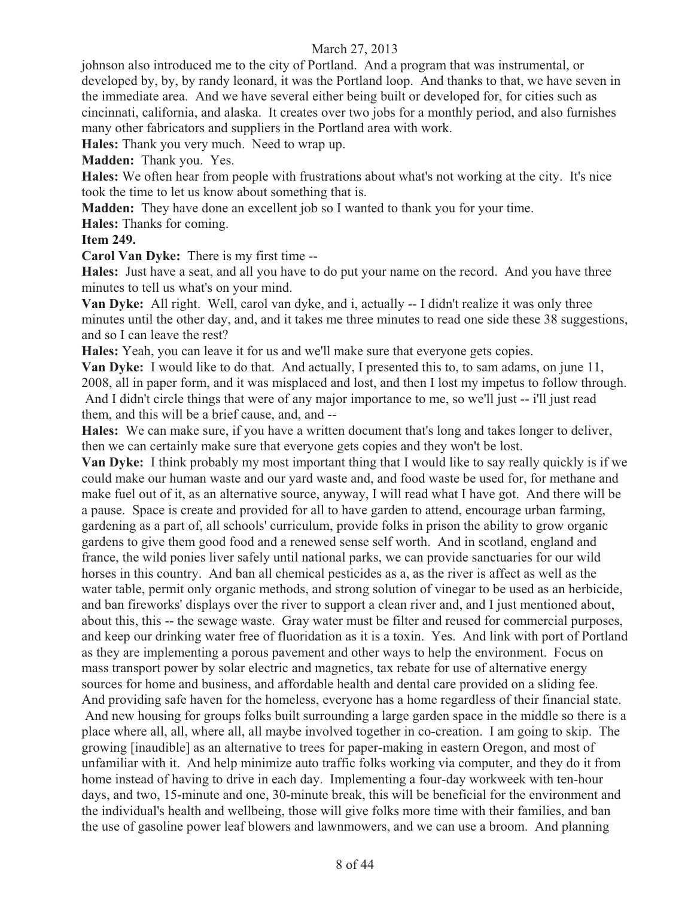johnson also introduced me to the city of Portland. And a program that was instrumental, or developed by, by, by randy leonard, it was the Portland loop. And thanks to that, we have seven in the immediate area. And we have several either being built or developed for, for cities such as cincinnati, california, and alaska. It creates over two jobs for a monthly period, and also furnishes many other fabricators and suppliers in the Portland area with work.

**Hales:** Thank you very much. Need to wrap up.

**Madden:** Thank you. Yes.

**Hales:** We often hear from people with frustrations about what's not working at the city. It's nice took the time to let us know about something that is.

**Madden:** They have done an excellent job so I wanted to thank you for your time.

**Hales:** Thanks for coming.

### **Item 249.**

**Carol Van Dyke:** There is my first time --

**Hales:** Just have a seat, and all you have to do put your name on the record. And you have three minutes to tell us what's on your mind.

**Van Dyke:** All right. Well, carol van dyke, and i, actually -- I didn't realize it was only three minutes until the other day, and, and it takes me three minutes to read one side these 38 suggestions, and so I can leave the rest?

**Hales:** Yeah, you can leave it for us and we'll make sure that everyone gets copies.

**Van Dyke:** I would like to do that. And actually, I presented this to, to sam adams, on june 11, 2008, all in paper form, and it was misplaced and lost, and then I lost my impetus to follow through. And I didn't circle things that were of any major importance to me, so we'll just -- i'll just read them, and this will be a brief cause, and, and --

**Hales:** We can make sure, if you have a written document that's long and takes longer to deliver, then we can certainly make sure that everyone gets copies and they won't be lost.

**Van Dyke:** I think probably my most important thing that I would like to say really quickly is if we could make our human waste and our yard waste and, and food waste be used for, for methane and make fuel out of it, as an alternative source, anyway, I will read what I have got. And there will be a pause. Space is create and provided for all to have garden to attend, encourage urban farming, gardening as a part of, all schools' curriculum, provide folks in prison the ability to grow organic gardens to give them good food and a renewed sense self worth. And in scotland, england and france, the wild ponies liver safely until national parks, we can provide sanctuaries for our wild horses in this country. And ban all chemical pesticides as a, as the river is affect as well as the water table, permit only organic methods, and strong solution of vinegar to be used as an herbicide, and ban fireworks' displays over the river to support a clean river and, and I just mentioned about, about this, this -- the sewage waste. Gray water must be filter and reused for commercial purposes, and keep our drinking water free of fluoridation as it is a toxin. Yes. And link with port of Portland as they are implementing a porous pavement and other ways to help the environment. Focus on mass transport power by solar electric and magnetics, tax rebate for use of alternative energy sources for home and business, and affordable health and dental care provided on a sliding fee. And providing safe haven for the homeless, everyone has a home regardless of their financial state.

 And new housing for groups folks built surrounding a large garden space in the middle so there is a place where all, all, where all, all maybe involved together in co-creation. I am going to skip. The growing [inaudible] as an alternative to trees for paper-making in eastern Oregon, and most of unfamiliar with it. And help minimize auto traffic folks working via computer, and they do it from home instead of having to drive in each day. Implementing a four-day workweek with ten-hour days, and two, 15-minute and one, 30-minute break, this will be beneficial for the environment and the individual's health and wellbeing, those will give folks more time with their families, and ban the use of gasoline power leaf blowers and lawnmowers, and we can use a broom. And planning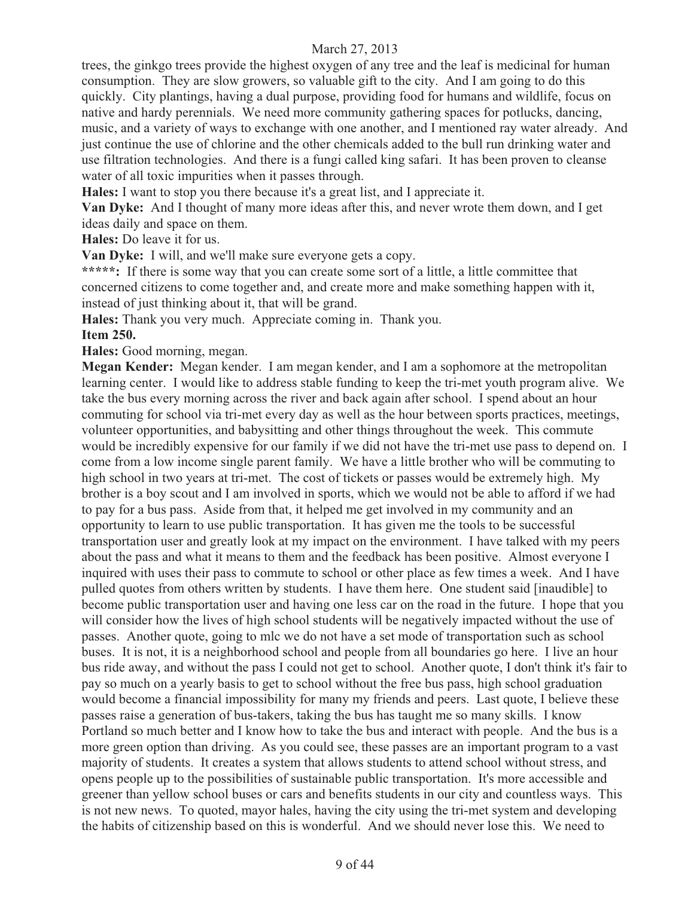trees, the ginkgo trees provide the highest oxygen of any tree and the leaf is medicinal for human consumption. They are slow growers, so valuable gift to the city. And I am going to do this quickly. City plantings, having a dual purpose, providing food for humans and wildlife, focus on native and hardy perennials. We need more community gathering spaces for potlucks, dancing, music, and a variety of ways to exchange with one another, and I mentioned ray water already. And just continue the use of chlorine and the other chemicals added to the bull run drinking water and use filtration technologies. And there is a fungi called king safari. It has been proven to cleanse water of all toxic impurities when it passes through.

**Hales:** I want to stop you there because it's a great list, and I appreciate it.

**Van Dyke:** And I thought of many more ideas after this, and never wrote them down, and I get ideas daily and space on them.

**Hales:** Do leave it for us.

**Van Dyke:** I will, and we'll make sure everyone gets a copy.

\*\*\*\*\*: If there is some way that you can create some sort of a little, a little committee that concerned citizens to come together and, and create more and make something happen with it, instead of just thinking about it, that will be grand.

**Hales:** Thank you very much. Appreciate coming in. Thank you. **Item 250.**

**Hales:** Good morning, megan.

**Megan Kender:** Megan kender. I am megan kender, and I am a sophomore at the metropolitan learning center. I would like to address stable funding to keep the tri-met youth program alive. We take the bus every morning across the river and back again after school. I spend about an hour commuting for school via tri-met every day as well as the hour between sports practices, meetings, volunteer opportunities, and babysitting and other things throughout the week. This commute would be incredibly expensive for our family if we did not have the tri-met use pass to depend on. I come from a low income single parent family. We have a little brother who will be commuting to high school in two years at tri-met. The cost of tickets or passes would be extremely high. My brother is a boy scout and I am involved in sports, which we would not be able to afford if we had to pay for a bus pass. Aside from that, it helped me get involved in my community and an opportunity to learn to use public transportation. It has given me the tools to be successful transportation user and greatly look at my impact on the environment. I have talked with my peers about the pass and what it means to them and the feedback has been positive. Almost everyone I inquired with uses their pass to commute to school or other place as few times a week. And I have pulled quotes from others written by students. I have them here. One student said [inaudible] to become public transportation user and having one less car on the road in the future. I hope that you will consider how the lives of high school students will be negatively impacted without the use of passes. Another quote, going to mlc we do not have a set mode of transportation such as school buses. It is not, it is a neighborhood school and people from all boundaries go here. I live an hour bus ride away, and without the pass I could not get to school. Another quote, I don't think it's fair to pay so much on a yearly basis to get to school without the free bus pass, high school graduation would become a financial impossibility for many my friends and peers. Last quote, I believe these passes raise a generation of bus-takers, taking the bus has taught me so many skills. I know Portland so much better and I know how to take the bus and interact with people. And the bus is a more green option than driving. As you could see, these passes are an important program to a vast majority of students. It creates a system that allows students to attend school without stress, and opens people up to the possibilities of sustainable public transportation. It's more accessible and greener than yellow school buses or cars and benefits students in our city and countless ways. This is not new news. To quoted, mayor hales, having the city using the tri-met system and developing the habits of citizenship based on this is wonderful. And we should never lose this. We need to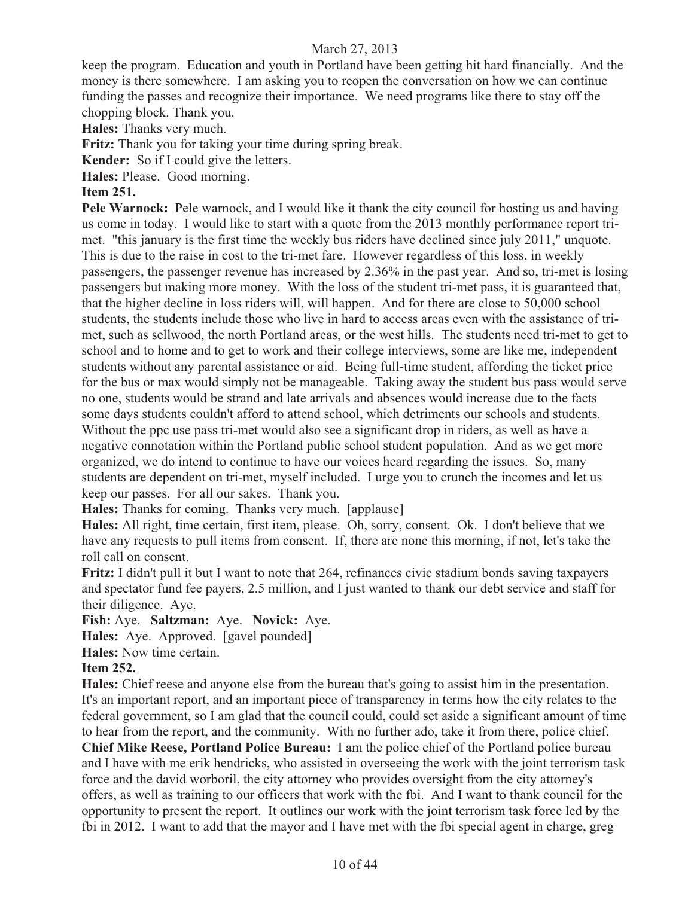keep the program. Education and youth in Portland have been getting hit hard financially. And the money is there somewhere. I am asking you to reopen the conversation on how we can continue funding the passes and recognize their importance. We need programs like there to stay off the chopping block. Thank you.

**Hales:** Thanks very much.

**Fritz:** Thank you for taking your time during spring break.

**Kender:** So if I could give the letters.

**Hales:** Please. Good morning.

# **Item 251.**

**Pele Warnock:** Pele warnock, and I would like it thank the city council for hosting us and having us come in today. I would like to start with a quote from the 2013 monthly performance report trimet. "this january is the first time the weekly bus riders have declined since july 2011," unquote. This is due to the raise in cost to the tri-met fare. However regardless of this loss, in weekly passengers, the passenger revenue has increased by 2.36% in the past year. And so, tri-met is losing passengers but making more money. With the loss of the student tri-met pass, it is guaranteed that, that the higher decline in loss riders will, will happen. And for there are close to 50,000 school students, the students include those who live in hard to access areas even with the assistance of trimet, such as sellwood, the north Portland areas, or the west hills. The students need tri-met to get to school and to home and to get to work and their college interviews, some are like me, independent students without any parental assistance or aid. Being full-time student, affording the ticket price for the bus or max would simply not be manageable. Taking away the student bus pass would serve no one, students would be strand and late arrivals and absences would increase due to the facts some days students couldn't afford to attend school, which detriments our schools and students. Without the ppc use pass tri-met would also see a significant drop in riders, as well as have a negative connotation within the Portland public school student population. And as we get more organized, we do intend to continue to have our voices heard regarding the issues. So, many students are dependent on tri-met, myself included. I urge you to crunch the incomes and let us keep our passes. For all our sakes. Thank you.

**Hales:** Thanks for coming. Thanks very much. [applause]

**Hales:** All right, time certain, first item, please. Oh, sorry, consent. Ok. I don't believe that we have any requests to pull items from consent. If, there are none this morning, if not, let's take the roll call on consent.

**Fritz:** I didn't pull it but I want to note that 264, refinances civic stadium bonds saving taxpayers and spectator fund fee payers, 2.5 million, and I just wanted to thank our debt service and staff for their diligence. Aye.

**Fish:** Aye. **Saltzman:** Aye. **Novick:** Aye.

**Hales:** Aye. Approved. [gavel pounded]

**Hales:** Now time certain.

# **Item 252.**

**Hales:** Chief reese and anyone else from the bureau that's going to assist him in the presentation. It's an important report, and an important piece of transparency in terms how the city relates to the federal government, so I am glad that the council could, could set aside a significant amount of time to hear from the report, and the community. With no further ado, take it from there, police chief. **Chief Mike Reese, Portland Police Bureau:** I am the police chief of the Portland police bureau and I have with me erik hendricks, who assisted in overseeing the work with the joint terrorism task force and the david worboril, the city attorney who provides oversight from the city attorney's offers, as well as training to our officers that work with the fbi. And I want to thank council for the opportunity to present the report. It outlines our work with the joint terrorism task force led by the fbi in 2012. I want to add that the mayor and I have met with the fbi special agent in charge, greg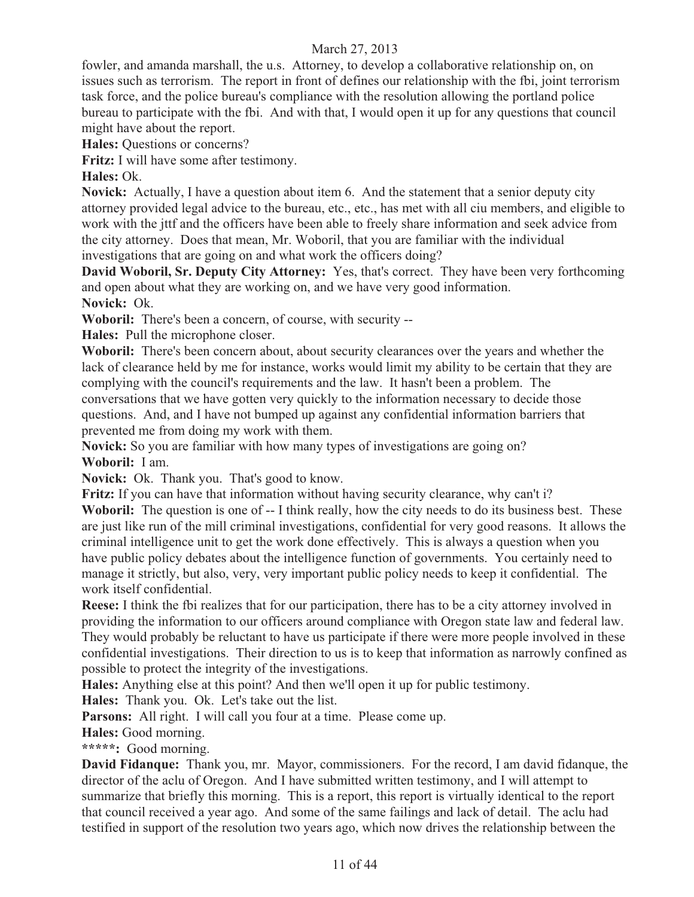fowler, and amanda marshall, the u.s. Attorney, to develop a collaborative relationship on, on issues such as terrorism. The report in front of defines our relationship with the fbi, joint terrorism task force, and the police bureau's compliance with the resolution allowing the portland police bureau to participate with the fbi. And with that, I would open it up for any questions that council might have about the report.

**Hales:** Questions or concerns?

**Fritz:** I will have some after testimony.

**Hales:** Ok.

**Novick:** Actually, I have a question about item 6. And the statement that a senior deputy city attorney provided legal advice to the bureau, etc., etc., has met with all ciu members, and eligible to work with the jttf and the officers have been able to freely share information and seek advice from the city attorney. Does that mean, Mr. Woboril, that you are familiar with the individual investigations that are going on and what work the officers doing?

**David Woboril, Sr. Deputy City Attorney:** Yes, that's correct. They have been very forthcoming and open about what they are working on, and we have very good information. **Novick:** Ok.

**Woboril:** There's been a concern, of course, with security --

**Hales:** Pull the microphone closer.

**Woboril:** There's been concern about, about security clearances over the years and whether the lack of clearance held by me for instance, works would limit my ability to be certain that they are complying with the council's requirements and the law. It hasn't been a problem. The conversations that we have gotten very quickly to the information necessary to decide those questions. And, and I have not bumped up against any confidential information barriers that prevented me from doing my work with them.

**Novick:** So you are familiar with how many types of investigations are going on? **Woboril:** I am.

**Novick:** Ok. Thank you. That's good to know.

**Fritz:** If you can have that information without having security clearance, why can't i? **Woboril:** The question is one of  $-1$  think really, how the city needs to do its business best. These are just like run of the mill criminal investigations, confidential for very good reasons. It allows the criminal intelligence unit to get the work done effectively. This is always a question when you have public policy debates about the intelligence function of governments. You certainly need to manage it strictly, but also, very, very important public policy needs to keep it confidential. The work itself confidential.

**Reese:** I think the fbi realizes that for our participation, there has to be a city attorney involved in providing the information to our officers around compliance with Oregon state law and federal law. They would probably be reluctant to have us participate if there were more people involved in these confidential investigations. Their direction to us is to keep that information as narrowly confined as possible to protect the integrity of the investigations.

**Hales:** Anything else at this point? And then we'll open it up for public testimony.

**Hales:** Thank you. Ok. Let's take out the list.

Parsons: All right. I will call you four at a time. Please come up.

**Hales:** Good morning.

**\*\*\*\*\*:** Good morning.

**David Fidanque:** Thank you, mr. Mayor, commissioners. For the record, I am david fidanque, the director of the aclu of Oregon. And I have submitted written testimony, and I will attempt to summarize that briefly this morning. This is a report, this report is virtually identical to the report that council received a year ago. And some of the same failings and lack of detail. The aclu had testified in support of the resolution two years ago, which now drives the relationship between the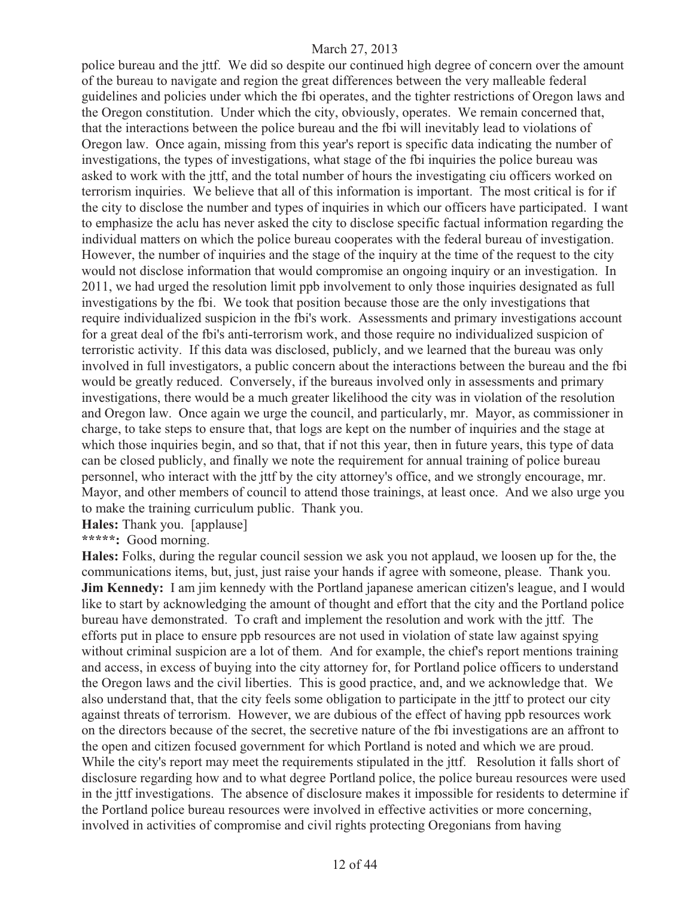police bureau and the jttf. We did so despite our continued high degree of concern over the amount of the bureau to navigate and region the great differences between the very malleable federal guidelines and policies under which the fbi operates, and the tighter restrictions of Oregon laws and the Oregon constitution. Under which the city, obviously, operates. We remain concerned that, that the interactions between the police bureau and the fbi will inevitably lead to violations of Oregon law. Once again, missing from this year's report is specific data indicating the number of investigations, the types of investigations, what stage of the fbi inquiries the police bureau was asked to work with the jttf, and the total number of hours the investigating ciu officers worked on terrorism inquiries. We believe that all of this information is important. The most critical is for if the city to disclose the number and types of inquiries in which our officers have participated. I want to emphasize the aclu has never asked the city to disclose specific factual information regarding the individual matters on which the police bureau cooperates with the federal bureau of investigation. However, the number of inquiries and the stage of the inquiry at the time of the request to the city would not disclose information that would compromise an ongoing inquiry or an investigation. In 2011, we had urged the resolution limit ppb involvement to only those inquiries designated as full investigations by the fbi. We took that position because those are the only investigations that require individualized suspicion in the fbi's work. Assessments and primary investigations account for a great deal of the fbi's anti-terrorism work, and those require no individualized suspicion of terroristic activity. If this data was disclosed, publicly, and we learned that the bureau was only involved in full investigators, a public concern about the interactions between the bureau and the fbi would be greatly reduced. Conversely, if the bureaus involved only in assessments and primary investigations, there would be a much greater likelihood the city was in violation of the resolution and Oregon law. Once again we urge the council, and particularly, mr. Mayor, as commissioner in charge, to take steps to ensure that, that logs are kept on the number of inquiries and the stage at which those inquiries begin, and so that, that if not this year, then in future years, this type of data can be closed publicly, and finally we note the requirement for annual training of police bureau personnel, who interact with the jttf by the city attorney's office, and we strongly encourage, mr. Mayor, and other members of council to attend those trainings, at least once. And we also urge you to make the training curriculum public. Thank you.

**Hales:** Thank you. [applause]

**\*\*\*\*\*:** Good morning.

**Hales:** Folks, during the regular council session we ask you not applaud, we loosen up for the, the communications items, but, just, just raise your hands if agree with someone, please. Thank you. **Jim Kennedy:** I am jim kennedy with the Portland japanese american citizen's league, and I would like to start by acknowledging the amount of thought and effort that the city and the Portland police bureau have demonstrated. To craft and implement the resolution and work with the jttf. The efforts put in place to ensure ppb resources are not used in violation of state law against spying without criminal suspicion are a lot of them. And for example, the chief's report mentions training and access, in excess of buying into the city attorney for, for Portland police officers to understand the Oregon laws and the civil liberties. This is good practice, and, and we acknowledge that. We also understand that, that the city feels some obligation to participate in the jttf to protect our city against threats of terrorism. However, we are dubious of the effect of having ppb resources work on the directors because of the secret, the secretive nature of the fbi investigations are an affront to the open and citizen focused government for which Portland is noted and which we are proud. While the city's report may meet the requirements stipulated in the jttf. Resolution it falls short of disclosure regarding how and to what degree Portland police, the police bureau resources were used in the jttf investigations. The absence of disclosure makes it impossible for residents to determine if the Portland police bureau resources were involved in effective activities or more concerning, involved in activities of compromise and civil rights protecting Oregonians from having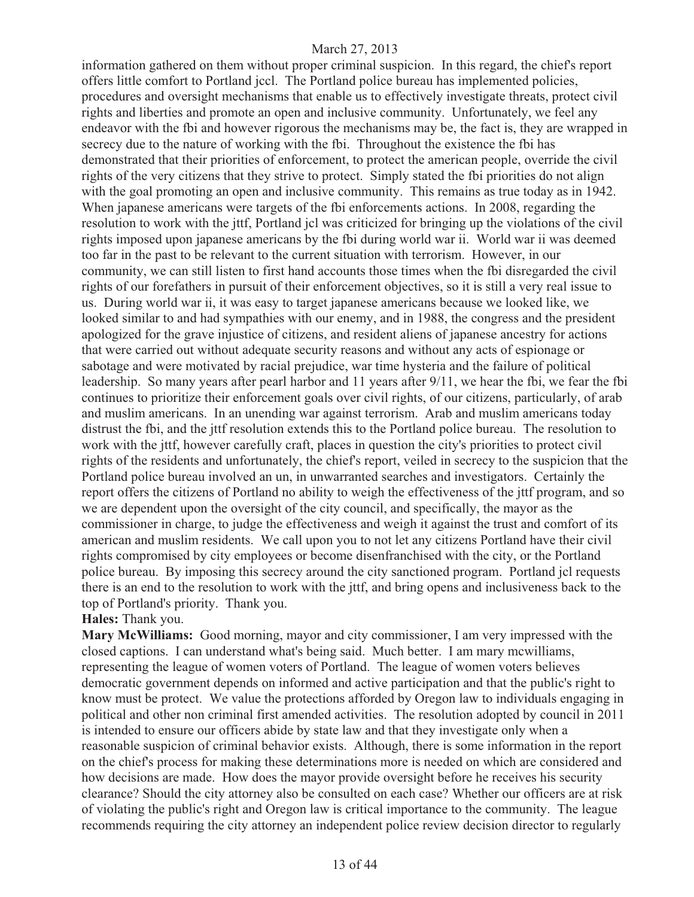information gathered on them without proper criminal suspicion. In this regard, the chief's report offers little comfort to Portland jccl. The Portland police bureau has implemented policies, procedures and oversight mechanisms that enable us to effectively investigate threats, protect civil rights and liberties and promote an open and inclusive community. Unfortunately, we feel any endeavor with the fbi and however rigorous the mechanisms may be, the fact is, they are wrapped in secrecy due to the nature of working with the fbi. Throughout the existence the fbi has demonstrated that their priorities of enforcement, to protect the american people, override the civil rights of the very citizens that they strive to protect. Simply stated the fbi priorities do not align with the goal promoting an open and inclusive community. This remains as true today as in 1942. When japanese americans were targets of the fbi enforcements actions. In 2008, regarding the resolution to work with the jttf, Portland jcl was criticized for bringing up the violations of the civil rights imposed upon japanese americans by the fbi during world war ii. World war ii was deemed too far in the past to be relevant to the current situation with terrorism. However, in our community, we can still listen to first hand accounts those times when the fbi disregarded the civil rights of our forefathers in pursuit of their enforcement objectives, so it is still a very real issue to us. During world war ii, it was easy to target japanese americans because we looked like, we looked similar to and had sympathies with our enemy, and in 1988, the congress and the president apologized for the grave injustice of citizens, and resident aliens of japanese ancestry for actions that were carried out without adequate security reasons and without any acts of espionage or sabotage and were motivated by racial prejudice, war time hysteria and the failure of political leadership. So many years after pearl harbor and 11 years after 9/11, we hear the fbi, we fear the fbi continues to prioritize their enforcement goals over civil rights, of our citizens, particularly, of arab and muslim americans. In an unending war against terrorism. Arab and muslim americans today distrust the fbi, and the jttf resolution extends this to the Portland police bureau. The resolution to work with the jttf, however carefully craft, places in question the city's priorities to protect civil rights of the residents and unfortunately, the chief's report, veiled in secrecy to the suspicion that the Portland police bureau involved an un, in unwarranted searches and investigators. Certainly the report offers the citizens of Portland no ability to weigh the effectiveness of the jttf program, and so we are dependent upon the oversight of the city council, and specifically, the mayor as the commissioner in charge, to judge the effectiveness and weigh it against the trust and comfort of its american and muslim residents. We call upon you to not let any citizens Portland have their civil rights compromised by city employees or become disenfranchised with the city, or the Portland police bureau. By imposing this secrecy around the city sanctioned program. Portland jcl requests there is an end to the resolution to work with the jttf, and bring opens and inclusiveness back to the top of Portland's priority. Thank you.

## **Hales:** Thank you.

**Mary McWilliams:** Good morning, mayor and city commissioner, I am very impressed with the closed captions. I can understand what's being said. Much better. I am mary mcwilliams, representing the league of women voters of Portland. The league of women voters believes democratic government depends on informed and active participation and that the public's right to know must be protect. We value the protections afforded by Oregon law to individuals engaging in political and other non criminal first amended activities. The resolution adopted by council in 2011 is intended to ensure our officers abide by state law and that they investigate only when a reasonable suspicion of criminal behavior exists. Although, there is some information in the report on the chief's process for making these determinations more is needed on which are considered and how decisions are made. How does the mayor provide oversight before he receives his security clearance? Should the city attorney also be consulted on each case? Whether our officers are at risk of violating the public's right and Oregon law is critical importance to the community. The league recommends requiring the city attorney an independent police review decision director to regularly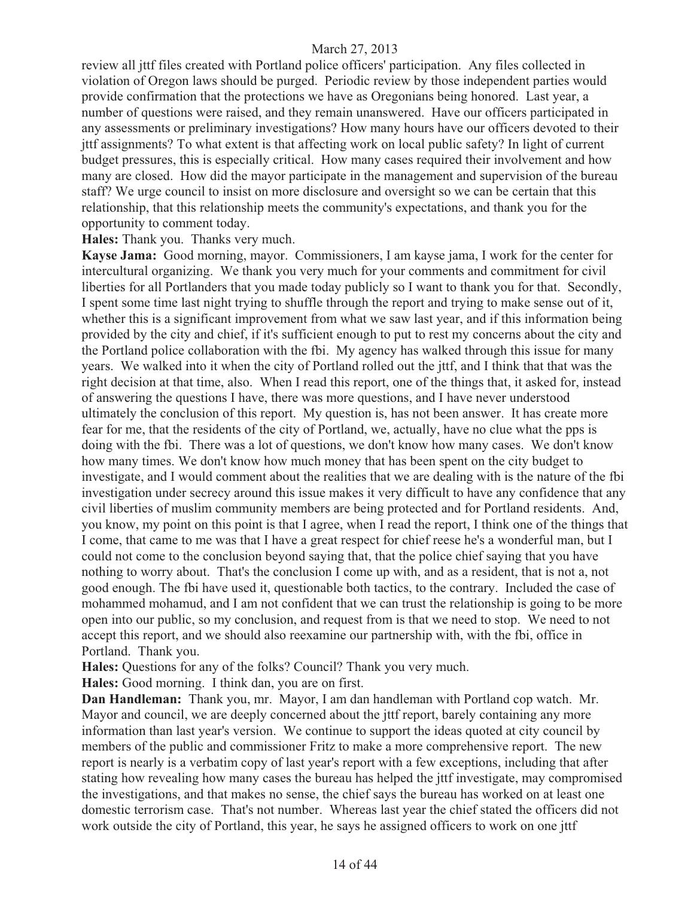review all jttf files created with Portland police officers' participation. Any files collected in violation of Oregon laws should be purged. Periodic review by those independent parties would provide confirmation that the protections we have as Oregonians being honored. Last year, a number of questions were raised, and they remain unanswered. Have our officers participated in any assessments or preliminary investigations? How many hours have our officers devoted to their jttf assignments? To what extent is that affecting work on local public safety? In light of current budget pressures, this is especially critical. How many cases required their involvement and how many are closed. How did the mayor participate in the management and supervision of the bureau staff? We urge council to insist on more disclosure and oversight so we can be certain that this relationship, that this relationship meets the community's expectations, and thank you for the opportunity to comment today.

**Hales:** Thank you. Thanks very much.

**Kayse Jama:** Good morning, mayor. Commissioners, I am kayse jama, I work for the center for intercultural organizing. We thank you very much for your comments and commitment for civil liberties for all Portlanders that you made today publicly so I want to thank you for that. Secondly, I spent some time last night trying to shuffle through the report and trying to make sense out of it, whether this is a significant improvement from what we saw last year, and if this information being provided by the city and chief, if it's sufficient enough to put to rest my concerns about the city and the Portland police collaboration with the fbi. My agency has walked through this issue for many years. We walked into it when the city of Portland rolled out the jttf, and I think that that was the right decision at that time, also. When I read this report, one of the things that, it asked for, instead of answering the questions I have, there was more questions, and I have never understood ultimately the conclusion of this report. My question is, has not been answer. It has create more fear for me, that the residents of the city of Portland, we, actually, have no clue what the pps is doing with the fbi. There was a lot of questions, we don't know how many cases. We don't know how many times. We don't know how much money that has been spent on the city budget to investigate, and I would comment about the realities that we are dealing with is the nature of the fbi investigation under secrecy around this issue makes it very difficult to have any confidence that any civil liberties of muslim community members are being protected and for Portland residents. And, you know, my point on this point is that I agree, when I read the report, I think one of the things that I come, that came to me was that I have a great respect for chief reese he's a wonderful man, but I could not come to the conclusion beyond saying that, that the police chief saying that you have nothing to worry about. That's the conclusion I come up with, and as a resident, that is not a, not good enough. The fbi have used it, questionable both tactics, to the contrary. Included the case of mohammed mohamud, and I am not confident that we can trust the relationship is going to be more open into our public, so my conclusion, and request from is that we need to stop. We need to not accept this report, and we should also reexamine our partnership with, with the fbi, office in Portland. Thank you.

**Hales:** Questions for any of the folks? Council? Thank you very much.

**Hales:** Good morning. I think dan, you are on first.

**Dan Handleman:** Thank you, mr. Mayor, I am dan handleman with Portland cop watch. Mr. Mayor and council, we are deeply concerned about the jttf report, barely containing any more information than last year's version. We continue to support the ideas quoted at city council by members of the public and commissioner Fritz to make a more comprehensive report. The new report is nearly is a verbatim copy of last year's report with a few exceptions, including that after stating how revealing how many cases the bureau has helped the jttf investigate, may compromised the investigations, and that makes no sense, the chief says the bureau has worked on at least one domestic terrorism case. That's not number. Whereas last year the chief stated the officers did not work outside the city of Portland, this year, he says he assigned officers to work on one jttf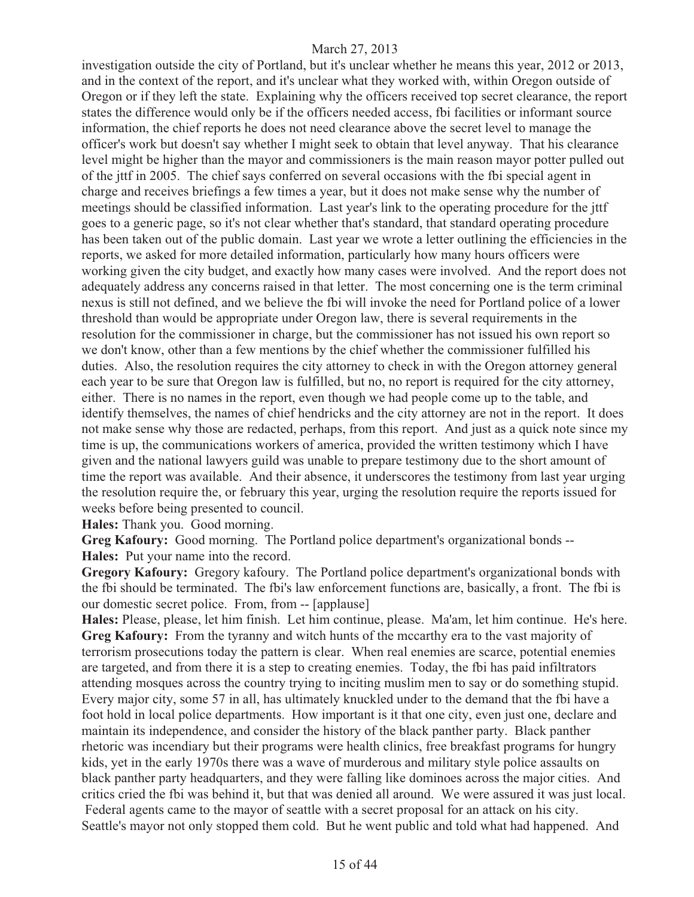investigation outside the city of Portland, but it's unclear whether he means this year, 2012 or 2013, and in the context of the report, and it's unclear what they worked with, within Oregon outside of Oregon or if they left the state. Explaining why the officers received top secret clearance, the report states the difference would only be if the officers needed access, fbi facilities or informant source information, the chief reports he does not need clearance above the secret level to manage the officer's work but doesn't say whether I might seek to obtain that level anyway. That his clearance level might be higher than the mayor and commissioners is the main reason mayor potter pulled out of the jttf in 2005. The chief says conferred on several occasions with the fbi special agent in charge and receives briefings a few times a year, but it does not make sense why the number of meetings should be classified information. Last year's link to the operating procedure for the jttf goes to a generic page, so it's not clear whether that's standard, that standard operating procedure has been taken out of the public domain. Last year we wrote a letter outlining the efficiencies in the reports, we asked for more detailed information, particularly how many hours officers were working given the city budget, and exactly how many cases were involved. And the report does not adequately address any concerns raised in that letter. The most concerning one is the term criminal nexus is still not defined, and we believe the fbi will invoke the need for Portland police of a lower threshold than would be appropriate under Oregon law, there is several requirements in the resolution for the commissioner in charge, but the commissioner has not issued his own report so we don't know, other than a few mentions by the chief whether the commissioner fulfilled his duties. Also, the resolution requires the city attorney to check in with the Oregon attorney general each year to be sure that Oregon law is fulfilled, but no, no report is required for the city attorney, either. There is no names in the report, even though we had people come up to the table, and identify themselves, the names of chief hendricks and the city attorney are not in the report. It does not make sense why those are redacted, perhaps, from this report. And just as a quick note since my time is up, the communications workers of america, provided the written testimony which I have given and the national lawyers guild was unable to prepare testimony due to the short amount of time the report was available. And their absence, it underscores the testimony from last year urging the resolution require the, or february this year, urging the resolution require the reports issued for weeks before being presented to council.

**Hales:** Thank you. Good morning.

**Greg Kafoury:** Good morning. The Portland police department's organizational bonds -- **Hales:** Put your name into the record.

**Gregory Kafoury:** Gregory kafoury. The Portland police department's organizational bonds with the fbi should be terminated. The fbi's law enforcement functions are, basically, a front. The fbi is our domestic secret police. From, from -- [applause]

**Hales:** Please, please, let him finish. Let him continue, please. Ma'am, let him continue. He's here. **Greg Kafoury:** From the tyranny and witch hunts of the mccarthy era to the vast majority of terrorism prosecutions today the pattern is clear. When real enemies are scarce, potential enemies are targeted, and from there it is a step to creating enemies. Today, the fbi has paid infiltrators attending mosques across the country trying to inciting muslim men to say or do something stupid. Every major city, some 57 in all, has ultimately knuckled under to the demand that the fbi have a foot hold in local police departments. How important is it that one city, even just one, declare and maintain its independence, and consider the history of the black panther party. Black panther rhetoric was incendiary but their programs were health clinics, free breakfast programs for hungry kids, yet in the early 1970s there was a wave of murderous and military style police assaults on black panther party headquarters, and they were falling like dominoes across the major cities. And critics cried the fbi was behind it, but that was denied all around. We were assured it was just local. Federal agents came to the mayor of seattle with a secret proposal for an attack on his city.

Seattle's mayor not only stopped them cold. But he went public and told what had happened. And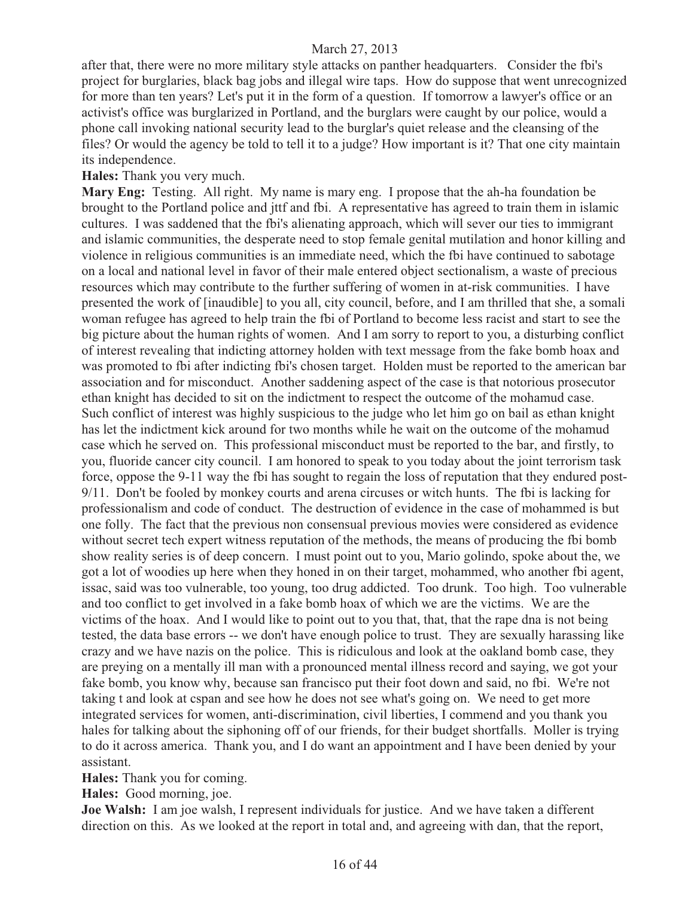after that, there were no more military style attacks on panther headquarters. Consider the fbi's project for burglaries, black bag jobs and illegal wire taps. How do suppose that went unrecognized for more than ten years? Let's put it in the form of a question. If tomorrow a lawyer's office or an activist's office was burglarized in Portland, and the burglars were caught by our police, would a phone call invoking national security lead to the burglar's quiet release and the cleansing of the files? Or would the agency be told to tell it to a judge? How important is it? That one city maintain its independence.

### **Hales:** Thank you very much.

**Mary Eng:** Testing. All right. My name is mary eng. I propose that the ah-ha foundation be brought to the Portland police and jttf and fbi. A representative has agreed to train them in islamic cultures. I was saddened that the fbi's alienating approach, which will sever our ties to immigrant and islamic communities, the desperate need to stop female genital mutilation and honor killing and violence in religious communities is an immediate need, which the fbi have continued to sabotage on a local and national level in favor of their male entered object sectionalism, a waste of precious resources which may contribute to the further suffering of women in at-risk communities. I have presented the work of [inaudible] to you all, city council, before, and I am thrilled that she, a somali woman refugee has agreed to help train the fbi of Portland to become less racist and start to see the big picture about the human rights of women. And I am sorry to report to you, a disturbing conflict of interest revealing that indicting attorney holden with text message from the fake bomb hoax and was promoted to fbi after indicting fbi's chosen target. Holden must be reported to the american bar association and for misconduct. Another saddening aspect of the case is that notorious prosecutor ethan knight has decided to sit on the indictment to respect the outcome of the mohamud case. Such conflict of interest was highly suspicious to the judge who let him go on bail as ethan knight has let the indictment kick around for two months while he wait on the outcome of the mohamud case which he served on. This professional misconduct must be reported to the bar, and firstly, to you, fluoride cancer city council. I am honored to speak to you today about the joint terrorism task force, oppose the 9-11 way the fbi has sought to regain the loss of reputation that they endured post-9/11. Don't be fooled by monkey courts and arena circuses or witch hunts. The fbi is lacking for professionalism and code of conduct. The destruction of evidence in the case of mohammed is but one folly. The fact that the previous non consensual previous movies were considered as evidence without secret tech expert witness reputation of the methods, the means of producing the fbi bomb show reality series is of deep concern. I must point out to you, Mario golindo, spoke about the, we got a lot of woodies up here when they honed in on their target, mohammed, who another fbi agent, issac, said was too vulnerable, too young, too drug addicted. Too drunk. Too high. Too vulnerable and too conflict to get involved in a fake bomb hoax of which we are the victims. We are the victims of the hoax. And I would like to point out to you that, that, that the rape dna is not being tested, the data base errors -- we don't have enough police to trust. They are sexually harassing like crazy and we have nazis on the police. This is ridiculous and look at the oakland bomb case, they are preying on a mentally ill man with a pronounced mental illness record and saying, we got your fake bomb, you know why, because san francisco put their foot down and said, no fbi. We're not taking t and look at cspan and see how he does not see what's going on. We need to get more integrated services for women, anti-discrimination, civil liberties, I commend and you thank you hales for talking about the siphoning off of our friends, for their budget shortfalls. Moller is trying to do it across america. Thank you, and I do want an appointment and I have been denied by your assistant.

**Hales:** Thank you for coming.

**Hales:** Good morning, joe.

**Joe Walsh:** I am joe walsh, I represent individuals for justice. And we have taken a different direction on this. As we looked at the report in total and, and agreeing with dan, that the report,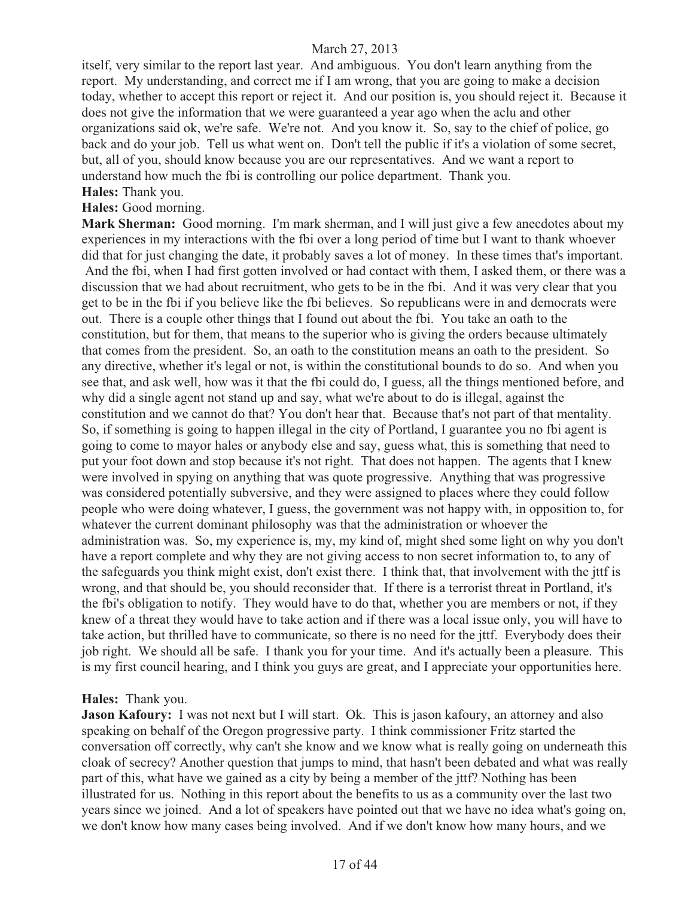itself, very similar to the report last year. And ambiguous. You don't learn anything from the report. My understanding, and correct me if I am wrong, that you are going to make a decision today, whether to accept this report or reject it. And our position is, you should reject it. Because it does not give the information that we were guaranteed a year ago when the aclu and other organizations said ok, we're safe. We're not. And you know it. So, say to the chief of police, go back and do your job. Tell us what went on. Don't tell the public if it's a violation of some secret, but, all of you, should know because you are our representatives. And we want a report to understand how much the fbi is controlling our police department. Thank you.

# **Hales:** Thank you.

# **Hales:** Good morning.

**Mark Sherman:** Good morning. I'm mark sherman, and I will just give a few anecdotes about my experiences in my interactions with the fbi over a long period of time but I want to thank whoever did that for just changing the date, it probably saves a lot of money. In these times that's important. And the fbi, when I had first gotten involved or had contact with them, I asked them, or there was a discussion that we had about recruitment, who gets to be in the fbi. And it was very clear that you get to be in the fbi if you believe like the fbi believes. So republicans were in and democrats were out. There is a couple other things that I found out about the fbi. You take an oath to the constitution, but for them, that means to the superior who is giving the orders because ultimately that comes from the president. So, an oath to the constitution means an oath to the president. So any directive, whether it's legal or not, is within the constitutional bounds to do so. And when you see that, and ask well, how was it that the fbi could do, I guess, all the things mentioned before, and why did a single agent not stand up and say, what we're about to do is illegal, against the constitution and we cannot do that? You don't hear that. Because that's not part of that mentality. So, if something is going to happen illegal in the city of Portland, I guarantee you no fbi agent is going to come to mayor hales or anybody else and say, guess what, this is something that need to put your foot down and stop because it's not right. That does not happen. The agents that I knew were involved in spying on anything that was quote progressive. Anything that was progressive was considered potentially subversive, and they were assigned to places where they could follow people who were doing whatever, I guess, the government was not happy with, in opposition to, for whatever the current dominant philosophy was that the administration or whoever the administration was. So, my experience is, my, my kind of, might shed some light on why you don't have a report complete and why they are not giving access to non secret information to, to any of the safeguards you think might exist, don't exist there. I think that, that involvement with the jttf is wrong, and that should be, you should reconsider that. If there is a terrorist threat in Portland, it's the fbi's obligation to notify. They would have to do that, whether you are members or not, if they knew of a threat they would have to take action and if there was a local issue only, you will have to take action, but thrilled have to communicate, so there is no need for the jttf. Everybody does their job right. We should all be safe. I thank you for your time. And it's actually been a pleasure. This is my first council hearing, and I think you guys are great, and I appreciate your opportunities here.

#### **Hales:** Thank you.

**Jason Kafoury:** I was not next but I will start. Ok. This is jason kafoury, an attorney and also speaking on behalf of the Oregon progressive party. I think commissioner Fritz started the conversation off correctly, why can't she know and we know what is really going on underneath this cloak of secrecy? Another question that jumps to mind, that hasn't been debated and what was really part of this, what have we gained as a city by being a member of the jttf? Nothing has been illustrated for us. Nothing in this report about the benefits to us as a community over the last two years since we joined. And a lot of speakers have pointed out that we have no idea what's going on, we don't know how many cases being involved. And if we don't know how many hours, and we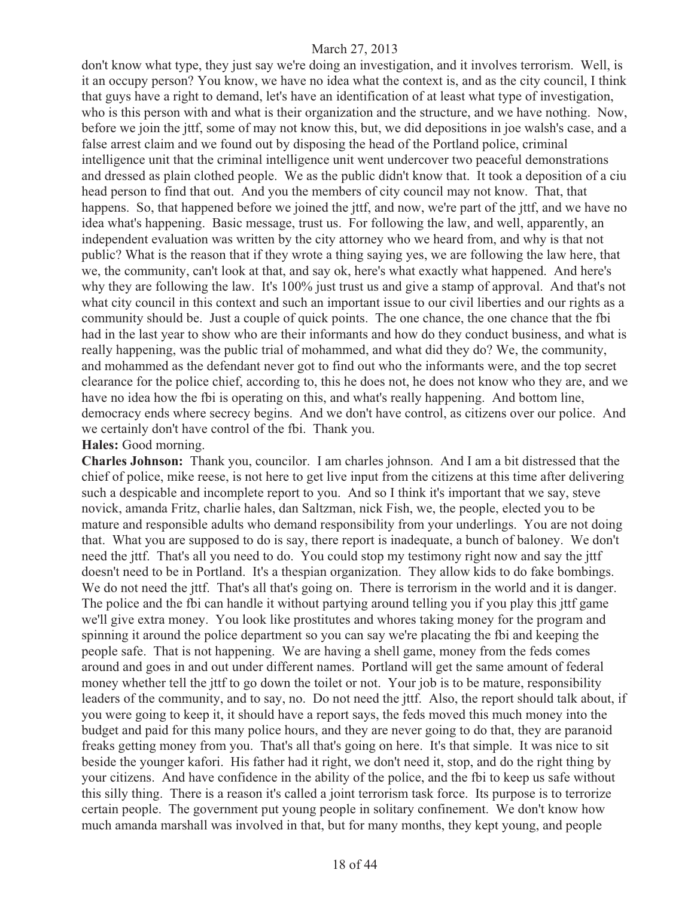don't know what type, they just say we're doing an investigation, and it involves terrorism. Well, is it an occupy person? You know, we have no idea what the context is, and as the city council, I think that guys have a right to demand, let's have an identification of at least what type of investigation, who is this person with and what is their organization and the structure, and we have nothing. Now, before we join the jttf, some of may not know this, but, we did depositions in joe walsh's case, and a false arrest claim and we found out by disposing the head of the Portland police, criminal intelligence unit that the criminal intelligence unit went undercover two peaceful demonstrations and dressed as plain clothed people. We as the public didn't know that. It took a deposition of a ciu head person to find that out. And you the members of city council may not know. That, that happens. So, that happened before we joined the jttf, and now, we're part of the jttf, and we have no idea what's happening. Basic message, trust us. For following the law, and well, apparently, an independent evaluation was written by the city attorney who we heard from, and why is that not public? What is the reason that if they wrote a thing saying yes, we are following the law here, that we, the community, can't look at that, and say ok, here's what exactly what happened. And here's why they are following the law. It's 100% just trust us and give a stamp of approval. And that's not what city council in this context and such an important issue to our civil liberties and our rights as a community should be. Just a couple of quick points. The one chance, the one chance that the fbi had in the last year to show who are their informants and how do they conduct business, and what is really happening, was the public trial of mohammed, and what did they do? We, the community, and mohammed as the defendant never got to find out who the informants were, and the top secret clearance for the police chief, according to, this he does not, he does not know who they are, and we have no idea how the fbi is operating on this, and what's really happening. And bottom line, democracy ends where secrecy begins. And we don't have control, as citizens over our police. And we certainly don't have control of the fbi. Thank you.

# **Hales:** Good morning.

**Charles Johnson:** Thank you, councilor. I am charles johnson. And I am a bit distressed that the chief of police, mike reese, is not here to get live input from the citizens at this time after delivering such a despicable and incomplete report to you. And so I think it's important that we say, steve novick, amanda Fritz, charlie hales, dan Saltzman, nick Fish, we, the people, elected you to be mature and responsible adults who demand responsibility from your underlings. You are not doing that. What you are supposed to do is say, there report is inadequate, a bunch of baloney. We don't need the jttf. That's all you need to do. You could stop my testimony right now and say the jttf doesn't need to be in Portland. It's a thespian organization. They allow kids to do fake bombings. We do not need the jttf. That's all that's going on. There is terrorism in the world and it is danger. The police and the fbi can handle it without partying around telling you if you play this jttf game we'll give extra money. You look like prostitutes and whores taking money for the program and spinning it around the police department so you can say we're placating the fbi and keeping the people safe. That is not happening. We are having a shell game, money from the feds comes around and goes in and out under different names. Portland will get the same amount of federal money whether tell the jttf to go down the toilet or not. Your job is to be mature, responsibility leaders of the community, and to say, no. Do not need the jttf. Also, the report should talk about, if you were going to keep it, it should have a report says, the feds moved this much money into the budget and paid for this many police hours, and they are never going to do that, they are paranoid freaks getting money from you. That's all that's going on here. It's that simple. It was nice to sit beside the younger kafori. His father had it right, we don't need it, stop, and do the right thing by your citizens. And have confidence in the ability of the police, and the fbi to keep us safe without this silly thing. There is a reason it's called a joint terrorism task force. Its purpose is to terrorize certain people. The government put young people in solitary confinement. We don't know how much amanda marshall was involved in that, but for many months, they kept young, and people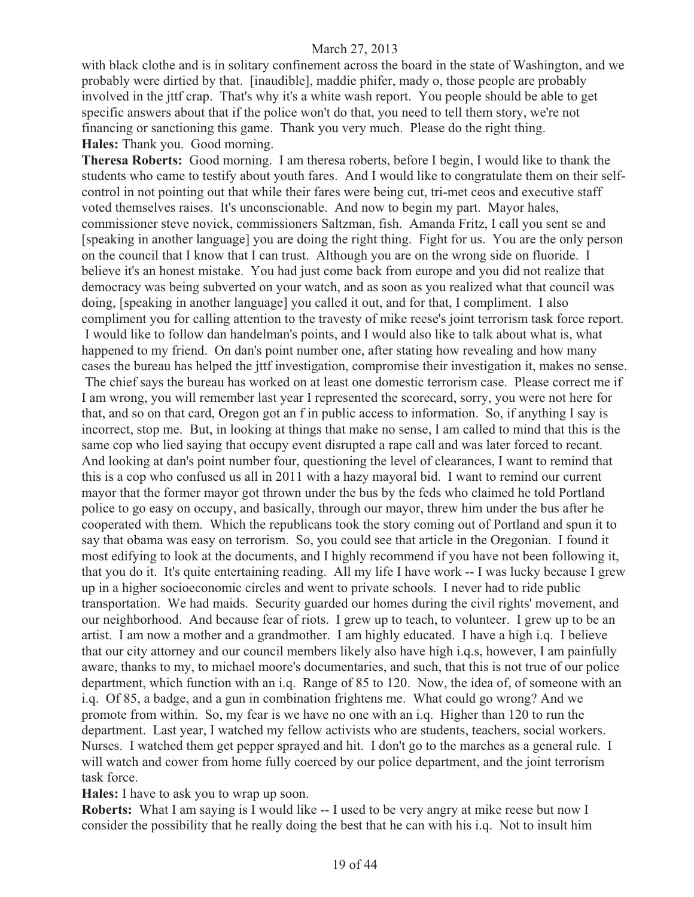with black clothe and is in solitary confinement across the board in the state of Washington, and we probably were dirtied by that. [inaudible], maddie phifer, mady o, those people are probably involved in the jttf crap. That's why it's a white wash report. You people should be able to get specific answers about that if the police won't do that, you need to tell them story, we're not financing or sanctioning this game. Thank you very much. Please do the right thing. **Hales:** Thank you. Good morning.

**Theresa Roberts:** Good morning. I am theresa roberts, before I begin, I would like to thank the students who came to testify about youth fares. And I would like to congratulate them on their selfcontrol in not pointing out that while their fares were being cut, tri-met ceos and executive staff voted themselves raises. It's unconscionable. And now to begin my part. Mayor hales, commissioner steve novick, commissioners Saltzman, fish. Amanda Fritz, I call you sent se and [speaking in another language] you are doing the right thing. Fight for us. You are the only person on the council that I know that I can trust. Although you are on the wrong side on fluoride. I believe it's an honest mistake. You had just come back from europe and you did not realize that democracy was being subverted on your watch, and as soon as you realized what that council was doing, [speaking in another language] you called it out, and for that, I compliment. I also compliment you for calling attention to the travesty of mike reese's joint terrorism task force report. I would like to follow dan handelman's points, and I would also like to talk about what is, what happened to my friend. On dan's point number one, after stating how revealing and how many cases the bureau has helped the jttf investigation, compromise their investigation it, makes no sense. The chief says the bureau has worked on at least one domestic terrorism case. Please correct me if I am wrong, you will remember last year I represented the scorecard, sorry, you were not here for that, and so on that card, Oregon got an f in public access to information. So, if anything I say is incorrect, stop me. But, in looking at things that make no sense, I am called to mind that this is the same cop who lied saying that occupy event disrupted a rape call and was later forced to recant. And looking at dan's point number four, questioning the level of clearances, I want to remind that this is a cop who confused us all in 2011 with a hazy mayoral bid. I want to remind our current mayor that the former mayor got thrown under the bus by the feds who claimed he told Portland police to go easy on occupy, and basically, through our mayor, threw him under the bus after he cooperated with them. Which the republicans took the story coming out of Portland and spun it to say that obama was easy on terrorism. So, you could see that article in the Oregonian. I found it most edifying to look at the documents, and I highly recommend if you have not been following it, that you do it. It's quite entertaining reading. All my life I have work -- I was lucky because I grew up in a higher socioeconomic circles and went to private schools. I never had to ride public transportation. We had maids. Security guarded our homes during the civil rights' movement, and our neighborhood. And because fear of riots. I grew up to teach, to volunteer. I grew up to be an artist. I am now a mother and a grandmother. I am highly educated. I have a high i.q. I believe that our city attorney and our council members likely also have high i.q.s, however, I am painfully aware, thanks to my, to michael moore's documentaries, and such, that this is not true of our police department, which function with an i.q. Range of 85 to 120. Now, the idea of, of someone with an i.q. Of 85, a badge, and a gun in combination frightens me. What could go wrong? And we promote from within. So, my fear is we have no one with an i.q. Higher than 120 to run the department. Last year, I watched my fellow activists who are students, teachers, social workers. Nurses. I watched them get pepper sprayed and hit. I don't go to the marches as a general rule. I will watch and cower from home fully coerced by our police department, and the joint terrorism task force.

**Hales:** I have to ask you to wrap up soon.

**Roberts:** What I am saying is I would like -- I used to be very angry at mike reese but now I consider the possibility that he really doing the best that he can with his i.q. Not to insult him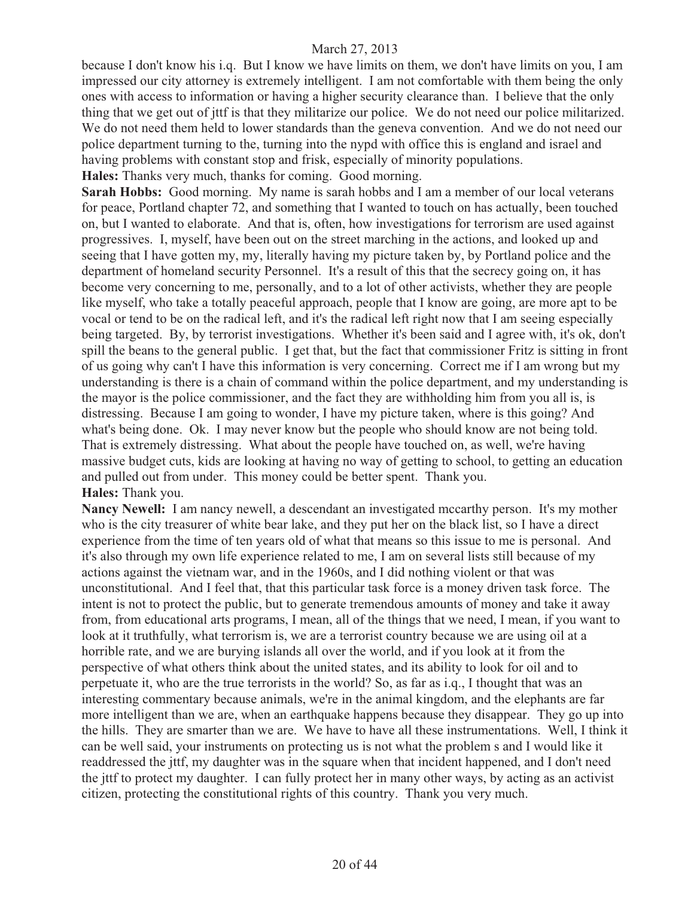because I don't know his i.q. But I know we have limits on them, we don't have limits on you, I am impressed our city attorney is extremely intelligent. I am not comfortable with them being the only ones with access to information or having a higher security clearance than. I believe that the only thing that we get out of jttf is that they militarize our police. We do not need our police militarized. We do not need them held to lower standards than the geneva convention. And we do not need our police department turning to the, turning into the nypd with office this is england and israel and having problems with constant stop and frisk, especially of minority populations. **Hales:** Thanks very much, thanks for coming. Good morning.

**Sarah Hobbs:** Good morning. My name is sarah hobbs and I am a member of our local veterans for peace, Portland chapter 72, and something that I wanted to touch on has actually, been touched on, but I wanted to elaborate. And that is, often, how investigations for terrorism are used against progressives. I, myself, have been out on the street marching in the actions, and looked up and seeing that I have gotten my, my, literally having my picture taken by, by Portland police and the department of homeland security Personnel. It's a result of this that the secrecy going on, it has become very concerning to me, personally, and to a lot of other activists, whether they are people like myself, who take a totally peaceful approach, people that I know are going, are more apt to be vocal or tend to be on the radical left, and it's the radical left right now that I am seeing especially being targeted. By, by terrorist investigations. Whether it's been said and I agree with, it's ok, don't spill the beans to the general public. I get that, but the fact that commissioner Fritz is sitting in front of us going why can't I have this information is very concerning. Correct me if I am wrong but my understanding is there is a chain of command within the police department, and my understanding is the mayor is the police commissioner, and the fact they are withholding him from you all is, is distressing. Because I am going to wonder, I have my picture taken, where is this going? And what's being done. Ok. I may never know but the people who should know are not being told. That is extremely distressing. What about the people have touched on, as well, we're having massive budget cuts, kids are looking at having no way of getting to school, to getting an education and pulled out from under. This money could be better spent. Thank you. **Hales:** Thank you.

**Nancy Newell:** I am nancy newell, a descendant an investigated mccarthy person. It's my mother who is the city treasurer of white bear lake, and they put her on the black list, so I have a direct experience from the time of ten years old of what that means so this issue to me is personal. And it's also through my own life experience related to me, I am on several lists still because of my actions against the vietnam war, and in the 1960s, and I did nothing violent or that was unconstitutional. And I feel that, that this particular task force is a money driven task force. The intent is not to protect the public, but to generate tremendous amounts of money and take it away from, from educational arts programs, I mean, all of the things that we need, I mean, if you want to look at it truthfully, what terrorism is, we are a terrorist country because we are using oil at a horrible rate, and we are burying islands all over the world, and if you look at it from the perspective of what others think about the united states, and its ability to look for oil and to perpetuate it, who are the true terrorists in the world? So, as far as i.q., I thought that was an interesting commentary because animals, we're in the animal kingdom, and the elephants are far more intelligent than we are, when an earthquake happens because they disappear. They go up into the hills. They are smarter than we are. We have to have all these instrumentations. Well, I think it can be well said, your instruments on protecting us is not what the problem s and I would like it readdressed the jttf, my daughter was in the square when that incident happened, and I don't need the jttf to protect my daughter. I can fully protect her in many other ways, by acting as an activist citizen, protecting the constitutional rights of this country. Thank you very much.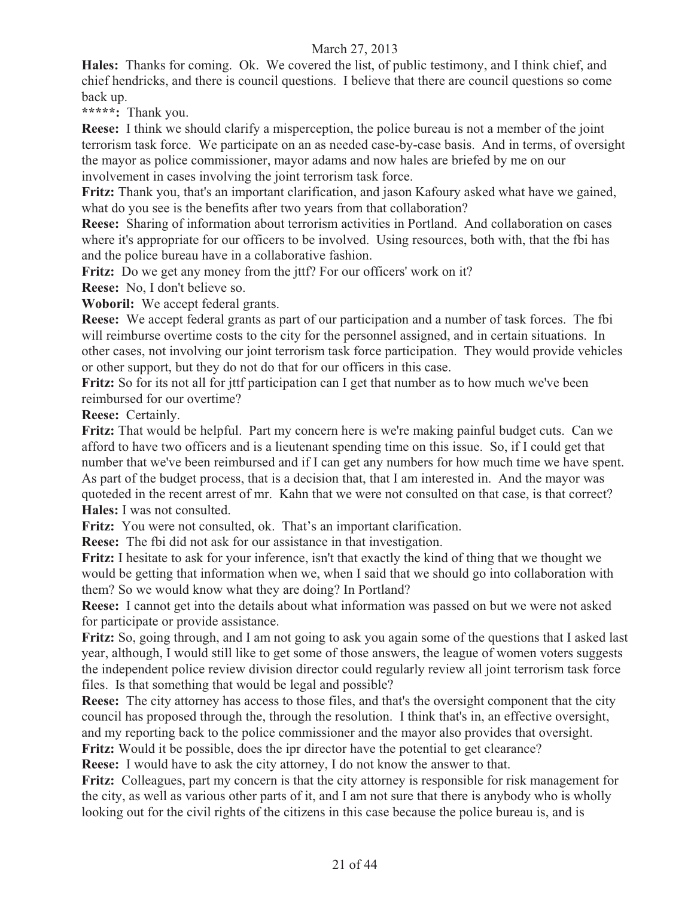**Hales:** Thanks for coming. Ok. We covered the list, of public testimony, and I think chief, and chief hendricks, and there is council questions. I believe that there are council questions so come back up.

**\*\*\*\*\*:** Thank you.

**Reese:** I think we should clarify a misperception, the police bureau is not a member of the joint terrorism task force. We participate on an as needed case-by-case basis. And in terms, of oversight the mayor as police commissioner, mayor adams and now hales are briefed by me on our involvement in cases involving the joint terrorism task force.

**Fritz:** Thank you, that's an important clarification, and jason Kafoury asked what have we gained, what do you see is the benefits after two years from that collaboration?

**Reese:** Sharing of information about terrorism activities in Portland. And collaboration on cases where it's appropriate for our officers to be involved. Using resources, both with, that the fbi has and the police bureau have in a collaborative fashion.

**Fritz:** Do we get any money from the jttf? For our officers' work on it?

**Reese:** No, I don't believe so.

**Woboril:** We accept federal grants.

**Reese:** We accept federal grants as part of our participation and a number of task forces. The fbi will reimburse overtime costs to the city for the personnel assigned, and in certain situations. In other cases, not involving our joint terrorism task force participation. They would provide vehicles or other support, but they do not do that for our officers in this case.

**Fritz:** So for its not all for jttf participation can I get that number as to how much we've been reimbursed for our overtime?

**Reese:** Certainly.

**Fritz:** That would be helpful. Part my concern here is we're making painful budget cuts. Can we afford to have two officers and is a lieutenant spending time on this issue. So, if I could get that number that we've been reimbursed and if I can get any numbers for how much time we have spent. As part of the budget process, that is a decision that, that I am interested in. And the mayor was quoteded in the recent arrest of mr. Kahn that we were not consulted on that case, is that correct? **Hales:** I was not consulted.

Fritz: You were not consulted, ok. That's an important clarification.

**Reese:** The fbi did not ask for our assistance in that investigation.

**Fritz:** I hesitate to ask for your inference, isn't that exactly the kind of thing that we thought we would be getting that information when we, when I said that we should go into collaboration with them? So we would know what they are doing? In Portland?

**Reese:** I cannot get into the details about what information was passed on but we were not asked for participate or provide assistance.

**Fritz:** So, going through, and I am not going to ask you again some of the questions that I asked last year, although, I would still like to get some of those answers, the league of women voters suggests the independent police review division director could regularly review all joint terrorism task force files. Is that something that would be legal and possible?

**Reese:** The city attorney has access to those files, and that's the oversight component that the city council has proposed through the, through the resolution. I think that's in, an effective oversight, and my reporting back to the police commissioner and the mayor also provides that oversight.

**Fritz:** Would it be possible, does the ipr director have the potential to get clearance? **Reese:** I would have to ask the city attorney, I do not know the answer to that.

**Fritz:** Colleagues, part my concern is that the city attorney is responsible for risk management for the city, as well as various other parts of it, and I am not sure that there is anybody who is wholly looking out for the civil rights of the citizens in this case because the police bureau is, and is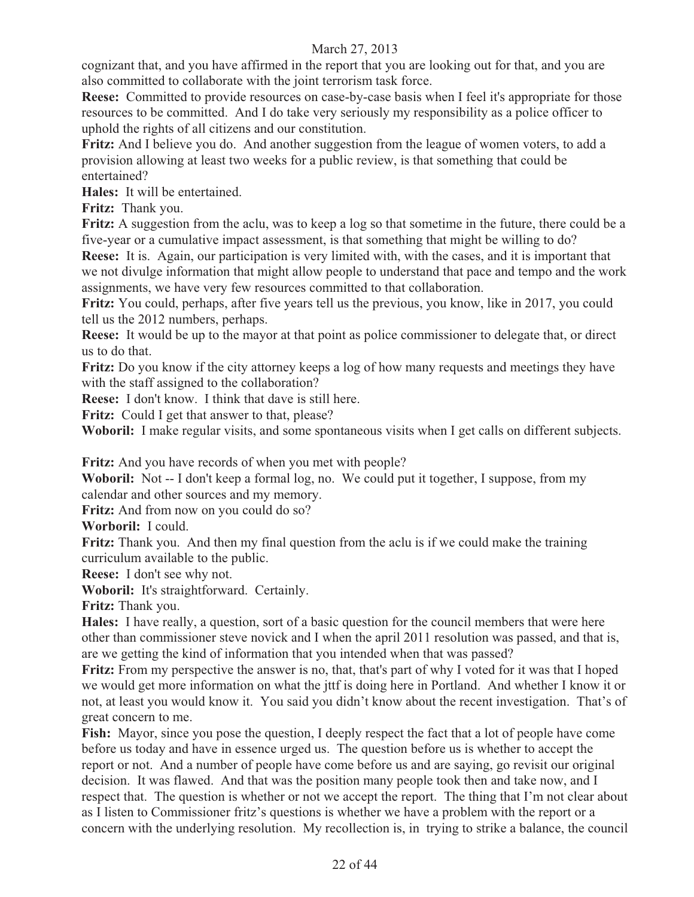cognizant that, and you have affirmed in the report that you are looking out for that, and you are also committed to collaborate with the joint terrorism task force.

**Reese:** Committed to provide resources on case-by-case basis when I feel it's appropriate for those resources to be committed. And I do take very seriously my responsibility as a police officer to uphold the rights of all citizens and our constitution.

**Fritz:** And I believe you do. And another suggestion from the league of women voters, to add a provision allowing at least two weeks for a public review, is that something that could be entertained?

**Hales:** It will be entertained.

**Fritz:** Thank you.

**Fritz:** A suggestion from the aclu, was to keep a log so that sometime in the future, there could be a five-year or a cumulative impact assessment, is that something that might be willing to do?

**Reese:** It is. Again, our participation is very limited with, with the cases, and it is important that we not divulge information that might allow people to understand that pace and tempo and the work assignments, we have very few resources committed to that collaboration.

**Fritz:** You could, perhaps, after five years tell us the previous, you know, like in 2017, you could tell us the 2012 numbers, perhaps.

**Reese:** It would be up to the mayor at that point as police commissioner to delegate that, or direct us to do that.

**Fritz:** Do you know if the city attorney keeps a log of how many requests and meetings they have with the staff assigned to the collaboration?

**Reese:** I don't know. I think that dave is still here.

Fritz: Could I get that answer to that, please?

**Woboril:** I make regular visits, and some spontaneous visits when I get calls on different subjects.

**Fritz:** And you have records of when you met with people?

Woboril: Not -- I don't keep a formal log, no. We could put it together, I suppose, from my calendar and other sources and my memory.

**Fritz:** And from now on you could do so?

**Worboril:** I could.

**Fritz:** Thank you. And then my final question from the aclu is if we could make the training curriculum available to the public.

**Reese:** I don't see why not.

**Woboril:** It's straightforward. Certainly.

**Fritz:** Thank you.

**Hales:** I have really, a question, sort of a basic question for the council members that were here other than commissioner steve novick and I when the april 2011 resolution was passed, and that is, are we getting the kind of information that you intended when that was passed?

**Fritz:** From my perspective the answer is no, that, that's part of why I voted for it was that I hoped we would get more information on what the jttf is doing here in Portland. And whether I know it or not, at least you would know it. You said you didn't know about the recent investigation. That's of great concern to me.

**Fish:** Mayor, since you pose the question, I deeply respect the fact that a lot of people have come before us today and have in essence urged us. The question before us is whether to accept the report or not. And a number of people have come before us and are saying, go revisit our original decision. It was flawed. And that was the position many people took then and take now, and I respect that. The question is whether or not we accept the report. The thing that I'm not clear about as I listen to Commissioner fritz's questions is whether we have a problem with the report or a concern with the underlying resolution. My recollection is, in trying to strike a balance, the council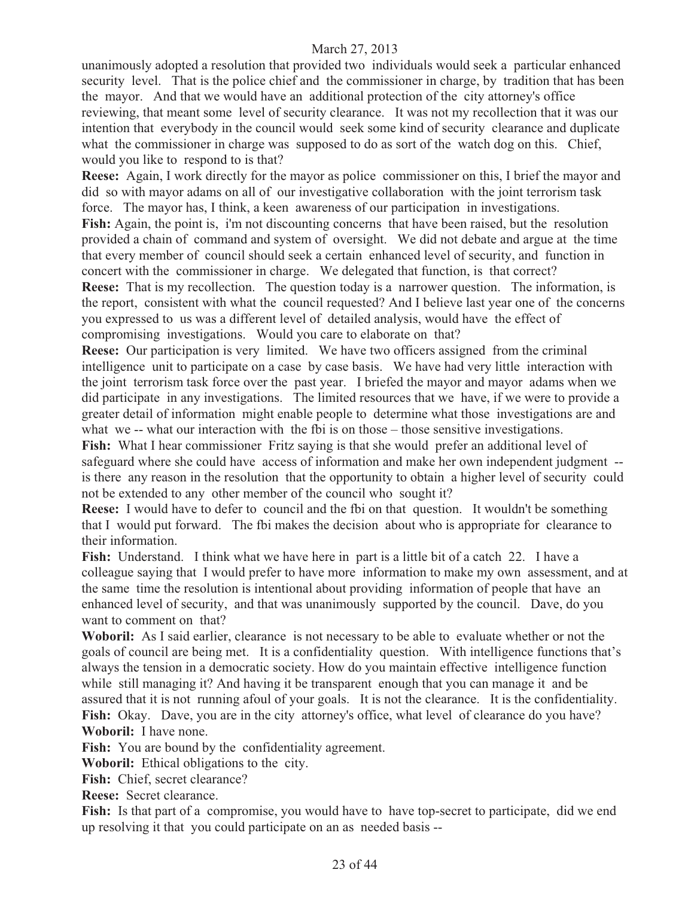unanimously adopted a resolution that provided two individuals would seek a particular enhanced security level. That is the police chief and the commissioner in charge, by tradition that has been the mayor. And that we would have an additional protection of the city attorney's office reviewing, that meant some level of security clearance. It was not my recollection that it was our intention that everybody in the council would seek some kind of security clearance and duplicate what the commissioner in charge was supposed to do as sort of the watch dog on this. Chief, would you like to respond to is that?

**Reese:** Again, I work directly for the mayor as police commissioner on this, I brief the mayor and did so with mayor adams on all of our investigative collaboration with the joint terrorism task force. The mayor has, I think, a keen awareness of our participation in investigations. Fish: Again, the point is, i'm not discounting concerns that have been raised, but the resolution provided a chain of command and system of oversight. We did not debate and argue at the time that every member of council should seek a certain enhanced level of security, and function in concert with the commissioner in charge. We delegated that function, is that correct? **Reese:** That is my recollection. The question today is a narrower question. The information, is the report, consistent with what the council requested? And I believe last year one of the concerns you expressed to us was a different level of detailed analysis, would have the effect of compromising investigations. Would you care to elaborate on that?

**Reese:** Our participation is very limited. We have two officers assigned from the criminal intelligence unit to participate on a case by case basis. We have had very little interaction with the joint terrorism task force over the past year. I briefed the mayor and mayor adams when we did participate in any investigations. The limited resources that we have, if we were to provide a greater detail of information might enable people to determine what those investigations are and what we -- what our interaction with the fbi is on those – those sensitive investigations.

Fish: What I hear commissioner Fritz saying is that she would prefer an additional level of safeguard where she could have access of information and make her own independent judgment - is there any reason in the resolution that the opportunity to obtain a higher level of security could not be extended to any other member of the council who sought it?

**Reese:** I would have to defer to council and the fbi on that question. It wouldn't be something that I would put forward. The fbi makes the decision about who is appropriate for clearance to their information.

**Fish:** Understand. I think what we have here in part is a little bit of a catch 22. I have a colleague saying that I would prefer to have more information to make my own assessment, and at the same time the resolution is intentional about providing information of people that have an enhanced level of security, and that was unanimously supported by the council. Dave, do you want to comment on that?

**Woboril:** As I said earlier, clearance is not necessary to be able to evaluate whether or not the goals of council are being met. It is a confidentiality question. With intelligence functions that's always the tension in a democratic society. How do you maintain effective intelligence function while still managing it? And having it be transparent enough that you can manage it and be assured that it is not running afoul of your goals. It is not the clearance. It is the confidentiality. Fish: Okay. Dave, you are in the city attorney's office, what level of clearance do you have? **Woboril:** I have none.

Fish: You are bound by the confidentiality agreement.

**Woboril:** Ethical obligations to the city.

**Fish:** Chief, secret clearance?

**Reese:** Secret clearance.

Fish: Is that part of a compromise, you would have to have top-secret to participate, did we end up resolving it that you could participate on an as needed basis --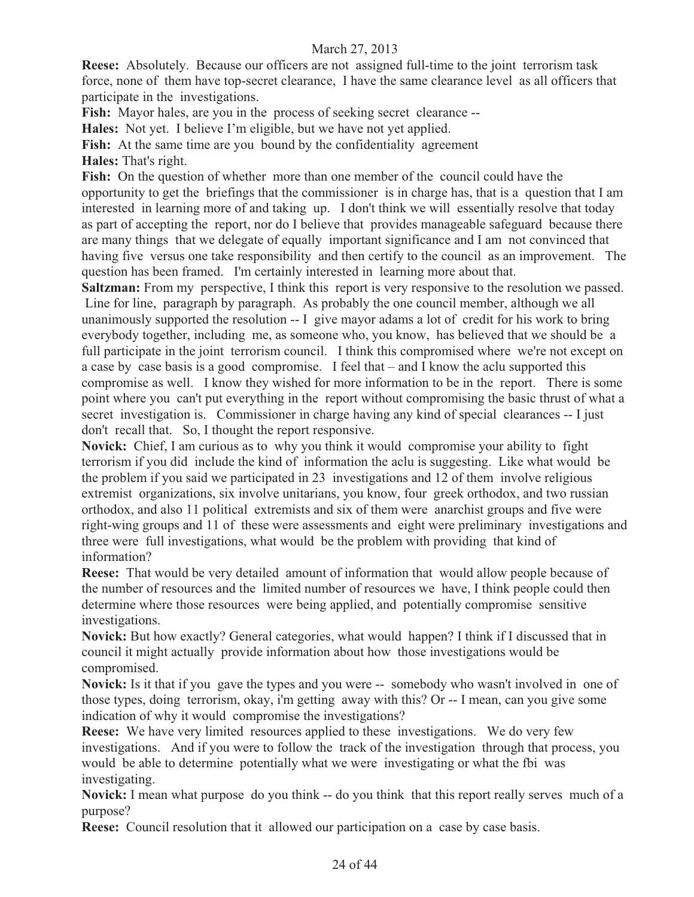**Reese:** Absolutely. Because our officers are not assigned full-time to the joint terrorism task force, none of them have top-secret clearance, I have the same clearance level as all officers that participate in the investigations.

**Fish:** Mayor hales, are you in the process of seeking secret clearance --

**Hales:** Not yet. I believe I'm eligible, but we have not yet applied.

Fish: At the same time are you bound by the confidentiality agreement

**Hales:** That's right.

**Fish:** On the question of whether more than one member of the council could have the opportunity to get the briefings that the commissioner is in charge has, that is a question that I am interested in learning more of and taking up. I don't think we will essentially resolve that today as part of accepting the report, nor do I believe that provides manageable safeguard because there are many things that we delegate of equally important significance and I am not convinced that having five versus one take responsibility and then certify to the council as an improvement. The question has been framed. I'm certainly interested in learning more about that.

**Saltzman:** From my perspective, I think this report is very responsive to the resolution we passed. Line for line, paragraph by paragraph. As probably the one council member, although we all unanimously supported the resolution -- I give mayor adams a lot of credit for his work to bring everybody together, including me, as someone who, you know, has believed that we should be a full participate in the joint terrorism council. I think this compromised where we're not except on a case by case basis is a good compromise. I feel that – and I know the aclu supported this compromise as well. I know they wished for more information to be in the report. There is some point where you can't put everything in the report without compromising the basic thrust of what a secret investigation is. Commissioner in charge having any kind of special clearances -- I just don't recall that. So, I thought the report responsive.

**Novick:** Chief, I am curious as to why you think it would compromise your ability to fight terrorism if you did include the kind of information the aclu is suggesting. Like what would be the problem if you said we participated in 23 investigations and 12 of them involve religious extremist organizations, six involve unitarians, you know, four greek orthodox, and two russian orthodox, and also 11 political extremists and six of them were anarchist groups and five were right-wing groups and 11 of these were assessments and eight were preliminary investigations and three were full investigations, what would be the problem with providing that kind of information?

**Reese:** That would be very detailed amount of information that would allow people because of the number of resources and the limited number of resources we have, I think people could then determine where those resources were being applied, and potentially compromise sensitive investigations.

**Novick:** But how exactly? General categories, what would happen? I think if I discussed that in council it might actually provide information about how those investigations would be compromised.

**Novick:** Is it that if you gave the types and you were -- somebody who wasn't involved in one of those types, doing terrorism, okay, i'm getting away with this? Or -- I mean, can you give some indication of why it would compromise the investigations?

**Reese:** We have very limited resources applied to these investigations. We do very few investigations. And if you were to follow the track of the investigation through that process, you would be able to determine potentially what we were investigating or what the fbi was investigating.

**Novick:** I mean what purpose do you think -- do you think that this report really serves much of a purpose?

**Reese:** Council resolution that it allowed our participation on a case by case basis.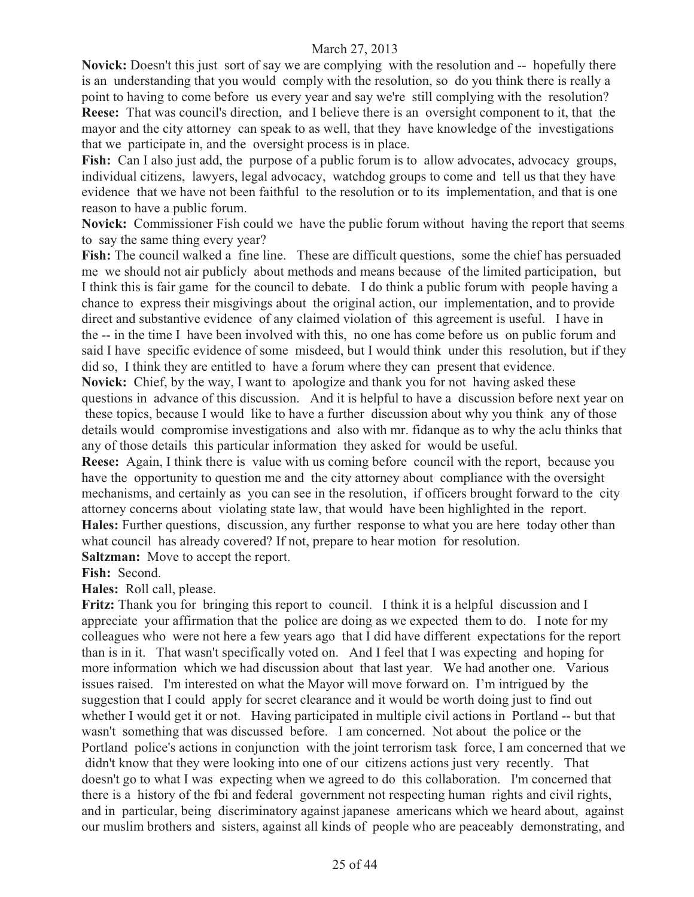**Novick:** Doesn't this just sort of say we are complying with the resolution and -- hopefully there is an understanding that you would comply with the resolution, so do you think there is really a point to having to come before us every year and say we're still complying with the resolution? **Reese:** That was council's direction, and I believe there is an oversight component to it, that the mayor and the city attorney can speak to as well, that they have knowledge of the investigations that we participate in, and the oversight process is in place.

Fish: Can I also just add, the purpose of a public forum is to allow advocates, advocacy groups, individual citizens, lawyers, legal advocacy, watchdog groups to come and tell us that they have evidence that we have not been faithful to the resolution or to its implementation, and that is one reason to have a public forum.

**Novick:** Commissioner Fish could we have the public forum without having the report that seems to say the same thing every year?

**Fish:** The council walked a fine line. These are difficult questions, some the chief has persuaded me we should not air publicly about methods and means because of the limited participation, but I think this is fair game for the council to debate. I do think a public forum with people having a chance to express their misgivings about the original action, our implementation, and to provide direct and substantive evidence of any claimed violation of this agreement is useful. I have in the -- in the time I have been involved with this, no one has come before us on public forum and said I have specific evidence of some misdeed, but I would think under this resolution, but if they did so, I think they are entitled to have a forum where they can present that evidence.

**Novick:** Chief, by the way, I want to apologize and thank you for not having asked these questions in advance of this discussion. And it is helpful to have a discussion before next year on these topics, because I would like to have a further discussion about why you think any of those details would compromise investigations and also with mr. fidanque as to why the aclu thinks that any of those details this particular information they asked for would be useful.

**Reese:** Again, I think there is value with us coming before council with the report, because you have the opportunity to question me and the city attorney about compliance with the oversight mechanisms, and certainly as you can see in the resolution, if officers brought forward to the city attorney concerns about violating state law, that would have been highlighted in the report. **Hales:** Further questions, discussion, any further response to what you are here today other than what council has already covered? If not, prepare to hear motion for resolution.

**Saltzman:** Move to accept the report.

**Fish:** Second.

**Hales:** Roll call, please.

**Fritz:** Thank you for bringing this report to council. I think it is a helpful discussion and I appreciate your affirmation that the police are doing as we expected them to do. I note for my colleagues who were not here a few years ago that I did have different expectations for the report than is in it. That wasn't specifically voted on. And I feel that I was expecting and hoping for more information which we had discussion about that last year. We had another one. Various issues raised. I'm interested on what the Mayor will move forward on. I'm intrigued by the suggestion that I could apply for secret clearance and it would be worth doing just to find out whether I would get it or not. Having participated in multiple civil actions in Portland -- but that wasn't something that was discussed before. I am concerned. Not about the police or the Portland police's actions in conjunction with the joint terrorism task force, I am concerned that we didn't know that they were looking into one of our citizens actions just very recently. That doesn't go to what I was expecting when we agreed to do this collaboration. I'm concerned that there is a history of the fbi and federal government not respecting human rights and civil rights, and in particular, being discriminatory against japanese americans which we heard about, against our muslim brothers and sisters, against all kinds of people who are peaceably demonstrating, and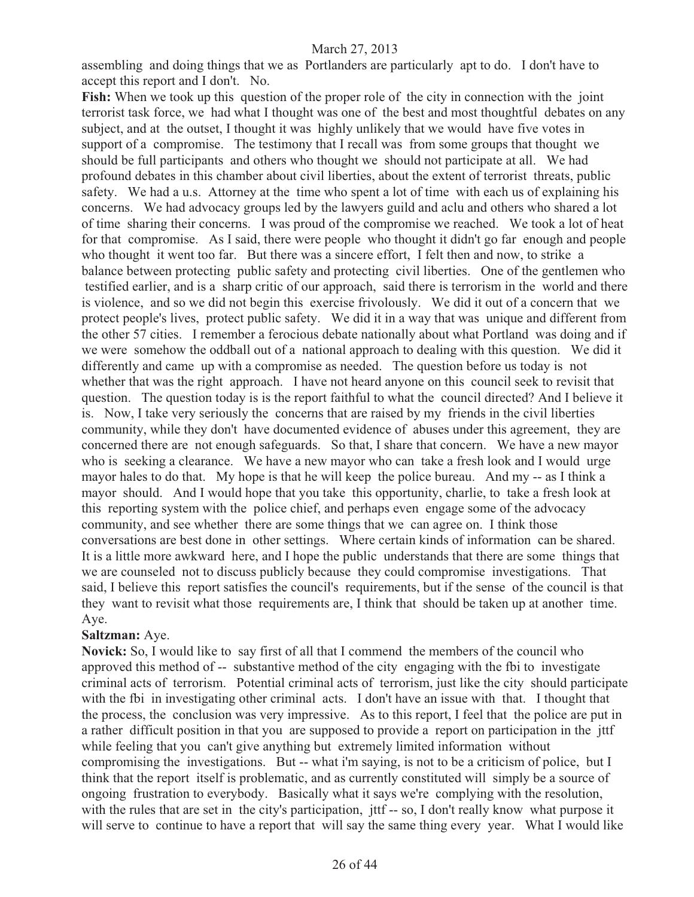assembling and doing things that we as Portlanders are particularly apt to do. I don't have to accept this report and I don't. No.

**Fish:** When we took up this question of the proper role of the city in connection with the joint terrorist task force, we had what I thought was one of the best and most thoughtful debates on any subject, and at the outset, I thought it was highly unlikely that we would have five votes in support of a compromise. The testimony that I recall was from some groups that thought we should be full participants and others who thought we should not participate at all. We had profound debates in this chamber about civil liberties, about the extent of terrorist threats, public safety. We had a u.s. Attorney at the time who spent a lot of time with each us of explaining his concerns. We had advocacy groups led by the lawyers guild and aclu and others who shared a lot of time sharing their concerns. I was proud of the compromise we reached. We took a lot of heat for that compromise. As I said, there were people who thought it didn't go far enough and people who thought it went too far. But there was a sincere effort, I felt then and now, to strike a balance between protecting public safety and protecting civil liberties. One of the gentlemen who testified earlier, and is a sharp critic of our approach, said there is terrorism in the world and there is violence, and so we did not begin this exercise frivolously. We did it out of a concern that we protect people's lives, protect public safety. We did it in a way that was unique and different from the other 57 cities. I remember a ferocious debate nationally about what Portland was doing and if we were somehow the oddball out of a national approach to dealing with this question. We did it differently and came up with a compromise as needed. The question before us today is not whether that was the right approach. I have not heard anyone on this council seek to revisit that question. The question today is is the report faithful to what the council directed? And I believe it is. Now, I take very seriously the concerns that are raised by my friends in the civil liberties community, while they don't have documented evidence of abuses under this agreement, they are concerned there are not enough safeguards. So that, I share that concern. We have a new mayor who is seeking a clearance. We have a new mayor who can take a fresh look and I would urge mayor hales to do that. My hope is that he will keep the police bureau. And my -- as I think a mayor should. And I would hope that you take this opportunity, charlie, to take a fresh look at this reporting system with the police chief, and perhaps even engage some of the advocacy community, and see whether there are some things that we can agree on. I think those conversations are best done in other settings. Where certain kinds of information can be shared. It is a little more awkward here, and I hope the public understands that there are some things that we are counseled not to discuss publicly because they could compromise investigations. That said, I believe this report satisfies the council's requirements, but if the sense of the council is that they want to revisit what those requirements are, I think that should be taken up at another time. Aye.

## **Saltzman:** Aye.

**Novick:** So, I would like to say first of all that I commend the members of the council who approved this method of -- substantive method of the city engaging with the fbi to investigate criminal acts of terrorism. Potential criminal acts of terrorism, just like the city should participate with the fbi in investigating other criminal acts. I don't have an issue with that. I thought that the process, the conclusion was very impressive. As to this report, I feel that the police are put in a rather difficult position in that you are supposed to provide a report on participation in the jttf while feeling that you can't give anything but extremely limited information without compromising the investigations. But -- what i'm saying, is not to be a criticism of police, but I think that the report itself is problematic, and as currently constituted will simply be a source of ongoing frustration to everybody. Basically what it says we're complying with the resolution, with the rules that are set in the city's participation, jttf -- so, I don't really know what purpose it will serve to continue to have a report that will say the same thing every year. What I would like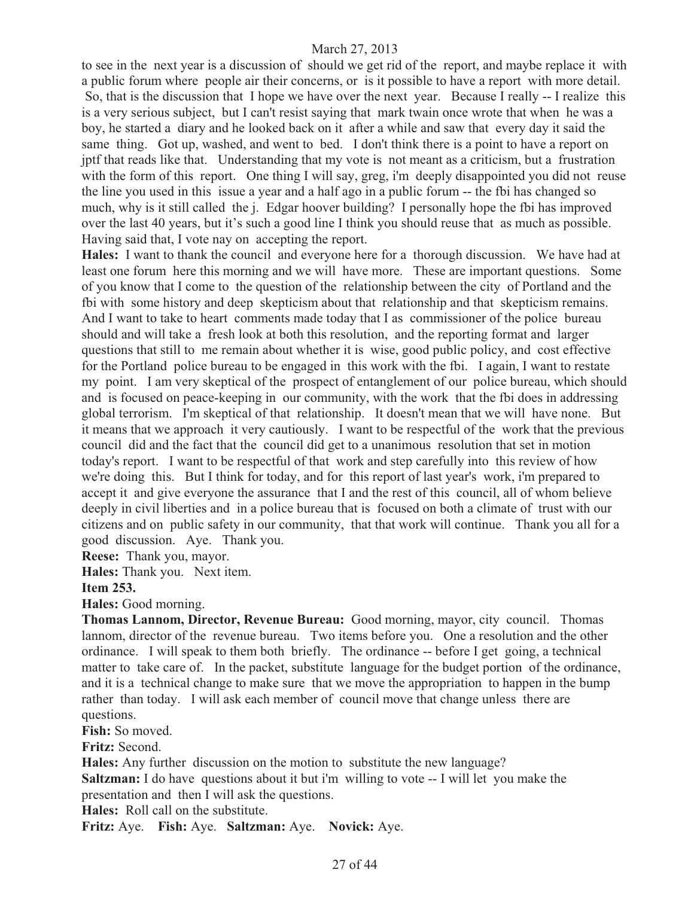to see in the next year is a discussion of should we get rid of the report, and maybe replace it with a public forum where people air their concerns, or is it possible to have a report with more detail. So, that is the discussion that I hope we have over the next year. Because I really -- I realize this is a very serious subject, but I can't resist saying that mark twain once wrote that when he was a boy, he started a diary and he looked back on it after a while and saw that every day it said the same thing. Got up, washed, and went to bed. I don't think there is a point to have a report on jptf that reads like that. Understanding that my vote is not meant as a criticism, but a frustration with the form of this report. One thing I will say, greg, i'm deeply disappointed you did not reuse the line you used in this issue a year and a half ago in a public forum -- the fbi has changed so much, why is it still called the j. Edgar hoover building? I personally hope the fbi has improved over the last 40 years, but it's such a good line I think you should reuse that as much as possible. Having said that, I vote nay on accepting the report.

**Hales:** I want to thank the council and everyone here for a thorough discussion. We have had at least one forum here this morning and we will have more. These are important questions. Some of you know that I come to the question of the relationship between the city of Portland and the fbi with some history and deep skepticism about that relationship and that skepticism remains. And I want to take to heart comments made today that I as commissioner of the police bureau should and will take a fresh look at both this resolution, and the reporting format and larger questions that still to me remain about whether it is wise, good public policy, and cost effective for the Portland police bureau to be engaged in this work with the fbi. I again, I want to restate my point. I am very skeptical of the prospect of entanglement of our police bureau, which should and is focused on peace-keeping in our community, with the work that the fbi does in addressing global terrorism. I'm skeptical of that relationship. It doesn't mean that we will have none. But it means that we approach it very cautiously. I want to be respectful of the work that the previous council did and the fact that the council did get to a unanimous resolution that set in motion today's report. I want to be respectful of that work and step carefully into this review of how we're doing this. But I think for today, and for this report of last year's work, i'm prepared to accept it and give everyone the assurance that I and the rest of this council, all of whom believe deeply in civil liberties and in a police bureau that is focused on both a climate of trust with our citizens and on public safety in our community, that that work will continue. Thank you all for a good discussion. Aye. Thank you.

**Reese:** Thank you, mayor.

**Hales:** Thank you. Next item.

**Item 253.** 

**Hales:** Good morning.

**Thomas Lannom, Director, Revenue Bureau:** Good morning, mayor, city council. Thomas lannom, director of the revenue bureau. Two items before you. One a resolution and the other ordinance. I will speak to them both briefly. The ordinance -- before I get going, a technical matter to take care of. In the packet, substitute language for the budget portion of the ordinance, and it is a technical change to make sure that we move the appropriation to happen in the bump rather than today. I will ask each member of council move that change unless there are questions.

**Fish:** So moved.

**Fritz:** Second.

**Hales:** Any further discussion on the motion to substitute the new language? **Saltzman:** I do have questions about it but i'm willing to vote -- I will let you make the presentation and then I will ask the questions.

**Hales:** Roll call on the substitute.

**Fritz:** Aye. **Fish:** Aye. **Saltzman:** Aye. **Novick:** Aye.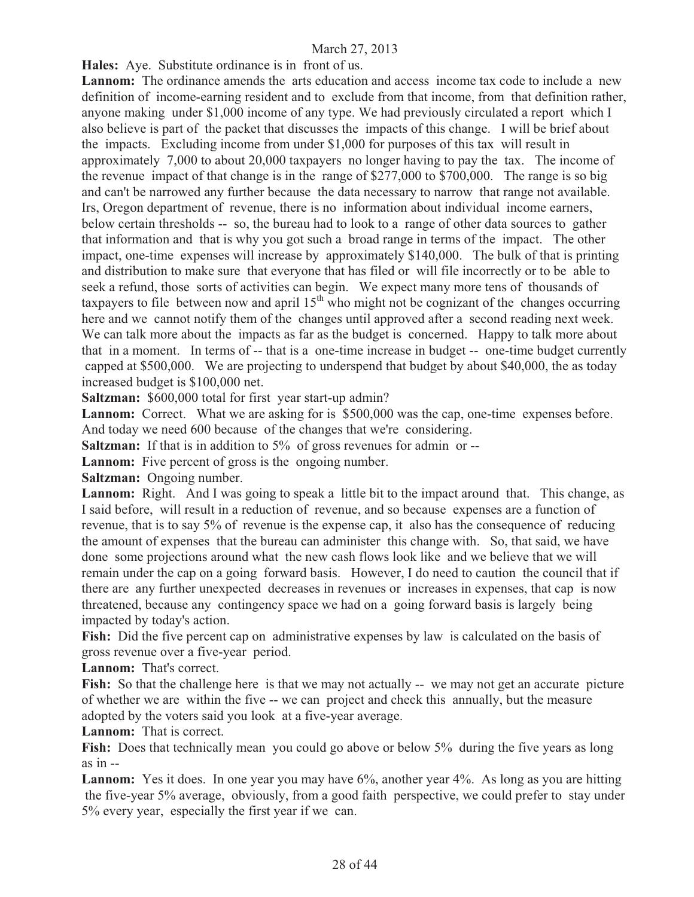**Hales:** Aye. Substitute ordinance is in front of us.

**Lannom:** The ordinance amends the arts education and access income tax code to include a new definition of income-earning resident and to exclude from that income, from that definition rather, anyone making under \$1,000 income of any type. We had previously circulated a report which I also believe is part of the packet that discusses the impacts of this change. I will be brief about the impacts. Excluding income from under \$1,000 for purposes of this tax will result in approximately 7,000 to about 20,000 taxpayers no longer having to pay the tax. The income of the revenue impact of that change is in the range of \$277,000 to \$700,000. The range is so big and can't be narrowed any further because the data necessary to narrow that range not available. Irs, Oregon department of revenue, there is no information about individual income earners, below certain thresholds -- so, the bureau had to look to a range of other data sources to gather that information and that is why you got such a broad range in terms of the impact. The other impact, one-time expenses will increase by approximately \$140,000. The bulk of that is printing and distribution to make sure that everyone that has filed or will file incorrectly or to be able to seek a refund, those sorts of activities can begin. We expect many more tens of thousands of taxpayers to file between now and april  $15<sup>th</sup>$  who might not be cognizant of the changes occurring here and we cannot notify them of the changes until approved after a second reading next week. We can talk more about the impacts as far as the budget is concerned. Happy to talk more about that in a moment. In terms of -- that is a one-time increase in budget -- one-time budget currently capped at \$500,000. We are projecting to underspend that budget by about \$40,000, the as today increased budget is \$100,000 net.

**Saltzman:** \$600,000 total for first year start-up admin?

Lannom: Correct. What we are asking for is \$500,000 was the cap, one-time expenses before. And today we need 600 because of the changes that we're considering.

**Saltzman:** If that is in addition to 5% of gross revenues for admin or --

Lannom: Five percent of gross is the ongoing number.

**Saltzman:** Ongoing number.

Lannom: Right. And I was going to speak a little bit to the impact around that. This change, as I said before, will result in a reduction of revenue, and so because expenses are a function of revenue, that is to say 5% of revenue is the expense cap, it also has the consequence of reducing the amount of expenses that the bureau can administer this change with. So, that said, we have done some projections around what the new cash flows look like and we believe that we will remain under the cap on a going forward basis. However, I do need to caution the council that if there are any further unexpected decreases in revenues or increases in expenses, that cap is now threatened, because any contingency space we had on a going forward basis is largely being impacted by today's action.

**Fish:** Did the five percent cap on administrative expenses by law is calculated on the basis of gross revenue over a five-year period.

**Lannom:** That's correct.

**Fish:** So that the challenge here is that we may not actually -- we may not get an accurate picture of whether we are within the five -- we can project and check this annually, but the measure adopted by the voters said you look at a five-year average.

**Lannom:** That is correct.

Fish: Does that technically mean you could go above or below 5% during the five years as long as in --

Lannom: Yes it does. In one year you may have 6%, another year 4%. As long as you are hitting the five-year 5% average, obviously, from a good faith perspective, we could prefer to stay under 5% every year, especially the first year if we can.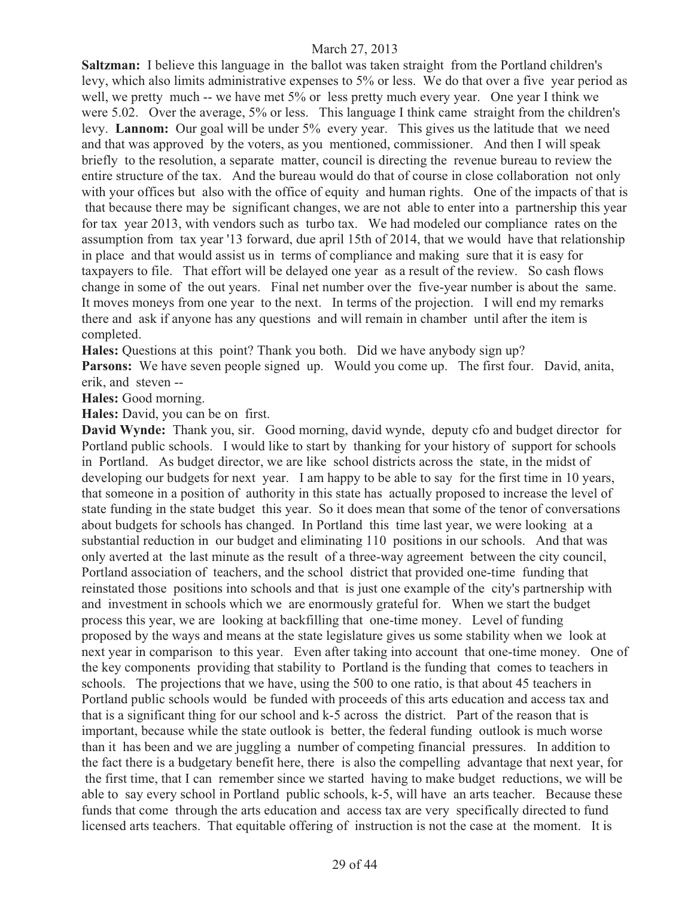**Saltzman:** I believe this language in the ballot was taken straight from the Portland children's levy, which also limits administrative expenses to 5% or less. We do that over a five year period as well, we pretty much -- we have met 5% or less pretty much every year. One year I think we were 5.02. Over the average, 5% or less. This language I think came straight from the children's levy. **Lannom:** Our goal will be under 5% every year. This gives us the latitude that we need and that was approved by the voters, as you mentioned, commissioner. And then I will speak briefly to the resolution, a separate matter, council is directing the revenue bureau to review the entire structure of the tax. And the bureau would do that of course in close collaboration not only with your offices but also with the office of equity and human rights. One of the impacts of that is that because there may be significant changes, we are not able to enter into a partnership this year for tax year 2013, with vendors such as turbo tax. We had modeled our compliance rates on the assumption from tax year '13 forward, due april 15th of 2014, that we would have that relationship in place and that would assist us in terms of compliance and making sure that it is easy for taxpayers to file. That effort will be delayed one year as a result of the review. So cash flows change in some of the out years. Final net number over the five-year number is about the same. It moves moneys from one year to the next. In terms of the projection. I will end my remarks there and ask if anyone has any questions and will remain in chamber until after the item is completed.

**Hales:** Questions at this point? Thank you both. Did we have anybody sign up?

**Parsons:** We have seven people signed up. Would you come up. The first four. David, anita, erik, and steven --

**Hales:** Good morning.

**Hales:** David, you can be on first.

**David Wynde:** Thank you, sir. Good morning, david wynde, deputy cfo and budget director for Portland public schools. I would like to start by thanking for your history of support for schools in Portland. As budget director, we are like school districts across the state, in the midst of developing our budgets for next year. I am happy to be able to say for the first time in 10 years, that someone in a position of authority in this state has actually proposed to increase the level of state funding in the state budget this year. So it does mean that some of the tenor of conversations about budgets for schools has changed. In Portland this time last year, we were looking at a substantial reduction in our budget and eliminating 110 positions in our schools. And that was only averted at the last minute as the result of a three-way agreement between the city council, Portland association of teachers, and the school district that provided one-time funding that reinstated those positions into schools and that is just one example of the city's partnership with and investment in schools which we are enormously grateful for. When we start the budget process this year, we are looking at backfilling that one-time money. Level of funding proposed by the ways and means at the state legislature gives us some stability when we look at next year in comparison to this year. Even after taking into account that one-time money. One of the key components providing that stability to Portland is the funding that comes to teachers in schools. The projections that we have, using the 500 to one ratio, is that about 45 teachers in Portland public schools would be funded with proceeds of this arts education and access tax and that is a significant thing for our school and k-5 across the district. Part of the reason that is important, because while the state outlook is better, the federal funding outlook is much worse than it has been and we are juggling a number of competing financial pressures. In addition to the fact there is a budgetary benefit here, there is also the compelling advantage that next year, for the first time, that I can remember since we started having to make budget reductions, we will be able to say every school in Portland public schools, k-5, will have an arts teacher. Because these funds that come through the arts education and access tax are very specifically directed to fund licensed arts teachers. That equitable offering of instruction is not the case at the moment. It is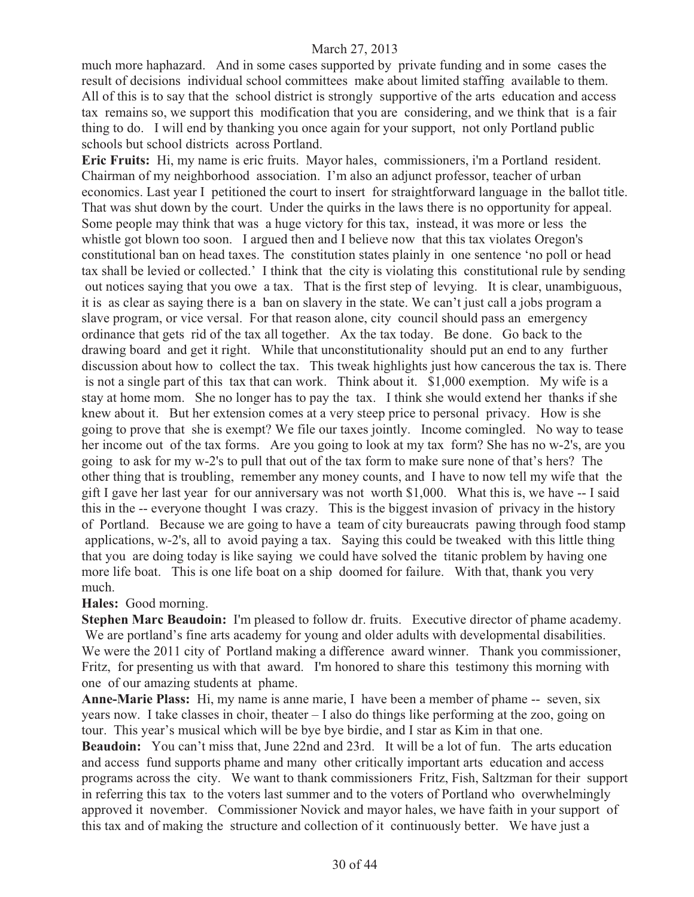much more haphazard. And in some cases supported by private funding and in some cases the result of decisions individual school committees make about limited staffing available to them. All of this is to say that the school district is strongly supportive of the arts education and access tax remains so, we support this modification that you are considering, and we think that is a fair thing to do. I will end by thanking you once again for your support, not only Portland public schools but school districts across Portland.

**Eric Fruits:** Hi, my name is eric fruits. Mayor hales, commissioners, i'm a Portland resident. Chairman of my neighborhood association. I'm also an adjunct professor, teacher of urban economics. Last year I petitioned the court to insert for straightforward language in the ballot title. That was shut down by the court. Under the quirks in the laws there is no opportunity for appeal. Some people may think that was a huge victory for this tax, instead, it was more or less the whistle got blown too soon. I argued then and I believe now that this tax violates Oregon's constitutional ban on head taxes. The constitution states plainly in one sentence 'no poll or head tax shall be levied or collected.' I think that the city is violating this constitutional rule by sending out notices saying that you owe a tax. That is the first step of levying. It is clear, unambiguous, it is as clear as saying there is a ban on slavery in the state. We can't just call a jobs program a slave program, or vice versal. For that reason alone, city council should pass an emergency ordinance that gets rid of the tax all together. Ax the tax today. Be done. Go back to the drawing board and get it right. While that unconstitutionality should put an end to any further discussion about how to collect the tax. This tweak highlights just how cancerous the tax is. There is not a single part of this tax that can work. Think about it. \$1,000 exemption. My wife is a stay at home mom. She no longer has to pay the tax. I think she would extend her thanks if she knew about it. But her extension comes at a very steep price to personal privacy. How is she going to prove that she is exempt? We file our taxes jointly. Income comingled. No way to tease her income out of the tax forms. Are you going to look at my tax form? She has no w-2's, are you going to ask for my w-2's to pull that out of the tax form to make sure none of that's hers? The other thing that is troubling, remember any money counts, and I have to now tell my wife that the gift I gave her last year for our anniversary was not worth \$1,000. What this is, we have -- I said this in the -- everyone thought I was crazy. This is the biggest invasion of privacy in the history of Portland. Because we are going to have a team of city bureaucrats pawing through food stamp applications, w-2's, all to avoid paying a tax. Saying this could be tweaked with this little thing that you are doing today is like saying we could have solved the titanic problem by having one more life boat. This is one life boat on a ship doomed for failure. With that, thank you very much.

## **Hales:** Good morning.

**Stephen Marc Beaudoin:** I'm pleased to follow dr. fruits. Executive director of phame academy. We are portland's fine arts academy for young and older adults with developmental disabilities. We were the 2011 city of Portland making a difference award winner. Thank you commissioner, Fritz, for presenting us with that award. I'm honored to share this testimony this morning with one of our amazing students at phame.

**Anne-Marie Plass:** Hi, my name is anne marie, I have been a member of phame -- seven, six years now. I take classes in choir, theater – I also do things like performing at the zoo, going on tour. This year's musical which will be bye bye birdie, and I star as Kim in that one.

**Beaudoin:** You can't miss that, June 22nd and 23rd. It will be a lot of fun. The arts education and access fund supports phame and many other critically important arts education and access programs across the city. We want to thank commissioners Fritz, Fish, Saltzman for their support in referring this tax to the voters last summer and to the voters of Portland who overwhelmingly approved it november. Commissioner Novick and mayor hales, we have faith in your support of this tax and of making the structure and collection of it continuously better. We have just a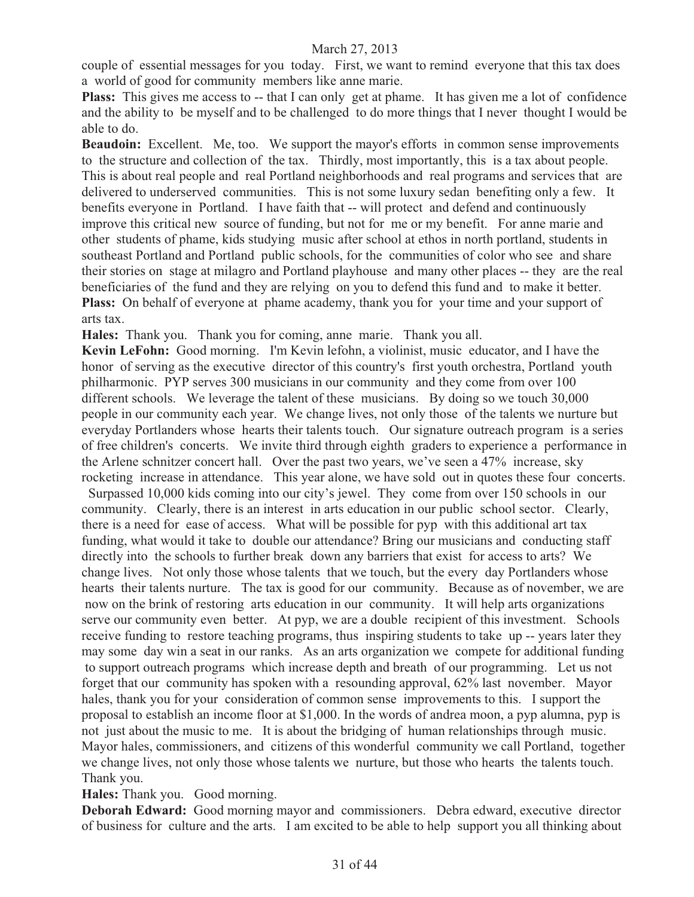couple of essential messages for you today. First, we want to remind everyone that this tax does a world of good for community members like anne marie.

**Plass:** This gives me access to -- that I can only get at phame. It has given me a lot of confidence and the ability to be myself and to be challenged to do more things that I never thought I would be able to do.

**Beaudoin:** Excellent. Me, too. We support the mayor's efforts in common sense improvements to the structure and collection of the tax. Thirdly, most importantly, this is a tax about people. This is about real people and real Portland neighborhoods and real programs and services that are delivered to underserved communities. This is not some luxury sedan benefiting only a few. It benefits everyone in Portland. I have faith that -- will protect and defend and continuously improve this critical new source of funding, but not for me or my benefit. For anne marie and other students of phame, kids studying music after school at ethos in north portland, students in southeast Portland and Portland public schools, for the communities of color who see and share their stories on stage at milagro and Portland playhouse and many other places -- they are the real beneficiaries of the fund and they are relying on you to defend this fund and to make it better. **Plass:** On behalf of everyone at phame academy, thank you for your time and your support of arts tax.

**Hales:** Thank you. Thank you for coming, anne marie. Thank you all.

**Kevin LeFohn:** Good morning. I'm Kevin lefohn, a violinist, music educator, and I have the honor of serving as the executive director of this country's first youth orchestra, Portland youth philharmonic. PYP serves 300 musicians in our community and they come from over 100 different schools. We leverage the talent of these musicians. By doing so we touch 30,000 people in our community each year. We change lives, not only those of the talents we nurture but everyday Portlanders whose hearts their talents touch. Our signature outreach program is a series of free children's concerts. We invite third through eighth graders to experience a performance in the Arlene schnitzer concert hall. Over the past two years, we've seen a 47% increase, sky rocketing increase in attendance. This year alone, we have sold out in quotes these four concerts.

 Surpassed 10,000 kids coming into our city's jewel. They come from over 150 schools in our community. Clearly, there is an interest in arts education in our public school sector. Clearly, there is a need for ease of access. What will be possible for pyp with this additional art tax funding, what would it take to double our attendance? Bring our musicians and conducting staff directly into the schools to further break down any barriers that exist for access to arts? We change lives. Not only those whose talents that we touch, but the every day Portlanders whose hearts their talents nurture. The tax is good for our community. Because as of november, we are now on the brink of restoring arts education in our community. It will help arts organizations serve our community even better. At pyp, we are a double recipient of this investment. Schools receive funding to restore teaching programs, thus inspiring students to take up -- years later they may some day win a seat in our ranks. As an arts organization we compete for additional funding to support outreach programs which increase depth and breath of our programming. Let us not forget that our community has spoken with a resounding approval, 62% last november. Mayor hales, thank you for your consideration of common sense improvements to this. I support the proposal to establish an income floor at \$1,000. In the words of andrea moon, a pyp alumna, pyp is not just about the music to me. It is about the bridging of human relationships through music. Mayor hales, commissioners, and citizens of this wonderful community we call Portland, together we change lives, not only those whose talents we nurture, but those who hearts the talents touch. Thank you.

## **Hales:** Thank you. Good morning.

**Deborah Edward:** Good morning mayor and commissioners. Debra edward, executive director of business for culture and the arts. I am excited to be able to help support you all thinking about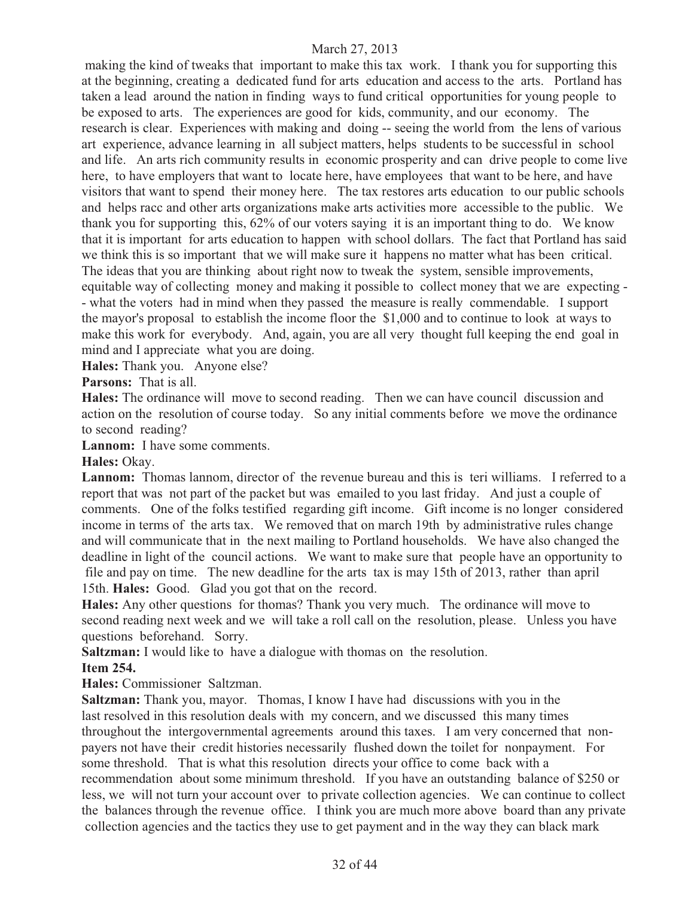making the kind of tweaks that important to make this tax work. I thank you for supporting this at the beginning, creating a dedicated fund for arts education and access to the arts. Portland has taken a lead around the nation in finding ways to fund critical opportunities for young people to be exposed to arts. The experiences are good for kids, community, and our economy. The research is clear. Experiences with making and doing -- seeing the world from the lens of various art experience, advance learning in all subject matters, helps students to be successful in school and life. An arts rich community results in economic prosperity and can drive people to come live here, to have employers that want to locate here, have employees that want to be here, and have visitors that want to spend their money here. The tax restores arts education to our public schools and helps racc and other arts organizations make arts activities more accessible to the public. We thank you for supporting this, 62% of our voters saying it is an important thing to do. We know that it is important for arts education to happen with school dollars. The fact that Portland has said we think this is so important that we will make sure it happens no matter what has been critical. The ideas that you are thinking about right now to tweak the system, sensible improvements, equitable way of collecting money and making it possible to collect money that we are expecting - - what the voters had in mind when they passed the measure is really commendable. I support the mayor's proposal to establish the income floor the \$1,000 and to continue to look at ways to make this work for everybody. And, again, you are all very thought full keeping the end goal in mind and I appreciate what you are doing.

**Hales:** Thank you. Anyone else?

**Parsons:** That is all.

**Hales:** The ordinance will move to second reading. Then we can have council discussion and action on the resolution of course today. So any initial comments before we move the ordinance to second reading?

**Lannom:** I have some comments.

**Hales:** Okay.

**Lannom:** Thomas lannom, director of the revenue bureau and this is teri williams. I referred to a report that was not part of the packet but was emailed to you last friday. And just a couple of comments. One of the folks testified regarding gift income. Gift income is no longer considered income in terms of the arts tax. We removed that on march 19th by administrative rules change and will communicate that in the next mailing to Portland households. We have also changed the deadline in light of the council actions. We want to make sure that people have an opportunity to file and pay on time. The new deadline for the arts tax is may 15th of 2013, rather than april 15th. **Hales:** Good. Glad you got that on the record.

**Hales:** Any other questions for thomas? Thank you very much. The ordinance will move to second reading next week and we will take a roll call on the resolution, please. Unless you have questions beforehand. Sorry.

**Saltzman:** I would like to have a dialogue with thomas on the resolution.

**Item 254.** 

**Hales:** Commissioner Saltzman.

**Saltzman:** Thank you, mayor. Thomas, I know I have had discussions with you in the last resolved in this resolution deals with my concern, and we discussed this many times throughout the intergovernmental agreements around this taxes. I am very concerned that nonpayers not have their credit histories necessarily flushed down the toilet for nonpayment. For some threshold. That is what this resolution directs your office to come back with a recommendation about some minimum threshold. If you have an outstanding balance of \$250 or less, we will not turn your account over to private collection agencies. We can continue to collect the balances through the revenue office. I think you are much more above board than any private collection agencies and the tactics they use to get payment and in the way they can black mark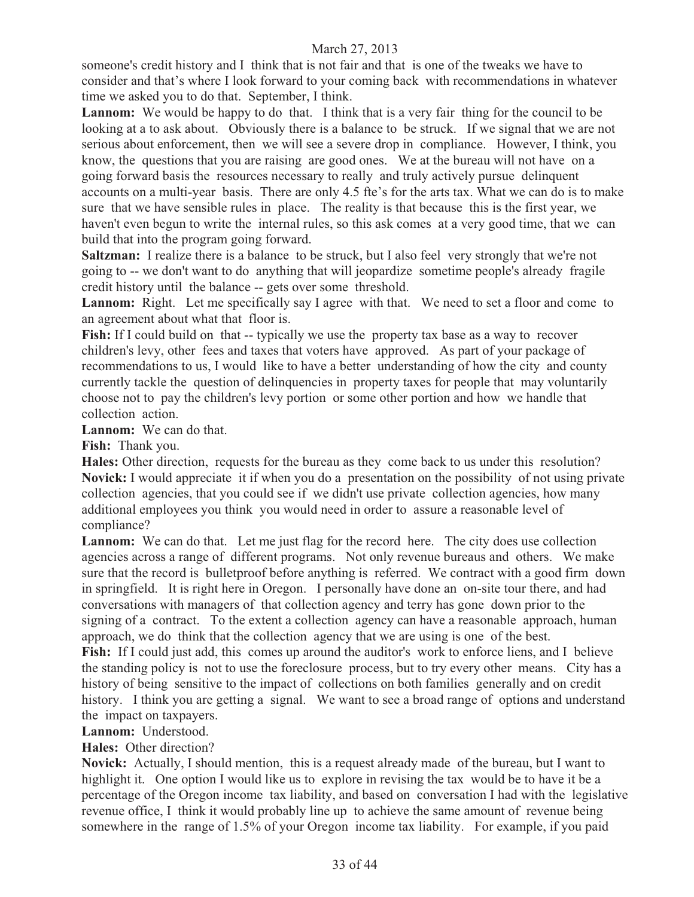someone's credit history and I think that is not fair and that is one of the tweaks we have to consider and that's where I look forward to your coming back with recommendations in whatever time we asked you to do that. September, I think.

**Lannom:** We would be happy to do that. I think that is a very fair thing for the council to be looking at a to ask about. Obviously there is a balance to be struck. If we signal that we are not serious about enforcement, then we will see a severe drop in compliance. However, I think, you know, the questions that you are raising are good ones. We at the bureau will not have on a going forward basis the resources necessary to really and truly actively pursue delinquent accounts on a multi-year basis. There are only 4.5 fte's for the arts tax. What we can do is to make sure that we have sensible rules in place. The reality is that because this is the first year, we haven't even begun to write the internal rules, so this ask comes at a very good time, that we can build that into the program going forward.

**Saltzman:** I realize there is a balance to be struck, but I also feel very strongly that we're not going to -- we don't want to do anything that will jeopardize sometime people's already fragile credit history until the balance -- gets over some threshold.

Lannom: Right. Let me specifically say I agree with that. We need to set a floor and come to an agreement about what that floor is.

**Fish:** If I could build on that -- typically we use the property tax base as a way to recover children's levy, other fees and taxes that voters have approved. As part of your package of recommendations to us, I would like to have a better understanding of how the city and county currently tackle the question of delinquencies in property taxes for people that may voluntarily choose not to pay the children's levy portion or some other portion and how we handle that collection action.

**Lannom:** We can do that.

**Fish:** Thank you.

**Hales:** Other direction, requests for the bureau as they come back to us under this resolution? **Novick:** I would appreciate it if when you do a presentation on the possibility of not using private collection agencies, that you could see if we didn't use private collection agencies, how many additional employees you think you would need in order to assure a reasonable level of compliance?

Lannom: We can do that. Let me just flag for the record here. The city does use collection agencies across a range of different programs. Not only revenue bureaus and others. We make sure that the record is bulletproof before anything is referred. We contract with a good firm down in springfield. It is right here in Oregon. I personally have done an on-site tour there, and had conversations with managers of that collection agency and terry has gone down prior to the signing of a contract. To the extent a collection agency can have a reasonable approach, human approach, we do think that the collection agency that we are using is one of the best.

Fish: If I could just add, this comes up around the auditor's work to enforce liens, and I believe the standing policy is not to use the foreclosure process, but to try every other means. City has a history of being sensitive to the impact of collections on both families generally and on credit history. I think you are getting a signal. We want to see a broad range of options and understand the impact on taxpayers.

**Lannom:** Understood.

**Hales:** Other direction?

**Novick:** Actually, I should mention, this is a request already made of the bureau, but I want to highlight it. One option I would like us to explore in revising the tax would be to have it be a percentage of the Oregon income tax liability, and based on conversation I had with the legislative revenue office, I think it would probably line up to achieve the same amount of revenue being somewhere in the range of 1.5% of your Oregon income tax liability. For example, if you paid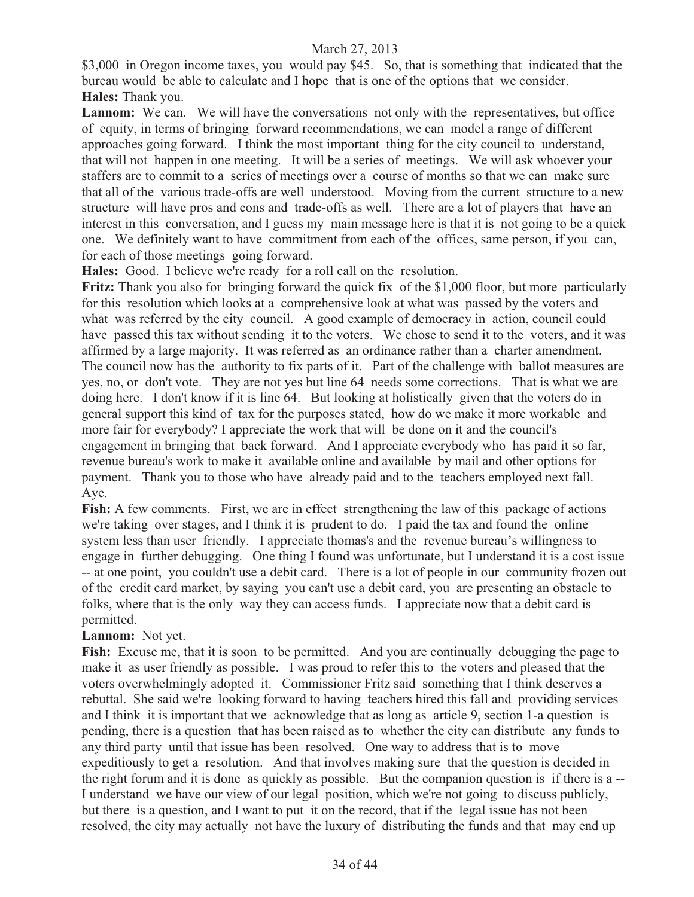\$3,000 in Oregon income taxes, you would pay \$45. So, that is something that indicated that the bureau would be able to calculate and I hope that is one of the options that we consider. **Hales:** Thank you.

Lannom: We can. We will have the conversations not only with the representatives, but office of equity, in terms of bringing forward recommendations, we can model a range of different approaches going forward. I think the most important thing for the city council to understand, that will not happen in one meeting. It will be a series of meetings. We will ask whoever your staffers are to commit to a series of meetings over a course of months so that we can make sure that all of the various trade-offs are well understood. Moving from the current structure to a new structure will have pros and cons and trade-offs as well. There are a lot of players that have an interest in this conversation, and I guess my main message here is that it is not going to be a quick one. We definitely want to have commitment from each of the offices, same person, if you can, for each of those meetings going forward.

**Hales:** Good. I believe we're ready for a roll call on the resolution.

**Fritz:** Thank you also for bringing forward the quick fix of the \$1,000 floor, but more particularly for this resolution which looks at a comprehensive look at what was passed by the voters and what was referred by the city council. A good example of democracy in action, council could have passed this tax without sending it to the voters. We chose to send it to the voters, and it was affirmed by a large majority. It was referred as an ordinance rather than a charter amendment. The council now has the authority to fix parts of it. Part of the challenge with ballot measures are yes, no, or don't vote. They are not yes but line 64 needs some corrections. That is what we are doing here. I don't know if it is line 64. But looking at holistically given that the voters do in general support this kind of tax for the purposes stated, how do we make it more workable and more fair for everybody? I appreciate the work that will be done on it and the council's engagement in bringing that back forward. And I appreciate everybody who has paid it so far, revenue bureau's work to make it available online and available by mail and other options for payment. Thank you to those who have already paid and to the teachers employed next fall. Aye.

Fish: A few comments. First, we are in effect strengthening the law of this package of actions we're taking over stages, and I think it is prudent to do. I paid the tax and found the online system less than user friendly. I appreciate thomas's and the revenue bureau's willingness to engage in further debugging. One thing I found was unfortunate, but I understand it is a cost issue -- at one point, you couldn't use a debit card. There is a lot of people in our community frozen out of the credit card market, by saying you can't use a debit card, you are presenting an obstacle to folks, where that is the only way they can access funds. I appreciate now that a debit card is permitted.

## **Lannom:** Not yet.

Fish: Excuse me, that it is soon to be permitted. And you are continually debugging the page to make it as user friendly as possible. I was proud to refer this to the voters and pleased that the voters overwhelmingly adopted it. Commissioner Fritz said something that I think deserves a rebuttal. She said we're looking forward to having teachers hired this fall and providing services and I think it is important that we acknowledge that as long as article 9, section 1-a question is pending, there is a question that has been raised as to whether the city can distribute any funds to any third party until that issue has been resolved. One way to address that is to move expeditiously to get a resolution. And that involves making sure that the question is decided in the right forum and it is done as quickly as possible. But the companion question is if there is a -- I understand we have our view of our legal position, which we're not going to discuss publicly, but there is a question, and I want to put it on the record, that if the legal issue has not been resolved, the city may actually not have the luxury of distributing the funds and that may end up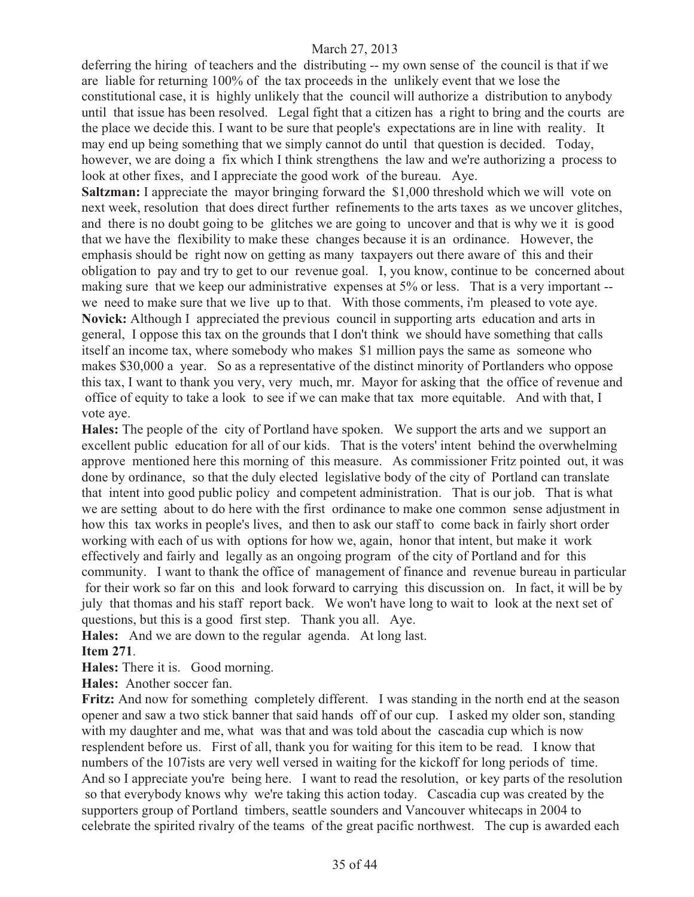deferring the hiring of teachers and the distributing -- my own sense of the council is that if we are liable for returning 100% of the tax proceeds in the unlikely event that we lose the constitutional case, it is highly unlikely that the council will authorize a distribution to anybody until that issue has been resolved. Legal fight that a citizen has a right to bring and the courts are the place we decide this. I want to be sure that people's expectations are in line with reality. It may end up being something that we simply cannot do until that question is decided. Today, however, we are doing a fix which I think strengthens the law and we're authorizing a process to look at other fixes, and I appreciate the good work of the bureau. Aye.

**Saltzman:** I appreciate the mayor bringing forward the \$1,000 threshold which we will vote on next week, resolution that does direct further refinements to the arts taxes as we uncover glitches, and there is no doubt going to be glitches we are going to uncover and that is why we it is good that we have the flexibility to make these changes because it is an ordinance. However, the emphasis should be right now on getting as many taxpayers out there aware of this and their obligation to pay and try to get to our revenue goal. I, you know, continue to be concerned about making sure that we keep our administrative expenses at 5% or less. That is a very important - we need to make sure that we live up to that. With those comments, i'm pleased to vote aye. **Novick:** Although I appreciated the previous council in supporting arts education and arts in general, I oppose this tax on the grounds that I don't think we should have something that calls itself an income tax, where somebody who makes \$1 million pays the same as someone who makes \$30,000 a year. So as a representative of the distinct minority of Portlanders who oppose this tax, I want to thank you very, very much, mr. Mayor for asking that the office of revenue and office of equity to take a look to see if we can make that tax more equitable. And with that, I vote aye.

**Hales:** The people of the city of Portland have spoken. We support the arts and we support an excellent public education for all of our kids. That is the voters' intent behind the overwhelming approve mentioned here this morning of this measure. As commissioner Fritz pointed out, it was done by ordinance, so that the duly elected legislative body of the city of Portland can translate that intent into good public policy and competent administration. That is our job. That is what we are setting about to do here with the first ordinance to make one common sense adjustment in how this tax works in people's lives, and then to ask our staff to come back in fairly short order working with each of us with options for how we, again, honor that intent, but make it work effectively and fairly and legally as an ongoing program of the city of Portland and for this community. I want to thank the office of management of finance and revenue bureau in particular for their work so far on this and look forward to carrying this discussion on. In fact, it will be by july that thomas and his staff report back. We won't have long to wait to look at the next set of questions, but this is a good first step. Thank you all. Aye.

**Hales:** And we are down to the regular agenda. At long last.

## **Item 271**.

**Hales:** There it is. Good morning.

**Hales:** Another soccer fan.

**Fritz:** And now for something completely different. I was standing in the north end at the season opener and saw a two stick banner that said hands off of our cup. I asked my older son, standing with my daughter and me, what was that and was told about the cascadia cup which is now resplendent before us. First of all, thank you for waiting for this item to be read. I know that numbers of the 107ists are very well versed in waiting for the kickoff for long periods of time. And so I appreciate you're being here. I want to read the resolution, or key parts of the resolution so that everybody knows why we're taking this action today. Cascadia cup was created by the supporters group of Portland timbers, seattle sounders and Vancouver whitecaps in 2004 to celebrate the spirited rivalry of the teams of the great pacific northwest. The cup is awarded each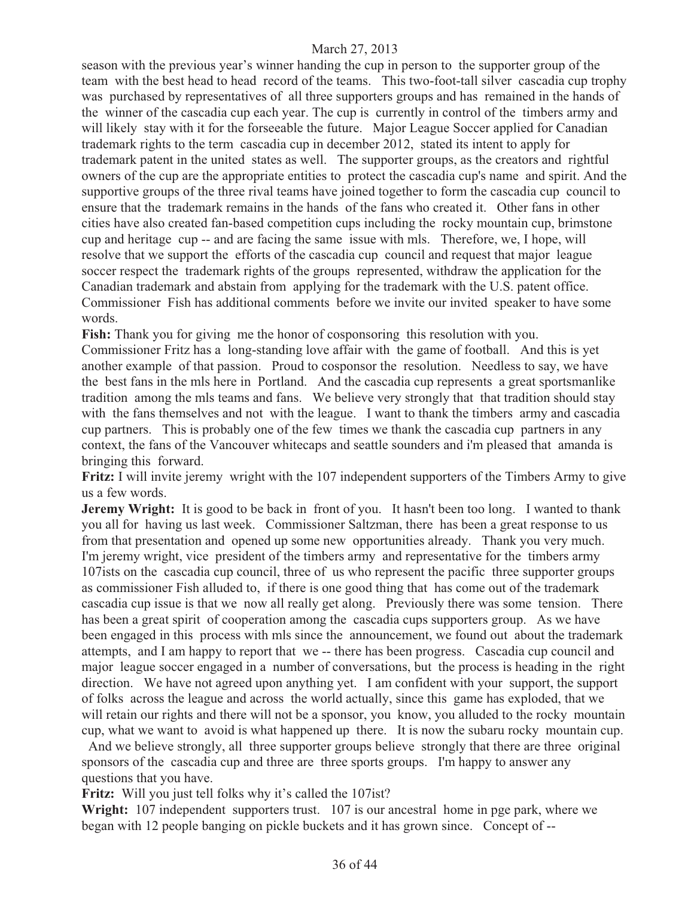season with the previous year's winner handing the cup in person to the supporter group of the team with the best head to head record of the teams. This two-foot-tall silver cascadia cup trophy was purchased by representatives of all three supporters groups and has remained in the hands of the winner of the cascadia cup each year. The cup is currently in control of the timbers army and will likely stay with it for the forseeable the future. Major League Soccer applied for Canadian trademark rights to the term cascadia cup in december 2012, stated its intent to apply for trademark patent in the united states as well. The supporter groups, as the creators and rightful owners of the cup are the appropriate entities to protect the cascadia cup's name and spirit. And the supportive groups of the three rival teams have joined together to form the cascadia cup council to ensure that the trademark remains in the hands of the fans who created it. Other fans in other cities have also created fan-based competition cups including the rocky mountain cup, brimstone cup and heritage cup -- and are facing the same issue with mls. Therefore, we, I hope, will resolve that we support the efforts of the cascadia cup council and request that major league soccer respect the trademark rights of the groups represented, withdraw the application for the Canadian trademark and abstain from applying for the trademark with the U.S. patent office. Commissioner Fish has additional comments before we invite our invited speaker to have some words.

**Fish:** Thank you for giving me the honor of cosponsoring this resolution with you.

Commissioner Fritz has a long-standing love affair with the game of football. And this is yet another example of that passion. Proud to cosponsor the resolution. Needless to say, we have the best fans in the mls here in Portland. And the cascadia cup represents a great sportsmanlike tradition among the mls teams and fans. We believe very strongly that that tradition should stay with the fans themselves and not with the league. I want to thank the timbers army and cascadia cup partners. This is probably one of the few times we thank the cascadia cup partners in any context, the fans of the Vancouver whitecaps and seattle sounders and i'm pleased that amanda is bringing this forward.

**Fritz:** I will invite jeremy wright with the 107 independent supporters of the Timbers Army to give us a few words.

**Jeremy Wright:** It is good to be back in front of you. It hasn't been too long. I wanted to thank you all for having us last week. Commissioner Saltzman, there has been a great response to us from that presentation and opened up some new opportunities already. Thank you very much. I'm jeremy wright, vice president of the timbers army and representative for the timbers army 107ists on the cascadia cup council, three of us who represent the pacific three supporter groups as commissioner Fish alluded to, if there is one good thing that has come out of the trademark cascadia cup issue is that we now all really get along. Previously there was some tension. There has been a great spirit of cooperation among the cascadia cups supporters group. As we have been engaged in this process with mls since the announcement, we found out about the trademark attempts, and I am happy to report that we -- there has been progress. Cascadia cup council and major league soccer engaged in a number of conversations, but the process is heading in the right direction. We have not agreed upon anything yet. I am confident with your support, the support of folks across the league and across the world actually, since this game has exploded, that we will retain our rights and there will not be a sponsor, you know, you alluded to the rocky mountain cup, what we want to avoid is what happened up there. It is now the subaru rocky mountain cup.

 And we believe strongly, all three supporter groups believe strongly that there are three original sponsors of the cascadia cup and three are three sports groups. I'm happy to answer any questions that you have.

Fritz: Will you just tell folks why it's called the 107 ist?

**Wright:** 107 independent supporters trust. 107 is our ancestral home in pge park, where we began with 12 people banging on pickle buckets and it has grown since. Concept of --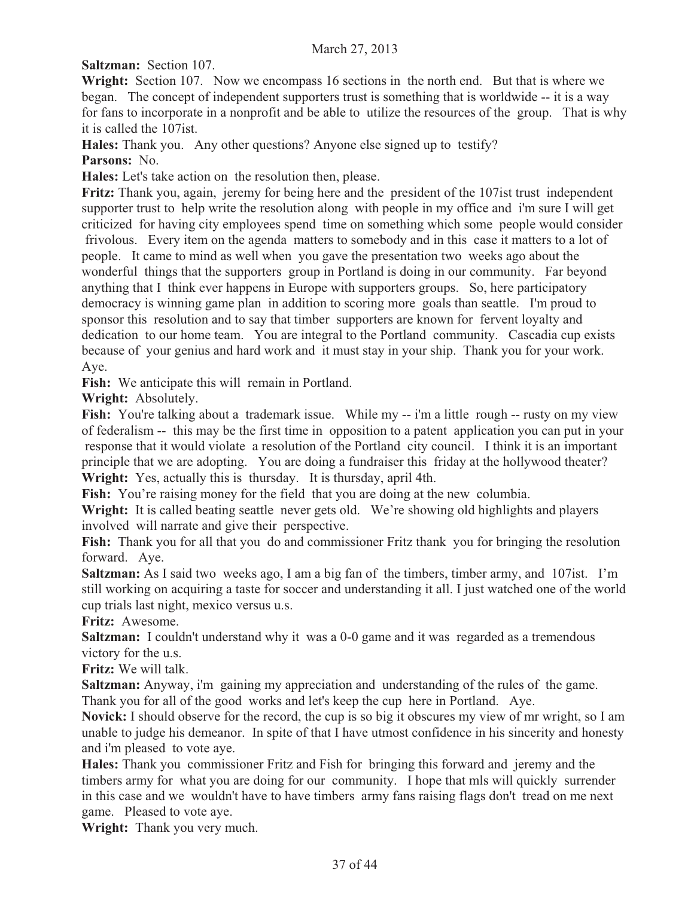**Saltzman:** Section 107.

**Wright:** Section 107. Now we encompass 16 sections in the north end. But that is where we began. The concept of independent supporters trust is something that is worldwide -- it is a way for fans to incorporate in a nonprofit and be able to utilize the resources of the group. That is why it is called the 107ist.

**Hales:** Thank you. Any other questions? Anyone else signed up to testify?

**Parsons:** No.

**Hales:** Let's take action on the resolution then, please.

**Fritz:** Thank you, again, jeremy for being here and the president of the 107ist trust independent supporter trust to help write the resolution along with people in my office and i'm sure I will get criticized for having city employees spend time on something which some people would consider frivolous. Every item on the agenda matters to somebody and in this case it matters to a lot of people. It came to mind as well when you gave the presentation two weeks ago about the wonderful things that the supporters group in Portland is doing in our community. Far beyond anything that I think ever happens in Europe with supporters groups. So, here participatory democracy is winning game plan in addition to scoring more goals than seattle. I'm proud to sponsor this resolution and to say that timber supporters are known for fervent loyalty and dedication to our home team. You are integral to the Portland community. Cascadia cup exists because of your genius and hard work and it must stay in your ship. Thank you for your work. Aye.

**Fish:** We anticipate this will remain in Portland.

**Wright:** Absolutely.

**Fish:** You're talking about a trademark issue. While my -- i'm a little rough -- rusty on my view of federalism -- this may be the first time in opposition to a patent application you can put in your response that it would violate a resolution of the Portland city council. I think it is an important principle that we are adopting. You are doing a fundraiser this friday at the hollywood theater? **Wright:** Yes, actually this is thursday. It is thursday, april 4th.

**Fish:** You're raising money for the field that you are doing at the new columbia.

Wright: It is called beating seattle never gets old. We're showing old highlights and players involved will narrate and give their perspective.

Fish: Thank you for all that you do and commissioner Fritz thank you for bringing the resolution forward. Aye.

**Saltzman:** As I said two weeks ago, I am a big fan of the timbers, timber army, and 107ist. I'm still working on acquiring a taste for soccer and understanding it all. I just watched one of the world cup trials last night, mexico versus u.s.

**Fritz:** Awesome.

**Saltzman:** I couldn't understand why it was a 0-0 game and it was regarded as a tremendous victory for the u.s.

**Fritz:** We will talk.

**Saltzman:** Anyway, i'm gaining my appreciation and understanding of the rules of the game. Thank you for all of the good works and let's keep the cup here in Portland. Aye.

**Novick:** I should observe for the record, the cup is so big it obscures my view of mr wright, so I am unable to judge his demeanor. In spite of that I have utmost confidence in his sincerity and honesty and i'm pleased to vote aye.

**Hales:** Thank you commissioner Fritz and Fish for bringing this forward and jeremy and the timbers army for what you are doing for our community. I hope that mls will quickly surrender in this case and we wouldn't have to have timbers army fans raising flags don't tread on me next game. Pleased to vote aye.

**Wright:** Thank you very much.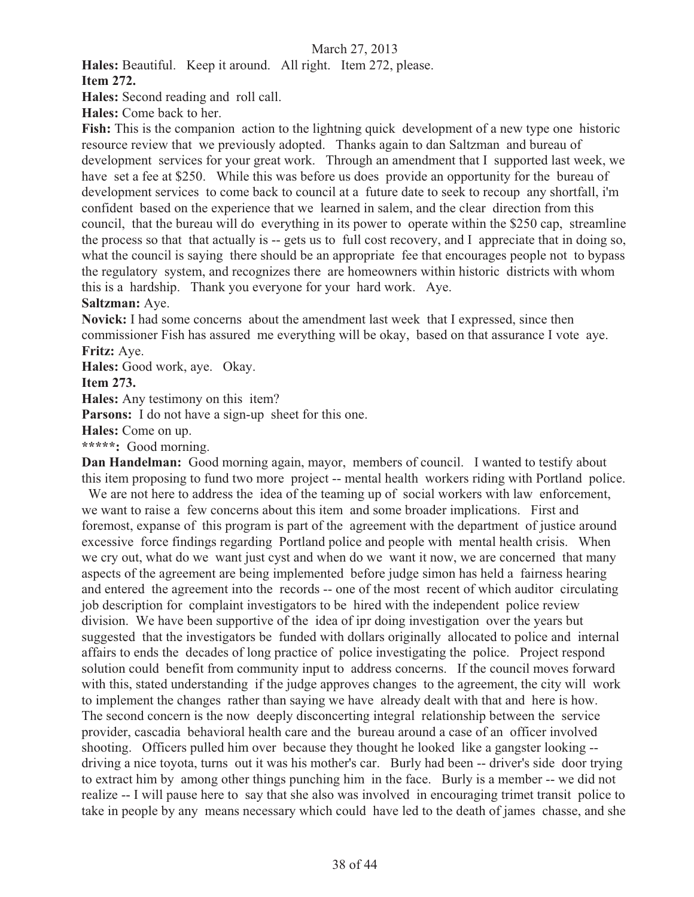**Hales:** Beautiful. Keep it around. All right. Item 272, please.

**Item 272.**

**Hales:** Second reading and roll call.

**Hales:** Come back to her.

**Fish:** This is the companion action to the lightning quick development of a new type one historic resource review that we previously adopted. Thanks again to dan Saltzman and bureau of development services for your great work. Through an amendment that I supported last week, we have set a fee at \$250. While this was before us does provide an opportunity for the bureau of development services to come back to council at a future date to seek to recoup any shortfall, i'm confident based on the experience that we learned in salem, and the clear direction from this council, that the bureau will do everything in its power to operate within the \$250 cap, streamline the process so that that actually is -- gets us to full cost recovery, and I appreciate that in doing so, what the council is saying there should be an appropriate fee that encourages people not to bypass the regulatory system, and recognizes there are homeowners within historic districts with whom this is a hardship. Thank you everyone for your hard work. Aye.

**Saltzman:** Aye.

**Novick:** I had some concerns about the amendment last week that I expressed, since then commissioner Fish has assured me everything will be okay, based on that assurance I vote aye. **Fritz:** Aye.

**Hales:** Good work, aye. Okay.

**Item 273.** 

**Hales:** Any testimony on this item?

**Parsons:** I do not have a sign-up sheet for this one.

**Hales:** Come on up.

**\*\*\*\*\*:** Good morning.

**Dan Handelman:** Good morning again, mayor, members of council. I wanted to testify about this item proposing to fund two more project -- mental health workers riding with Portland police.

We are not here to address the idea of the teaming up of social workers with law enforcement, we want to raise a few concerns about this item and some broader implications. First and foremost, expanse of this program is part of the agreement with the department of justice around excessive force findings regarding Portland police and people with mental health crisis. When we cry out, what do we want just cyst and when do we want it now, we are concerned that many aspects of the agreement are being implemented before judge simon has held a fairness hearing and entered the agreement into the records -- one of the most recent of which auditor circulating job description for complaint investigators to be hired with the independent police review division. We have been supportive of the idea of ipr doing investigation over the years but suggested that the investigators be funded with dollars originally allocated to police and internal affairs to ends the decades of long practice of police investigating the police. Project respond solution could benefit from community input to address concerns. If the council moves forward with this, stated understanding if the judge approves changes to the agreement, the city will work to implement the changes rather than saying we have already dealt with that and here is how. The second concern is the now deeply disconcerting integral relationship between the service provider, cascadia behavioral health care and the bureau around a case of an officer involved shooting. Officers pulled him over because they thought he looked like a gangster looking - driving a nice toyota, turns out it was his mother's car. Burly had been -- driver's side door trying to extract him by among other things punching him in the face. Burly is a member -- we did not realize -- I will pause here to say that she also was involved in encouraging trimet transit police to take in people by any means necessary which could have led to the death of james chasse, and she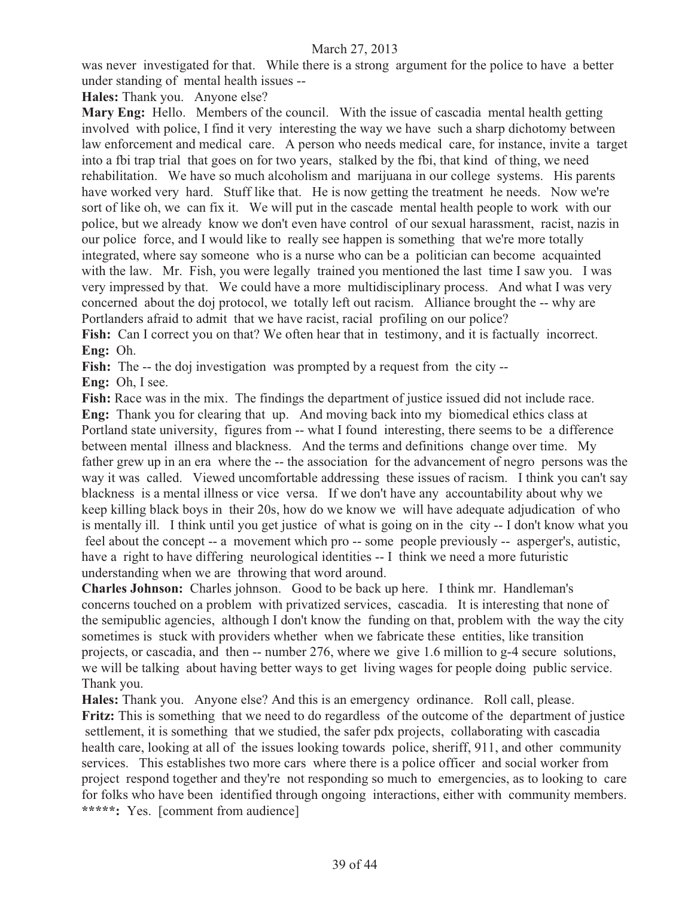was never investigated for that. While there is a strong argument for the police to have a better under standing of mental health issues --

**Hales:** Thank you. Anyone else?

**Mary Eng:** Hello. Members of the council. With the issue of cascadia mental health getting involved with police, I find it very interesting the way we have such a sharp dichotomy between law enforcement and medical care. A person who needs medical care, for instance, invite a target into a fbi trap trial that goes on for two years, stalked by the fbi, that kind of thing, we need rehabilitation. We have so much alcoholism and marijuana in our college systems. His parents have worked very hard. Stuff like that. He is now getting the treatment he needs. Now we're sort of like oh, we can fix it. We will put in the cascade mental health people to work with our police, but we already know we don't even have control of our sexual harassment, racist, nazis in our police force, and I would like to really see happen is something that we're more totally integrated, where say someone who is a nurse who can be a politician can become acquainted with the law. Mr. Fish, you were legally trained you mentioned the last time I saw you. I was very impressed by that. We could have a more multidisciplinary process. And what I was very concerned about the doj protocol, we totally left out racism. Alliance brought the -- why are Portlanders afraid to admit that we have racist, racial profiling on our police?

Fish: Can I correct you on that? We often hear that in testimony, and it is factually incorrect. **Eng:** Oh.

**Fish:** The -- the doj investigation was prompted by a request from the city --

**Eng:** Oh, I see.

**Fish:** Race was in the mix. The findings the department of justice issued did not include race. **Eng:** Thank you for clearing that up. And moving back into my biomedical ethics class at Portland state university, figures from -- what I found interesting, there seems to be a difference between mental illness and blackness. And the terms and definitions change over time. My father grew up in an era where the -- the association for the advancement of negro persons was the way it was called. Viewed uncomfortable addressing these issues of racism. I think you can't say blackness is a mental illness or vice versa. If we don't have any accountability about why we keep killing black boys in their 20s, how do we know we will have adequate adjudication of who is mentally ill. I think until you get justice of what is going on in the city -- I don't know what you feel about the concept -- a movement which pro -- some people previously -- asperger's, autistic, have a right to have differing neurological identities -- I think we need a more futuristic understanding when we are throwing that word around.

**Charles Johnson:** Charles johnson. Good to be back up here. I think mr. Handleman's concerns touched on a problem with privatized services, cascadia. It is interesting that none of the semipublic agencies, although I don't know the funding on that, problem with the way the city sometimes is stuck with providers whether when we fabricate these entities, like transition projects, or cascadia, and then -- number 276, where we give 1.6 million to g-4 secure solutions, we will be talking about having better ways to get living wages for people doing public service. Thank you.

**Hales:** Thank you. Anyone else? And this is an emergency ordinance. Roll call, please. **Fritz:** This is something that we need to do regardless of the outcome of the department of justice settlement, it is something that we studied, the safer pdx projects, collaborating with cascadia health care, looking at all of the issues looking towards police, sheriff, 911, and other community services. This establishes two more cars where there is a police officer and social worker from project respond together and they're not responding so much to emergencies, as to looking to care for folks who have been identified through ongoing interactions, either with community members. **\*\*\*\*\*:** Yes. [comment from audience]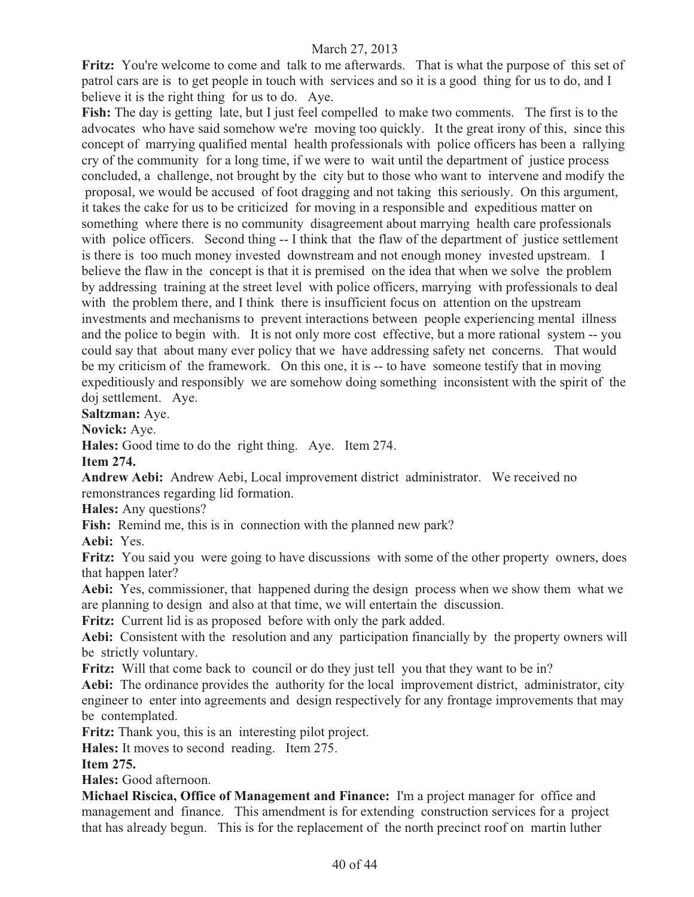**Fritz:** You're welcome to come and talk to me afterwards. That is what the purpose of this set of patrol cars are is to get people in touch with services and so it is a good thing for us to do, and I believe it is the right thing for us to do. Aye.

**Fish:** The day is getting late, but I just feel compelled to make two comments. The first is to the advocates who have said somehow we're moving too quickly. It the great irony of this, since this concept of marrying qualified mental health professionals with police officers has been a rallying cry of the community for a long time, if we were to wait until the department of justice process concluded, a challenge, not brought by the city but to those who want to intervene and modify the proposal, we would be accused of foot dragging and not taking this seriously. On this argument, it takes the cake for us to be criticized for moving in a responsible and expeditious matter on something where there is no community disagreement about marrying health care professionals with police officers. Second thing -- I think that the flaw of the department of justice settlement is there is too much money invested downstream and not enough money invested upstream. I believe the flaw in the concept is that it is premised on the idea that when we solve the problem by addressing training at the street level with police officers, marrying with professionals to deal with the problem there, and I think there is insufficient focus on attention on the upstream investments and mechanisms to prevent interactions between people experiencing mental illness and the police to begin with. It is not only more cost effective, but a more rational system -- you could say that about many ever policy that we have addressing safety net concerns. That would be my criticism of the framework. On this one, it is -- to have someone testify that in moving expeditiously and responsibly we are somehow doing something inconsistent with the spirit of the doj settlement. Aye.

**Saltzman:** Aye.

**Novick:** Aye.

**Hales:** Good time to do the right thing. Aye. Item 274.

**Item 274.** 

**Andrew Aebi:** Andrew Aebi, Local improvement district administrator. We received no remonstrances regarding lid formation.

**Hales:** Any questions?

**Fish:** Remind me, this is in connection with the planned new park?

**Aebi:** Yes.

**Fritz:** You said you were going to have discussions with some of the other property owners, does that happen later?

**Aebi:** Yes, commissioner, that happened during the design process when we show them what we are planning to design and also at that time, we will entertain the discussion.

**Fritz:** Current lid is as proposed before with only the park added.

**Aebi:** Consistent with the resolution and any participation financially by the property owners will be strictly voluntary.

**Fritz:** Will that come back to council or do they just tell you that they want to be in?

**Aebi:** The ordinance provides the authority for the local improvement district, administrator, city engineer to enter into agreements and design respectively for any frontage improvements that may be contemplated.

**Fritz:** Thank you, this is an interesting pilot project.

**Hales:** It moves to second reading. Item 275.

## **Item 275.**

**Hales:** Good afternoon.

**Michael Riscica, Office of Management and Finance:** I'm a project manager for office and management and finance. This amendment is for extending construction services for a project that has already begun. This is for the replacement of the north precinct roof on martin luther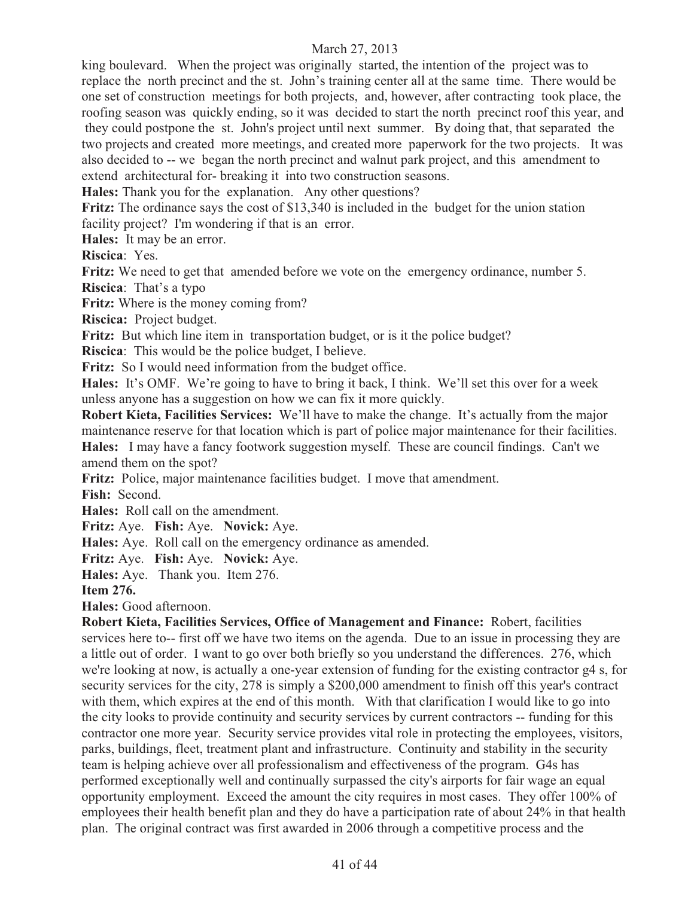king boulevard. When the project was originally started, the intention of the project was to replace the north precinct and the st. John's training center all at the same time. There would be one set of construction meetings for both projects, and, however, after contracting took place, the roofing season was quickly ending, so it was decided to start the north precinct roof this year, and they could postpone the st. John's project until next summer. By doing that, that separated the two projects and created more meetings, and created more paperwork for the two projects. It was also decided to -- we began the north precinct and walnut park project, and this amendment to extend architectural for- breaking it into two construction seasons.

**Hales:** Thank you for the explanation. Any other questions?

**Fritz:** The ordinance says the cost of \$13,340 is included in the budget for the union station facility project? I'm wondering if that is an error.

**Hales:** It may be an error.

**Riscica**: Yes.

**Fritz:** We need to get that amended before we vote on the emergency ordinance, number 5.

**Riscica**: That's a typo

**Fritz:** Where is the money coming from?

**Riscica:** Project budget.

**Fritz:** But which line item in transportation budget, or is it the police budget?

**Riscica**: This would be the police budget, I believe.

**Fritz:** So I would need information from the budget office.

**Hales:** It's OMF. We're going to have to bring it back, I think. We'll set this over for a week unless anyone has a suggestion on how we can fix it more quickly.

**Robert Kieta, Facilities Services:** We'll have to make the change. It's actually from the major maintenance reserve for that location which is part of police major maintenance for their facilities. **Hales:** I may have a fancy footwork suggestion myself. These are council findings. Can't we amend them on the spot?

Fritz: Police, major maintenance facilities budget. I move that amendment.

**Fish:** Second.

**Hales:** Roll call on the amendment.

**Fritz:** Aye. **Fish:** Aye. **Novick:** Aye.

**Hales:** Aye. Roll call on the emergency ordinance as amended.

**Fritz:** Aye. **Fish:** Aye. **Novick:** Aye.

**Hales:** Aye. Thank you. Item 276.

**Item 276.**

**Hales:** Good afternoon.

**Robert Kieta, Facilities Services, Office of Management and Finance:** Robert, facilities services here to-- first off we have two items on the agenda. Due to an issue in processing they are a little out of order. I want to go over both briefly so you understand the differences. 276, which we're looking at now, is actually a one-year extension of funding for the existing contractor g4 s, for security services for the city, 278 is simply a \$200,000 amendment to finish off this year's contract with them, which expires at the end of this month. With that clarification I would like to go into the city looks to provide continuity and security services by current contractors -- funding for this contractor one more year. Security service provides vital role in protecting the employees, visitors, parks, buildings, fleet, treatment plant and infrastructure. Continuity and stability in the security team is helping achieve over all professionalism and effectiveness of the program. G4s has performed exceptionally well and continually surpassed the city's airports for fair wage an equal opportunity employment. Exceed the amount the city requires in most cases. They offer 100% of employees their health benefit plan and they do have a participation rate of about 24% in that health plan. The original contract was first awarded in 2006 through a competitive process and the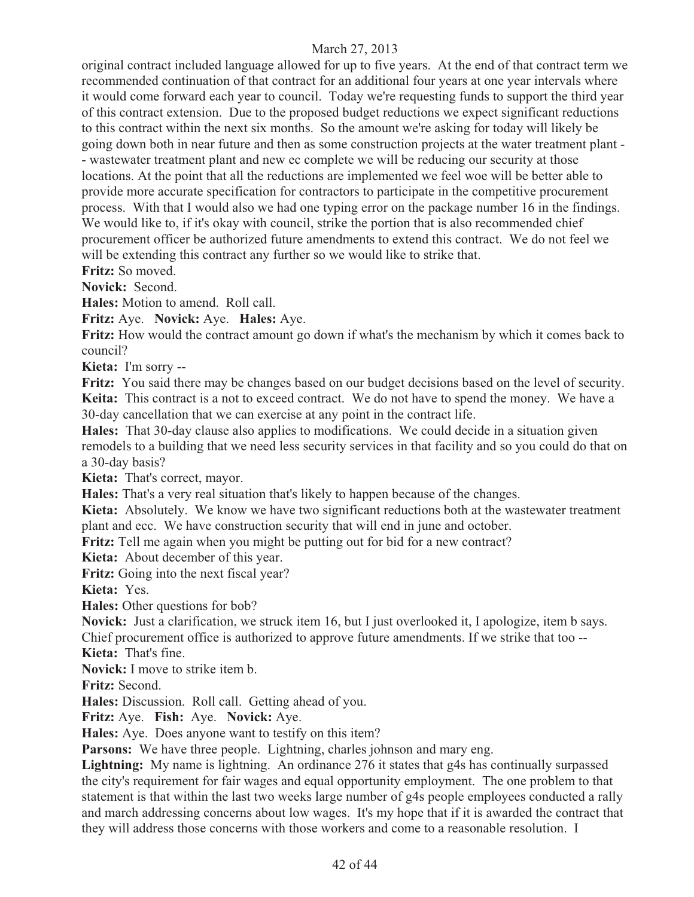original contract included language allowed for up to five years. At the end of that contract term we recommended continuation of that contract for an additional four years at one year intervals where it would come forward each year to council. Today we're requesting funds to support the third year of this contract extension. Due to the proposed budget reductions we expect significant reductions to this contract within the next six months. So the amount we're asking for today will likely be going down both in near future and then as some construction projects at the water treatment plant - - wastewater treatment plant and new ec complete we will be reducing our security at those locations. At the point that all the reductions are implemented we feel woe will be better able to provide more accurate specification for contractors to participate in the competitive procurement process. With that I would also we had one typing error on the package number 16 in the findings. We would like to, if it's okay with council, strike the portion that is also recommended chief procurement officer be authorized future amendments to extend this contract. We do not feel we will be extending this contract any further so we would like to strike that.

**Fritz:** So moved.

**Novick:** Second.

**Hales:** Motion to amend. Roll call.

**Fritz:** Aye. **Novick:** Aye. **Hales:** Aye.

**Fritz:** How would the contract amount go down if what's the mechanism by which it comes back to council?

**Kieta:** I'm sorry --

**Fritz:** You said there may be changes based on our budget decisions based on the level of security. **Keita:** This contract is a not to exceed contract. We do not have to spend the money. We have a 30-day cancellation that we can exercise at any point in the contract life.

**Hales:** That 30-day clause also applies to modifications. We could decide in a situation given remodels to a building that we need less security services in that facility and so you could do that on a 30-day basis?

**Kieta:** That's correct, mayor.

**Hales:** That's a very real situation that's likely to happen because of the changes.

**Kieta:** Absolutely. We know we have two significant reductions both at the wastewater treatment plant and ecc. We have construction security that will end in june and october.

**Fritz:** Tell me again when you might be putting out for bid for a new contract?

**Kieta:** About december of this year.

**Fritz:** Going into the next fiscal year?

**Kieta:** Yes.

**Hales:** Other questions for bob?

**Novick:** Just a clarification, we struck item 16, but I just overlooked it, I apologize, item b says. Chief procurement office is authorized to approve future amendments. If we strike that too --

**Kieta:** That's fine.

**Novick:** I move to strike item b.

**Fritz:** Second.

**Hales:** Discussion. Roll call. Getting ahead of you.

**Fritz:** Aye. **Fish:** Aye. **Novick:** Aye.

**Hales:** Aye. Does anyone want to testify on this item?

**Parsons:** We have three people. Lightning, charles johnson and mary eng.

Lightning: My name is lightning. An ordinance 276 it states that g4s has continually surpassed the city's requirement for fair wages and equal opportunity employment. The one problem to that statement is that within the last two weeks large number of g4s people employees conducted a rally and march addressing concerns about low wages. It's my hope that if it is awarded the contract that they will address those concerns with those workers and come to a reasonable resolution. I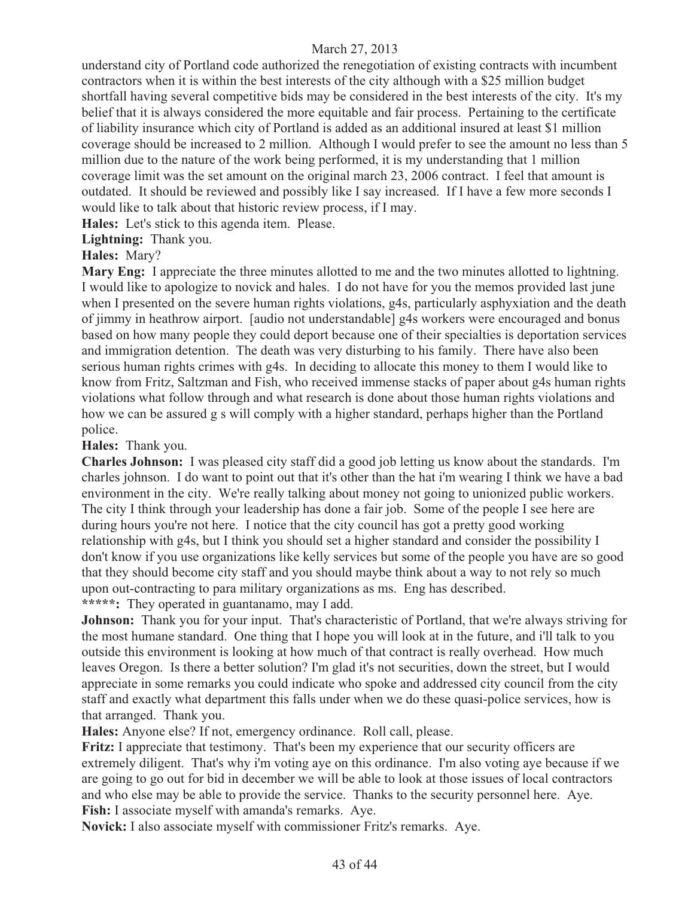understand city of Portland code authorized the renegotiation of existing contracts with incumbent contractors when it is within the best interests of the city although with a \$25 million budget shortfall having several competitive bids may be considered in the best interests of the city. It's my belief that it is always considered the more equitable and fair process. Pertaining to the certificate of liability insurance which city of Portland is added as an additional insured at least \$1 million coverage should be increased to 2 million. Although I would prefer to see the amount no less than 5 million due to the nature of the work being performed, it is my understanding that 1 million coverage limit was the set amount on the original march 23, 2006 contract. I feel that amount is outdated. It should be reviewed and possibly like I say increased. If I have a few more seconds I would like to talk about that historic review process, if I may.

**Hales:** Let's stick to this agenda item. Please.

**Lightning:** Thank you.

# **Hales:** Mary?

**Mary Eng:** I appreciate the three minutes allotted to me and the two minutes allotted to lightning. I would like to apologize to novick and hales. I do not have for you the memos provided last june when I presented on the severe human rights violations, g4s, particularly asphyxiation and the death of jimmy in heathrow airport. [audio not understandable] g4s workers were encouraged and bonus based on how many people they could deport because one of their specialties is deportation services and immigration detention. The death was very disturbing to his family. There have also been serious human rights crimes with g4s. In deciding to allocate this money to them I would like to know from Fritz, Saltzman and Fish, who received immense stacks of paper about g4s human rights violations what follow through and what research is done about those human rights violations and how we can be assured g s will comply with a higher standard, perhaps higher than the Portland police.

**Hales:** Thank you.

**Charles Johnson:** I was pleased city staff did a good job letting us know about the standards. I'm charles johnson. I do want to point out that it's other than the hat i'm wearing I think we have a bad environment in the city. We're really talking about money not going to unionized public workers. The city I think through your leadership has done a fair job. Some of the people I see here are during hours you're not here. I notice that the city council has got a pretty good working relationship with g4s, but I think you should set a higher standard and consider the possibility I don't know if you use organizations like kelly services but some of the people you have are so good that they should become city staff and you should maybe think about a way to not rely so much upon out-contracting to para military organizations as ms. Eng has described.

**\*\*\*\*\*:** They operated in guantanamo, may I add.

**Johnson:** Thank you for your input. That's characteristic of Portland, that we're always striving for the most humane standard. One thing that I hope you will look at in the future, and i'll talk to you outside this environment is looking at how much of that contract is really overhead. How much leaves Oregon. Is there a better solution? I'm glad it's not securities, down the street, but I would appreciate in some remarks you could indicate who spoke and addressed city council from the city staff and exactly what department this falls under when we do these quasi-police services, how is that arranged. Thank you.

**Hales:** Anyone else? If not, emergency ordinance. Roll call, please.

**Fritz:** I appreciate that testimony. That's been my experience that our security officers are extremely diligent. That's why i'm voting aye on this ordinance. I'm also voting aye because if we are going to go out for bid in december we will be able to look at those issues of local contractors and who else may be able to provide the service. Thanks to the security personnel here. Aye. **Fish:** I associate myself with amanda's remarks. Aye.

**Novick:** I also associate myself with commissioner Fritz's remarks. Aye.